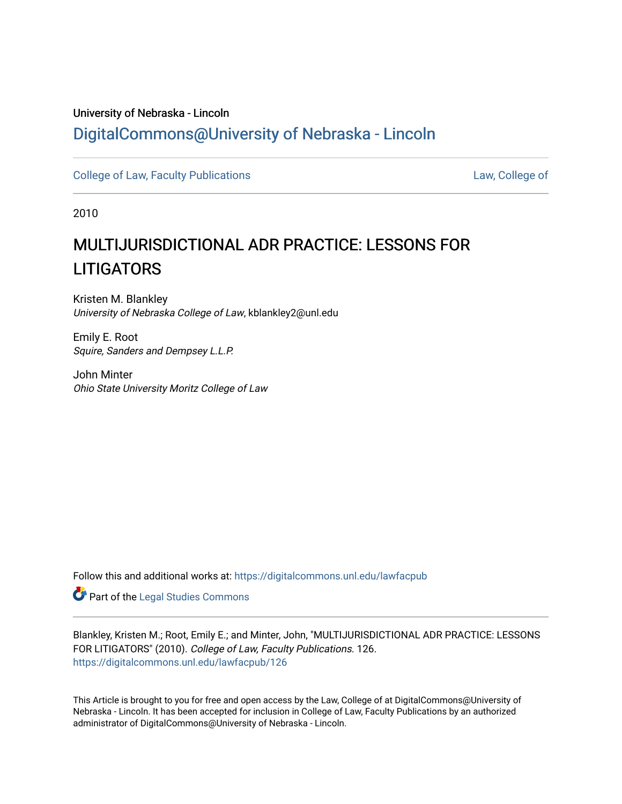## University of Nebraska - Lincoln [DigitalCommons@University of Nebraska - Lincoln](https://digitalcommons.unl.edu/)

[College of Law, Faculty Publications](https://digitalcommons.unl.edu/lawfacpub) [Law, College of](https://digitalcommons.unl.edu/law) Law, College of

2010

# MULTIJURISDICTIONAL ADR PRACTICE: LESSONS FOR **LITIGATORS**

Kristen M. Blankley University of Nebraska College of Law, kblankley2@unl.edu

Emily E. Root Squire, Sanders and Dempsey L.L.P.

John Minter Ohio State University Moritz College of Law

Follow this and additional works at: [https://digitalcommons.unl.edu/lawfacpub](https://digitalcommons.unl.edu/lawfacpub?utm_source=digitalcommons.unl.edu%2Flawfacpub%2F126&utm_medium=PDF&utm_campaign=PDFCoverPages) 

Part of the [Legal Studies Commons](http://network.bepress.com/hgg/discipline/366?utm_source=digitalcommons.unl.edu%2Flawfacpub%2F126&utm_medium=PDF&utm_campaign=PDFCoverPages) 

Blankley, Kristen M.; Root, Emily E.; and Minter, John, "MULTIJURISDICTIONAL ADR PRACTICE: LESSONS FOR LITIGATORS" (2010). College of Law, Faculty Publications. 126. [https://digitalcommons.unl.edu/lawfacpub/126](https://digitalcommons.unl.edu/lawfacpub/126?utm_source=digitalcommons.unl.edu%2Flawfacpub%2F126&utm_medium=PDF&utm_campaign=PDFCoverPages) 

This Article is brought to you for free and open access by the Law, College of at DigitalCommons@University of Nebraska - Lincoln. It has been accepted for inclusion in College of Law, Faculty Publications by an authorized administrator of DigitalCommons@University of Nebraska - Lincoln.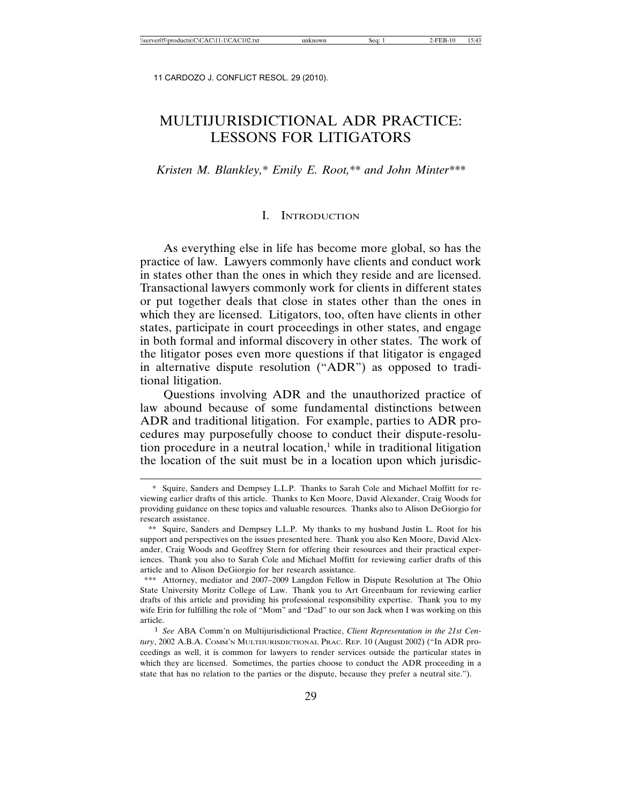## MULTIJURISDICTIONAL ADR PRACTICE: LESSONS FOR LITIGATORS

*Kristen M. Blankley,\* Emily E. Root,\*\* and John Minter\*\*\**

#### I. INTRODUCTION

As everything else in life has become more global, so has the practice of law. Lawyers commonly have clients and conduct work in states other than the ones in which they reside and are licensed. Transactional lawyers commonly work for clients in different states or put together deals that close in states other than the ones in which they are licensed. Litigators, too, often have clients in other states, participate in court proceedings in other states, and engage in both formal and informal discovery in other states. The work of the litigator poses even more questions if that litigator is engaged in alternative dispute resolution ("ADR") as opposed to traditional litigation.

Questions involving ADR and the unauthorized practice of law abound because of some fundamental distinctions between ADR and traditional litigation. For example, parties to ADR procedures may purposefully choose to conduct their dispute-resolution procedure in a neutral location,<sup>1</sup> while in traditional litigation the location of the suit must be in a location upon which jurisdic-

<sup>\*</sup> Squire, Sanders and Dempsey L.L.P. Thanks to Sarah Cole and Michael Moffitt for reviewing earlier drafts of this article. Thanks to Ken Moore, David Alexander, Craig Woods for providing guidance on these topics and valuable resources. Thanks also to Alison DeGiorgio for research assistance.

<sup>\*\*</sup> Squire, Sanders and Dempsey L.L.P. My thanks to my husband Justin L. Root for his support and perspectives on the issues presented here. Thank you also Ken Moore, David Alexander, Craig Woods and Geoffrey Stern for offering their resources and their practical experiences. Thank you also to Sarah Cole and Michael Moffitt for reviewing earlier drafts of this article and to Alison DeGiorgio for her research assistance.

<sup>\*\*\*</sup> Attorney, mediator and 2007–2009 Langdon Fellow in Dispute Resolution at The Ohio State University Moritz College of Law. Thank you to Art Greenbaum for reviewing earlier drafts of this article and providing his professional responsibility expertise. Thank you to my wife Erin for fulfilling the role of "Mom" and "Dad" to our son Jack when I was working on this article.

<sup>1</sup> *See* ABA Comm'n on Multijurisdictional Practice, *Client Representation in the 21st Century*, 2002 A.B.A. COMM'N MULTIJURISDICTIONAL PRAC. REP. 10 (August 2002) ("In ADR proceedings as well, it is common for lawyers to render services outside the particular states in which they are licensed. Sometimes, the parties choose to conduct the ADR proceeding in a state that has no relation to the parties or the dispute, because they prefer a neutral site.").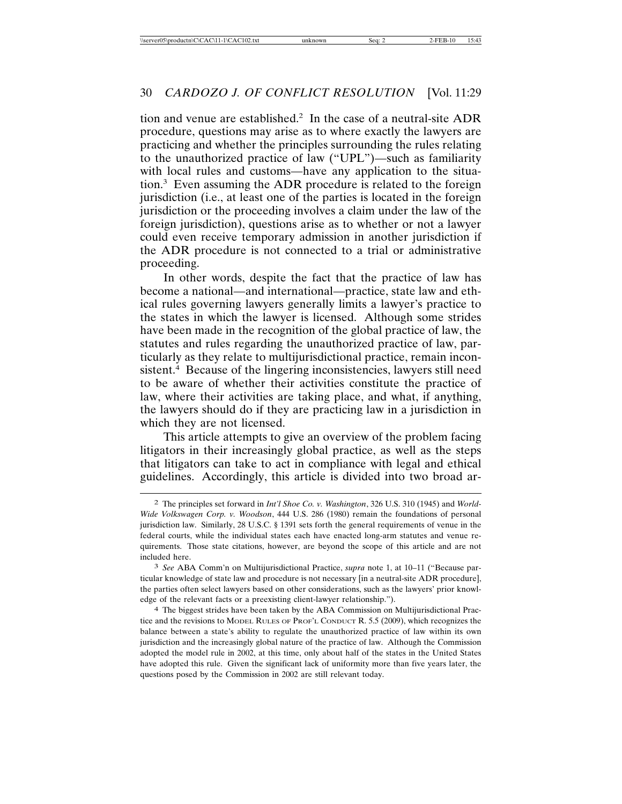tion and venue are established.2 In the case of a neutral-site ADR procedure, questions may arise as to where exactly the lawyers are practicing and whether the principles surrounding the rules relating to the unauthorized practice of law ("UPL")—such as familiarity with local rules and customs—have any application to the situation.3 Even assuming the ADR procedure is related to the foreign jurisdiction (i.e., at least one of the parties is located in the foreign jurisdiction or the proceeding involves a claim under the law of the foreign jurisdiction), questions arise as to whether or not a lawyer could even receive temporary admission in another jurisdiction if the ADR procedure is not connected to a trial or administrative proceeding.

In other words, despite the fact that the practice of law has become a national—and international—practice, state law and ethical rules governing lawyers generally limits a lawyer's practice to the states in which the lawyer is licensed. Although some strides have been made in the recognition of the global practice of law, the statutes and rules regarding the unauthorized practice of law, particularly as they relate to multijurisdictional practice, remain inconsistent.<sup>4</sup> Because of the lingering inconsistencies, lawyers still need to be aware of whether their activities constitute the practice of law, where their activities are taking place, and what, if anything, the lawyers should do if they are practicing law in a jurisdiction in which they are not licensed.

This article attempts to give an overview of the problem facing litigators in their increasingly global practice, as well as the steps that litigators can take to act in compliance with legal and ethical guidelines. Accordingly, this article is divided into two broad ar-

<sup>2</sup> The principles set forward in *Int'l Shoe Co. v. Washington*, 326 U.S. 310 (1945) and *World-Wide Volkswagen Corp. v. Woodson*, 444 U.S. 286 (1980) remain the foundations of personal jurisdiction law. Similarly, 28 U.S.C. § 1391 sets forth the general requirements of venue in the federal courts, while the individual states each have enacted long-arm statutes and venue requirements. Those state citations, however, are beyond the scope of this article and are not included here.

<sup>3</sup> *See* ABA Comm'n on Multijurisdictional Practice, *supra* note 1, at 10–11 ("Because particular knowledge of state law and procedure is not necessary [in a neutral-site ADR procedure], the parties often select lawyers based on other considerations, such as the lawyers' prior knowledge of the relevant facts or a preexisting client-lawyer relationship.").

<sup>4</sup> The biggest strides have been taken by the ABA Commission on Multijurisdictional Practice and the revisions to MODEL RULES OF PROF'L CONDUCT R. 5.5 (2009), which recognizes the balance between a state's ability to regulate the unauthorized practice of law within its own jurisdiction and the increasingly global nature of the practice of law. Although the Commission adopted the model rule in 2002, at this time, only about half of the states in the United States have adopted this rule. Given the significant lack of uniformity more than five years later, the questions posed by the Commission in 2002 are still relevant today.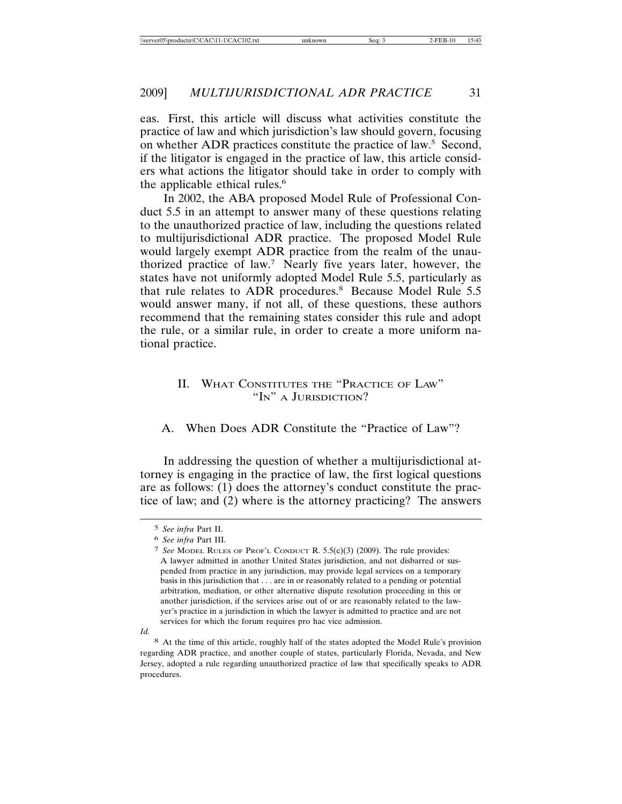eas. First, this article will discuss what activities constitute the practice of law and which jurisdiction's law should govern, focusing on whether ADR practices constitute the practice of law.5 Second, if the litigator is engaged in the practice of law, this article considers what actions the litigator should take in order to comply with the applicable ethical rules.<sup>6</sup>

In 2002, the ABA proposed Model Rule of Professional Conduct 5.5 in an attempt to answer many of these questions relating to the unauthorized practice of law, including the questions related to multijurisdictional ADR practice. The proposed Model Rule would largely exempt ADR practice from the realm of the unauthorized practice of law.7 Nearly five years later, however, the states have not uniformly adopted Model Rule 5.5, particularly as that rule relates to ADR procedures.<sup>8</sup> Because Model Rule 5.5 would answer many, if not all, of these questions, these authors recommend that the remaining states consider this rule and adopt the rule, or a similar rule, in order to create a more uniform national practice.

#### II. WHAT CONSTITUTES THE "PRACTICE OF LAW" "IN" A JURISDICTION?

A. When Does ADR Constitute the "Practice of Law"?

In addressing the question of whether a multijurisdictional attorney is engaging in the practice of law, the first logical questions are as follows: (1) does the attorney's conduct constitute the practice of law; and (2) where is the attorney practicing? The answers

<sup>5</sup> *See infra* Part II.

<sup>6</sup> *See infra* Part III.

<sup>7</sup> *See* MODEL RULES OF PROF'L CONDUCT R. 5.5(c)(3) (2009). The rule provides: A lawyer admitted in another United States jurisdiction, and not disbarred or suspended from practice in any jurisdiction, may provide legal services on a temporary basis in this jurisdiction that . . . are in or reasonably related to a pending or potential arbitration, mediation, or other alternative dispute resolution proceeding in this or another jurisdiction, if the services arise out of or are reasonably related to the lawyer's practice in a jurisdiction in which the lawyer is admitted to practice and are not services for which the forum requires pro hac vice admission.

*Id.*

<sup>8</sup> At the time of this article, roughly half of the states adopted the Model Rule's provision regarding ADR practice, and another couple of states, particularly Florida, Nevada, and New Jersey, adopted a rule regarding unauthorized practice of law that specifically speaks to ADR procedures.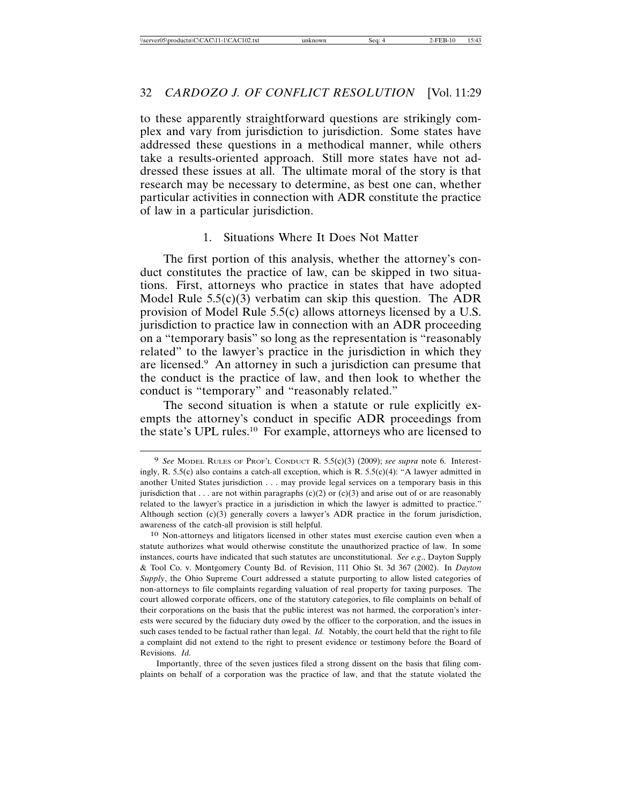to these apparently straightforward questions are strikingly complex and vary from jurisdiction to jurisdiction. Some states have addressed these questions in a methodical manner, while others take a results-oriented approach. Still more states have not addressed these issues at all. The ultimate moral of the story is that research may be necessary to determine, as best one can, whether particular activities in connection with ADR constitute the practice of law in a particular jurisdiction.

#### 1. Situations Where It Does Not Matter

The first portion of this analysis, whether the attorney's conduct constitutes the practice of law, can be skipped in two situations. First, attorneys who practice in states that have adopted Model Rule 5.5(c)(3) verbatim can skip this question. The ADR provision of Model Rule 5.5(c) allows attorneys licensed by a U.S. jurisdiction to practice law in connection with an ADR proceeding on a "temporary basis" so long as the representation is "reasonably related" to the lawyer's practice in the jurisdiction in which they are licensed.9 An attorney in such a jurisdiction can presume that the conduct is the practice of law, and then look to whether the conduct is "temporary" and "reasonably related."

The second situation is when a statute or rule explicitly exempts the attorney's conduct in specific ADR proceedings from the state's UPL rules.10 For example, attorneys who are licensed to

Importantly, three of the seven justices filed a strong dissent on the basis that filing complaints on behalf of a corporation was the practice of law, and that the statute violated the

<sup>9</sup> *See* MODEL RULES OF PROF'L CONDUCT R. 5.5(c)(3) (2009); *see supra* note 6. Interestingly, R. 5.5(c) also contains a catch-all exception, which is R. 5.5(c)(4): "A lawyer admitted in another United States jurisdiction . . . may provide legal services on a temporary basis in this jurisdiction that . . . are not within paragraphs  $(c)(2)$  or  $(c)(3)$  and arise out of or are reasonably related to the lawyer's practice in a jurisdiction in which the lawyer is admitted to practice." Although section  $(c)(3)$  generally covers a lawyer's ADR practice in the forum jurisdiction, awareness of the catch-all provision is still helpful.

<sup>10</sup> Non-attorneys and litigators licensed in other states must exercise caution even when a statute authorizes what would otherwise constitute the unauthorized practice of law. In some instances, courts have indicated that such statutes are unconstitutional. *See e.g*., Dayton Supply & Tool Co. v. Montgomery County Bd. of Revision, 111 Ohio St. 3d 367 (2002). In *Dayton Supply*, the Ohio Supreme Court addressed a statute purporting to allow listed categories of non-attorneys to file complaints regarding valuation of real property for taxing purposes. The court allowed corporate officers, one of the statutory categories, to file complaints on behalf of their corporations on the basis that the public interest was not harmed, the corporation's interests were secured by the fiduciary duty owed by the officer to the corporation, and the issues in such cases tended to be factual rather than legal. *Id.* Notably, the court held that the right to file a complaint did not extend to the right to present evidence or testimony before the Board of Revisions. *Id.*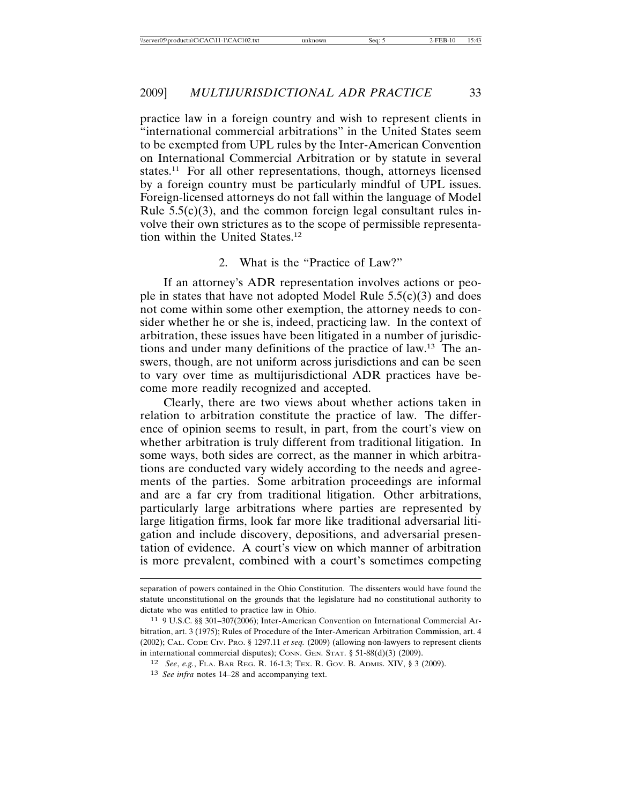practice law in a foreign country and wish to represent clients in "international commercial arbitrations" in the United States seem to be exempted from UPL rules by the Inter-American Convention on International Commercial Arbitration or by statute in several states.<sup>11</sup> For all other representations, though, attorneys licensed by a foreign country must be particularly mindful of UPL issues. Foreign-licensed attorneys do not fall within the language of Model Rule  $5.5(c)(3)$ , and the common foreign legal consultant rules involve their own strictures as to the scope of permissible representation within the United States.<sup>12</sup>

#### 2. What is the "Practice of Law?"

If an attorney's ADR representation involves actions or people in states that have not adopted Model Rule  $5.5(c)(3)$  and does not come within some other exemption, the attorney needs to consider whether he or she is, indeed, practicing law. In the context of arbitration, these issues have been litigated in a number of jurisdictions and under many definitions of the practice of law.13 The answers, though, are not uniform across jurisdictions and can be seen to vary over time as multijurisdictional ADR practices have become more readily recognized and accepted.

Clearly, there are two views about whether actions taken in relation to arbitration constitute the practice of law. The difference of opinion seems to result, in part, from the court's view on whether arbitration is truly different from traditional litigation. In some ways, both sides are correct, as the manner in which arbitrations are conducted vary widely according to the needs and agreements of the parties. Some arbitration proceedings are informal and are a far cry from traditional litigation. Other arbitrations, particularly large arbitrations where parties are represented by large litigation firms, look far more like traditional adversarial litigation and include discovery, depositions, and adversarial presentation of evidence. A court's view on which manner of arbitration is more prevalent, combined with a court's sometimes competing

separation of powers contained in the Ohio Constitution. The dissenters would have found the statute unconstitutional on the grounds that the legislature had no constitutional authority to dictate who was entitled to practice law in Ohio.

<sup>11</sup> 9 U.S.C. §§ 301–307(2006); Inter-American Convention on International Commercial Arbitration, art. 3 (1975); Rules of Procedure of the Inter-American Arbitration Commission, art. 4 (2002); CAL. CODE CIV. PRO. § 1297.11 *et seq.* (2009) (allowing non-lawyers to represent clients in international commercial disputes); CONN. GEN. STAT. § 51-88(d)(3) (2009).

<sup>12</sup> *See*, *e.g.*, FLA. BAR REG. R. 16-1.3; TEX. R. GOV. B. ADMIS. XIV, § 3 (2009).

<sup>13</sup> *See infra* notes 14–28 and accompanying text.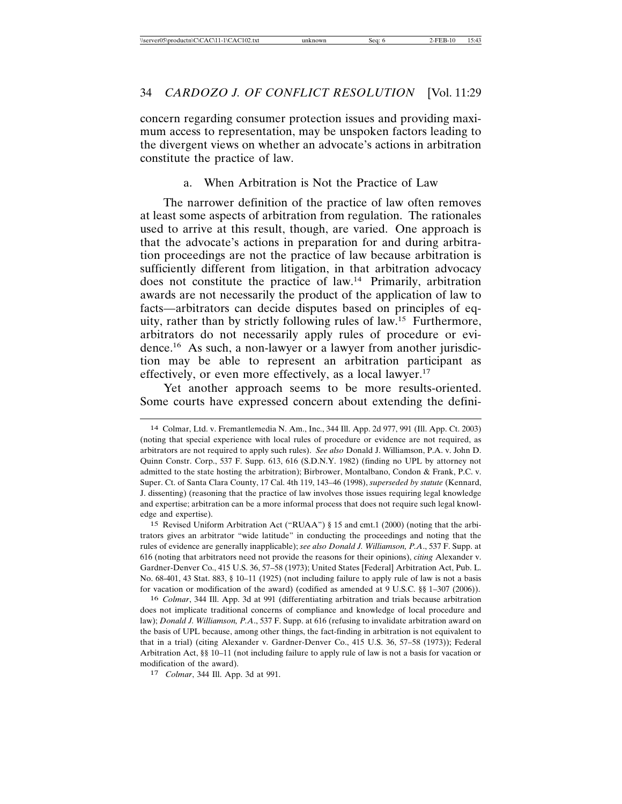concern regarding consumer protection issues and providing maximum access to representation, may be unspoken factors leading to the divergent views on whether an advocate's actions in arbitration constitute the practice of law.

#### a. When Arbitration is Not the Practice of Law

The narrower definition of the practice of law often removes at least some aspects of arbitration from regulation. The rationales used to arrive at this result, though, are varied. One approach is that the advocate's actions in preparation for and during arbitration proceedings are not the practice of law because arbitration is sufficiently different from litigation, in that arbitration advocacy does not constitute the practice of law.14 Primarily, arbitration awards are not necessarily the product of the application of law to facts—arbitrators can decide disputes based on principles of equity, rather than by strictly following rules of law.15 Furthermore, arbitrators do not necessarily apply rules of procedure or evidence.16 As such, a non-lawyer or a lawyer from another jurisdiction may be able to represent an arbitration participant as effectively, or even more effectively, as a local lawyer.<sup>17</sup>

Yet another approach seems to be more results-oriented. Some courts have expressed concern about extending the defini-

16 *Colmar*, 344 Ill. App. 3d at 991 (differentiating arbitration and trials because arbitration does not implicate traditional concerns of compliance and knowledge of local procedure and law); *Donald J. Williamson, P.A*., 537 F. Supp. at 616 (refusing to invalidate arbitration award on the basis of UPL because, among other things, the fact-finding in arbitration is not equivalent to that in a trial) (citing Alexander v. Gardner-Denver Co., 415 U.S. 36, 57–58 (1973)); Federal Arbitration Act, §§ 10–11 (not including failure to apply rule of law is not a basis for vacation or modification of the award).

17 *Colmar*, 344 Ill. App. 3d at 991.

<sup>14</sup> Colmar, Ltd. v. Fremantlemedia N. Am., Inc., 344 Ill. App. 2d 977, 991 (Ill. App. Ct. 2003) (noting that special experience with local rules of procedure or evidence are not required, as arbitrators are not required to apply such rules). *See also* Donald J. Williamson, P.A. v. John D. Quinn Constr. Corp., 537 F. Supp. 613, 616 (S.D.N.Y. 1982) (finding no UPL by attorney not admitted to the state hosting the arbitration); Birbrower, Montalbano, Condon & Frank, P.C. v. Super. Ct. of Santa Clara County, 17 Cal. 4th 119, 143–46 (1998), *superseded by statute* (Kennard, J. dissenting) (reasoning that the practice of law involves those issues requiring legal knowledge and expertise; arbitration can be a more informal process that does not require such legal knowledge and expertise).

<sup>15</sup> Revised Uniform Arbitration Act ("RUAA") § 15 and cmt.1 (2000) (noting that the arbitrators gives an arbitrator "wide latitude" in conducting the proceedings and noting that the rules of evidence are generally inapplicable); *see also Donald J. Williamson, P.A*., 537 F. Supp. at 616 (noting that arbitrators need not provide the reasons for their opinions), *citing* Alexander v. Gardner-Denver Co., 415 U.S. 36, 57–58 (1973); United States [Federal] Arbitration Act, Pub. L. No. 68-401, 43 Stat. 883, § 10–11 (1925) (not including failure to apply rule of law is not a basis for vacation or modification of the award) (codified as amended at 9 U.S.C. §§ 1–307 (2006)).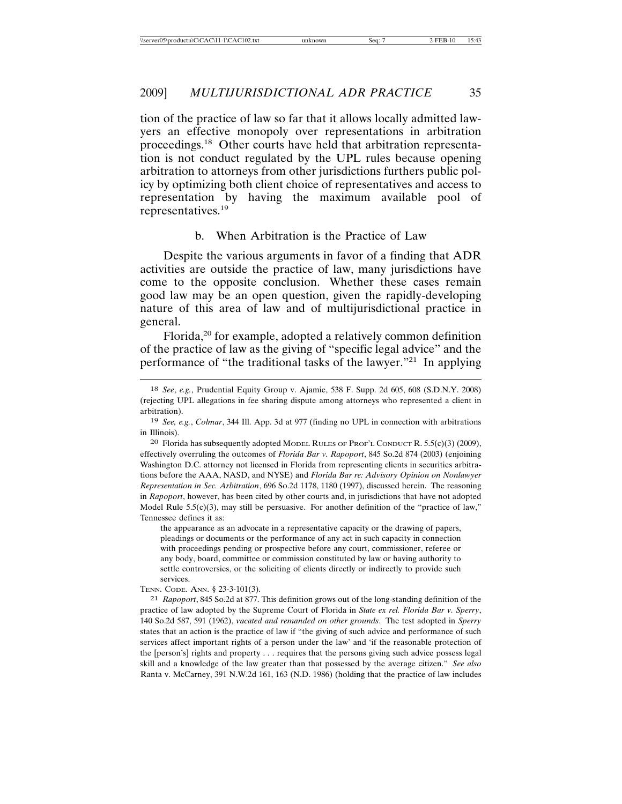tion of the practice of law so far that it allows locally admitted lawyers an effective monopoly over representations in arbitration proceedings.18 Other courts have held that arbitration representation is not conduct regulated by the UPL rules because opening arbitration to attorneys from other jurisdictions furthers public policy by optimizing both client choice of representatives and access to representation by having the maximum available pool of representatives.19

#### b. When Arbitration is the Practice of Law

Despite the various arguments in favor of a finding that ADR activities are outside the practice of law, many jurisdictions have come to the opposite conclusion. Whether these cases remain good law may be an open question, given the rapidly-developing nature of this area of law and of multijurisdictional practice in general.

Florida,<sup>20</sup> for example, adopted a relatively common definition of the practice of law as the giving of "specific legal advice" and the performance of "the traditional tasks of the lawyer."21 In applying

the appearance as an advocate in a representative capacity or the drawing of papers, pleadings or documents or the performance of any act in such capacity in connection with proceedings pending or prospective before any court, commissioner, referee or any body, board, committee or commission constituted by law or having authority to settle controversies, or the soliciting of clients directly or indirectly to provide such services.

TENN. CODE. ANN. § 23-3-101(3).

21 *Rapoport*, 845 So.2d at 877. This definition grows out of the long-standing definition of the practice of law adopted by the Supreme Court of Florida in *State ex rel. Florida Bar v. Sperry*, 140 So.2d 587, 591 (1962), *vacated and remanded on other grounds*. The test adopted in *Sperry* states that an action is the practice of law if "the giving of such advice and performance of such services affect important rights of a person under the law' and 'if the reasonable protection of the [person's] rights and property . . . requires that the persons giving such advice possess legal skill and a knowledge of the law greater than that possessed by the average citizen." *See also* Ranta v. McCarney, 391 N.W.2d 161, 163 (N.D. 1986) (holding that the practice of law includes

<sup>18</sup> *See*, *e.g.*, Prudential Equity Group v. Ajamie, 538 F. Supp. 2d 605, 608 (S.D.N.Y. 2008) (rejecting UPL allegations in fee sharing dispute among attorneys who represented a client in arbitration).

<sup>19</sup> *See, e.g.*, *Colmar*, 344 Ill. App. 3d at 977 (finding no UPL in connection with arbitrations in Illinois).

<sup>20</sup> Florida has subsequently adopted MODEL RULES OF PROF'L CONDUCT R. 5.5(c)(3) (2009), effectively overruling the outcomes of *Florida Bar v. Rapoport*, 845 So.2d 874 (2003) (enjoining Washington D.C. attorney not licensed in Florida from representing clients in securities arbitrations before the AAA, NASD, and NYSE) and *Florida Bar re: Advisory Opinion on Nonlawyer Representation in Sec. Arbitration*, 696 So.2d 1178, 1180 (1997), discussed herein. The reasoning in *Rapoport*, however, has been cited by other courts and, in jurisdictions that have not adopted Model Rule  $5.5(c)(3)$ , may still be persuasive. For another definition of the "practice of law," Tennessee defines it as: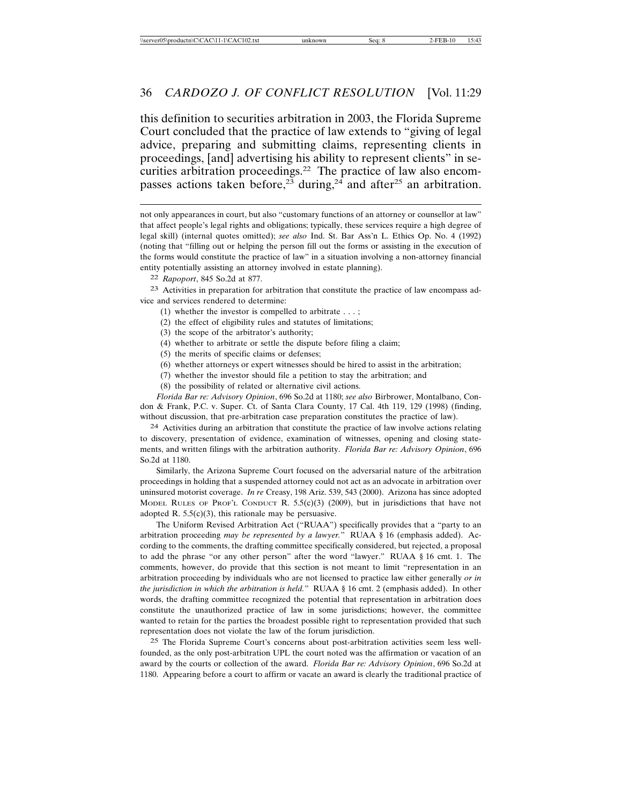this definition to securities arbitration in 2003, the Florida Supreme Court concluded that the practice of law extends to "giving of legal advice, preparing and submitting claims, representing clients in proceedings, [and] advertising his ability to represent clients" in securities arbitration proceedings.<sup>22</sup> The practice of law also encompasses actions taken before,<sup>23</sup> during,<sup>24</sup> and after<sup>25</sup> an arbitration.

not only appearances in court, but also "customary functions of an attorney or counsellor at law" that affect people's legal rights and obligations; typically, these services require a high degree of legal skill) (internal quotes omitted); *see also* Ind. St. Bar Ass'n L. Ethics Op. No. 4 (1992) (noting that "filling out or helping the person fill out the forms or assisting in the execution of the forms would constitute the practice of law" in a situation involving a non-attorney financial entity potentially assisting an attorney involved in estate planning).

22 *Rapoport*, 845 So.2d at 877.

23 Activities in preparation for arbitration that constitute the practice of law encompass advice and services rendered to determine:

- (1) whether the investor is compelled to arbitrate . . . ;
- (2) the effect of eligibility rules and statutes of limitations;
- (3) the scope of the arbitrator's authority;
- (4) whether to arbitrate or settle the dispute before filing a claim;
- (5) the merits of specific claims or defenses;
- (6) whether attorneys or expert witnesses should be hired to assist in the arbitration;
- (7) whether the investor should file a petition to stay the arbitration; and
- (8) the possibility of related or alternative civil actions.

*Florida Bar re: Advisory Opinion*, 696 So.2d at 1180; *see also* Birbrower, Montalbano, Condon & Frank, P.C. v. Super. Ct. of Santa Clara County, 17 Cal. 4th 119, 129 (1998) (finding, without discussion, that pre-arbitration case preparation constitutes the practice of law).

24 Activities during an arbitration that constitute the practice of law involve actions relating to discovery, presentation of evidence, examination of witnesses, opening and closing statements, and written filings with the arbitration authority. *Florida Bar re: Advisory Opinion*, 696 So.2d at 1180.

Similarly, the Arizona Supreme Court focused on the adversarial nature of the arbitration proceedings in holding that a suspended attorney could not act as an advocate in arbitration over uninsured motorist coverage. *In re* Creasy, 198 Ariz. 539, 543 (2000). Arizona has since adopted MODEL RULES OF PROF'L CONDUCT R.  $5.5(c)(3)$  (2009), but in jurisdictions that have not adopted R.  $5.5(c)(3)$ , this rationale may be persuasive.

The Uniform Revised Arbitration Act ("RUAA") specifically provides that a "party to an arbitration proceeding *may be represented by a lawyer.*" RUAA § 16 (emphasis added). According to the comments, the drafting committee specifically considered, but rejected, a proposal to add the phrase "or any other person" after the word "lawyer." RUAA § 16 cmt. 1. The comments, however, do provide that this section is not meant to limit "representation in an arbitration proceeding by individuals who are not licensed to practice law either generally *or in the jurisdiction in which the arbitration is held.*" RUAA § 16 cmt. 2 (emphasis added). In other words, the drafting committee recognized the potential that representation in arbitration does constitute the unauthorized practice of law in some jurisdictions; however, the committee wanted to retain for the parties the broadest possible right to representation provided that such representation does not violate the law of the forum jurisdiction.

25 The Florida Supreme Court's concerns about post-arbitration activities seem less wellfounded, as the only post-arbitration UPL the court noted was the affirmation or vacation of an award by the courts or collection of the award. *Florida Bar re: Advisory Opinion*, 696 So.2d at 1180. Appearing before a court to affirm or vacate an award is clearly the traditional practice of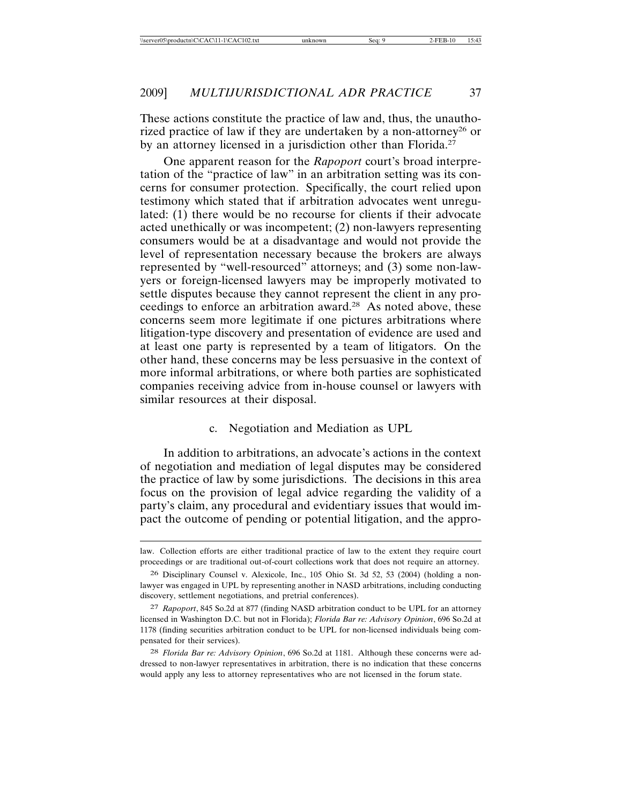These actions constitute the practice of law and, thus, the unauthorized practice of law if they are undertaken by a non-attorney<sup>26</sup> or by an attorney licensed in a jurisdiction other than Florida.<sup>27</sup>

One apparent reason for the *Rapoport* court's broad interpretation of the "practice of law" in an arbitration setting was its concerns for consumer protection. Specifically, the court relied upon testimony which stated that if arbitration advocates went unregulated: (1) there would be no recourse for clients if their advocate acted unethically or was incompetent; (2) non-lawyers representing consumers would be at a disadvantage and would not provide the level of representation necessary because the brokers are always represented by "well-resourced" attorneys; and (3) some non-lawyers or foreign-licensed lawyers may be improperly motivated to settle disputes because they cannot represent the client in any proceedings to enforce an arbitration award.<sup>28</sup> As noted above, these concerns seem more legitimate if one pictures arbitrations where litigation-type discovery and presentation of evidence are used and at least one party is represented by a team of litigators. On the other hand, these concerns may be less persuasive in the context of more informal arbitrations, or where both parties are sophisticated companies receiving advice from in-house counsel or lawyers with similar resources at their disposal.

#### c. Negotiation and Mediation as UPL

In addition to arbitrations, an advocate's actions in the context of negotiation and mediation of legal disputes may be considered the practice of law by some jurisdictions. The decisions in this area focus on the provision of legal advice regarding the validity of a party's claim, any procedural and evidentiary issues that would impact the outcome of pending or potential litigation, and the appro-

law. Collection efforts are either traditional practice of law to the extent they require court proceedings or are traditional out-of-court collections work that does not require an attorney.

<sup>26</sup> Disciplinary Counsel v. Alexicole, Inc., 105 Ohio St. 3d 52, 53 (2004) (holding a nonlawyer was engaged in UPL by representing another in NASD arbitrations, including conducting discovery, settlement negotiations, and pretrial conferences).

<sup>27</sup> *Rapoport*, 845 So.2d at 877 (finding NASD arbitration conduct to be UPL for an attorney licensed in Washington D.C. but not in Florida); *Florida Bar re: Advisory Opinion*, 696 So.2d at 1178 (finding securities arbitration conduct to be UPL for non-licensed individuals being compensated for their services).

<sup>28</sup> *Florida Bar re: Advisory Opinion*, 696 So.2d at 1181. Although these concerns were addressed to non-lawyer representatives in arbitration, there is no indication that these concerns would apply any less to attorney representatives who are not licensed in the forum state.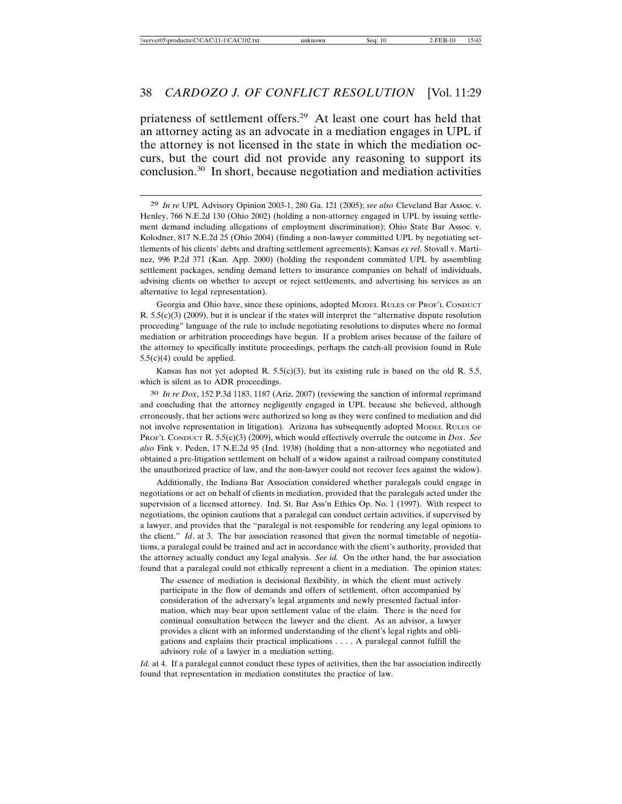priateness of settlement offers.29 At least one court has held that an attorney acting as an advocate in a mediation engages in UPL if the attorney is not licensed in the state in which the mediation occurs, but the court did not provide any reasoning to support its conclusion.30 In short, because negotiation and mediation activities

Georgia and Ohio have, since these opinions, adopted MODEL RULES OF PROF'L CONDUCT  $R. 5.5(c)(3)$  (2009), but it is unclear if the states will interpret the "alternative dispute resolution" proceeding" language of the rule to include negotiating resolutions to disputes where no formal mediation or arbitration proceedings have begun. If a problem arises because of the failure of the attorney to specifically institute proceedings, perhaps the catch-all provision found in Rule  $5.5(c)(4)$  could be applied.

Kansas has not yet adopted R.  $5.5(c)(3)$ , but its existing rule is based on the old R. 5.5, which is silent as to ADR proceedings.

30 *In re Dox*, 152 P.3d 1183, 1187 (Ariz. 2007) (reviewing the sanction of informal reprimand and concluding that the attorney negligently engaged in UPL because she believed, although erroneously, that her actions were authorized so long as they were confined to mediation and did not involve representation in litigation). Arizona has subsequently adopted MODEL RULES OF PROF'L CONDUCT R. 5.5(c)(3) (2009), which would effectively overrule the outcome in *Dox*. *See also* Fink v. Peden, 17 N.E.2d 95 (Ind. 1938) (holding that a non-attorney who negotiated and obtained a pre-litigation settlement on behalf of a widow against a railroad company constituted the unauthorized practice of law, and the non-lawyer could not recover fees against the widow).

Additionally, the Indiana Bar Association considered whether paralegals could engage in negotiations or act on behalf of clients in mediation, provided that the paralegals acted under the supervision of a licensed attorney. Ind. St. Bar Ass'n Ethics Op. No. 1 (1997). With respect to negotiations, the opinion cautions that a paralegal can conduct certain activities, if supervised by a lawyer, and provides that the "paralegal is not responsible for rendering any legal opinions to the client." *Id*. at 3. The bar association reasoned that given the normal timetable of negotiations, a paralegal could be trained and act in accordance with the client's authority, provided that the attorney actually conduct any legal analysis. *See id.* On the other hand, the bar association found that a paralegal could not ethically represent a client in a mediation. The opinion states:

The essence of mediation is decisional flexibility, in which the client must actively participate in the flow of demands and offers of settlement, often accompanied by consideration of the adversary's legal arguments and newly presented factual information, which may bear upon settlement value of the claim. There is the need for continual consultation between the lawyer and the client. As an advisor, a lawyer provides a client with an informed understanding of the client's legal rights and obligations and explains their practical implications . . . . A paralegal cannot fulfill the advisory role of a lawyer in a mediation setting.

*Id.* at 4. If a paralegal cannot conduct these types of activities, then the bar association indirectly found that representation in mediation constitutes the practice of law.

<sup>29</sup> *In re* UPL Advisory Opinion 2003-1, 280 Ga. 121 (2005); *see also* Cleveland Bar Assoc. v. Henley, 766 N.E.2d 130 (Ohio 2002) (holding a non-attorney engaged in UPL by issuing settlement demand including allegations of employment discrimination); Ohio State Bar Assoc. v. Kolodner, 817 N.E.2d 25 (Ohio 2004) (finding a non-lawyer committed UPL by negotiating settlements of his clients' debts and drafting settlement agreements); Kansas *ex rel*. Stovall v. Martinez, 996 P.2d 371 (Kan. App. 2000) (holding the respondent committed UPL by assembling settlement packages, sending demand letters to insurance companies on behalf of individuals, advising clients on whether to accept or reject settlements, and advertising his services as an alternative to legal representation).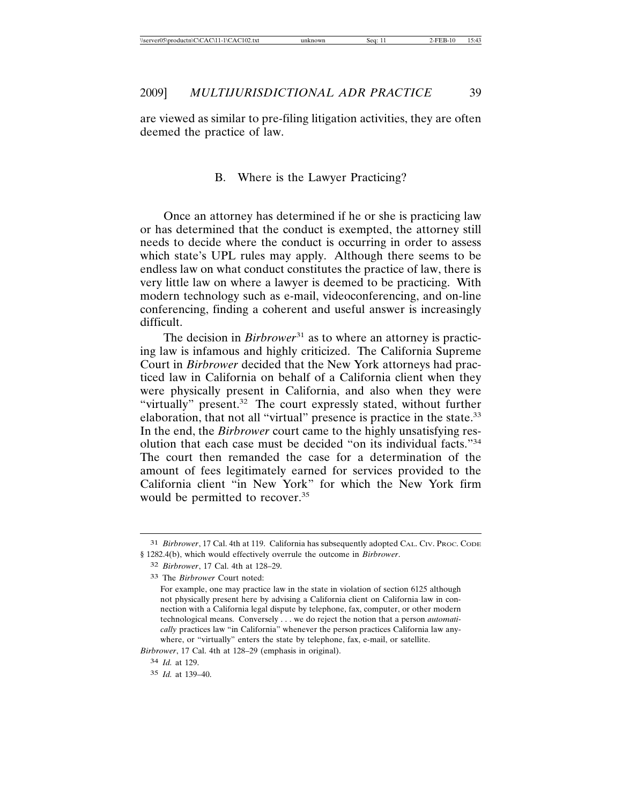are viewed as similar to pre-filing litigation activities, they are often deemed the practice of law.

#### B. Where is the Lawyer Practicing?

Once an attorney has determined if he or she is practicing law or has determined that the conduct is exempted, the attorney still needs to decide where the conduct is occurring in order to assess which state's UPL rules may apply. Although there seems to be endless law on what conduct constitutes the practice of law, there is very little law on where a lawyer is deemed to be practicing. With modern technology such as e-mail, videoconferencing, and on-line conferencing, finding a coherent and useful answer is increasingly difficult.

The decision in *Birbrower*<sup>31</sup> as to where an attorney is practicing law is infamous and highly criticized. The California Supreme Court in *Birbrower* decided that the New York attorneys had practiced law in California on behalf of a California client when they were physically present in California, and also when they were "virtually" present.<sup>32</sup> The court expressly stated, without further elaboration, that not all "virtual" presence is practice in the state.<sup>33</sup> In the end, the *Birbrower* court came to the highly unsatisfying resolution that each case must be decided "on its individual facts."34 The court then remanded the case for a determination of the amount of fees legitimately earned for services provided to the California client "in New York" for which the New York firm would be permitted to recover.<sup>35</sup>

*Birbrower*, 17 Cal. 4th at 128–29 (emphasis in original).

<sup>31</sup> *Birbrower*, 17 Cal. 4th at 119. California has subsequently adopted CAL. CIV. PROC. CODE § 1282.4(b), which would effectively overrule the outcome in *Birbrower*.

<sup>32</sup> *Birbrower*, 17 Cal. 4th at 128–29.

<sup>33</sup> The *Birbrower* Court noted:

For example, one may practice law in the state in violation of section 6125 although not physically present here by advising a California client on California law in connection with a California legal dispute by telephone, fax, computer, or other modern technological means. Conversely . . . we do reject the notion that a person *automatically* practices law "in California" whenever the person practices California law anywhere, or "virtually" enters the state by telephone, fax, e-mail, or satellite.

<sup>34</sup> *Id.* at 129.

<sup>35</sup> *Id.* at 139–40.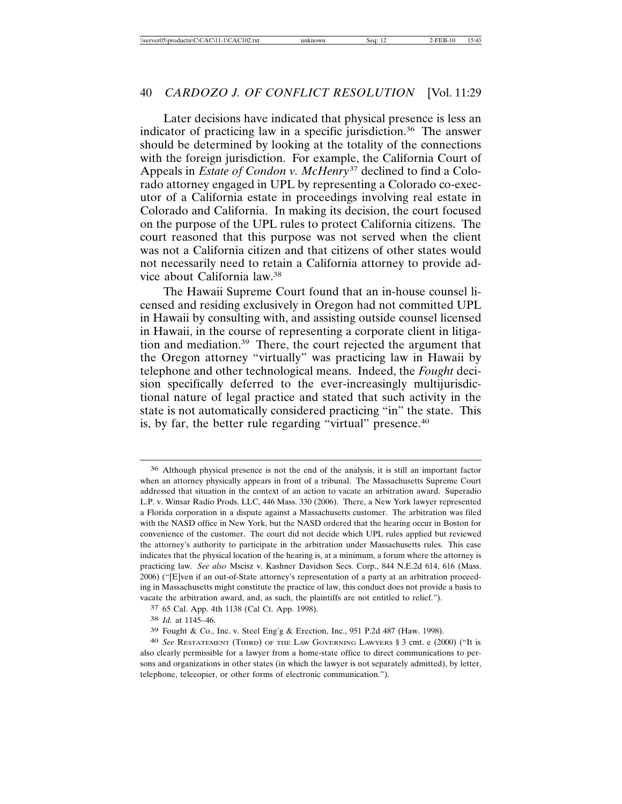Later decisions have indicated that physical presence is less an indicator of practicing law in a specific jurisdiction.<sup>36</sup> The answer should be determined by looking at the totality of the connections with the foreign jurisdiction. For example, the California Court of Appeals in *Estate of Condon v. McHenry*37 declined to find a Colorado attorney engaged in UPL by representing a Colorado co-executor of a California estate in proceedings involving real estate in Colorado and California. In making its decision, the court focused on the purpose of the UPL rules to protect California citizens. The court reasoned that this purpose was not served when the client was not a California citizen and that citizens of other states would not necessarily need to retain a California attorney to provide advice about California law.38

The Hawaii Supreme Court found that an in-house counsel licensed and residing exclusively in Oregon had not committed UPL in Hawaii by consulting with, and assisting outside counsel licensed in Hawaii, in the course of representing a corporate client in litigation and mediation.39 There, the court rejected the argument that the Oregon attorney "virtually" was practicing law in Hawaii by telephone and other technological means. Indeed, the *Fought* decision specifically deferred to the ever-increasingly multijurisdictional nature of legal practice and stated that such activity in the state is not automatically considered practicing "in" the state. This is, by far, the better rule regarding "virtual" presence.<sup>40</sup>

38 *Id.* at 1145–46.

<sup>36</sup> Although physical presence is not the end of the analysis, it is still an important factor when an attorney physically appears in front of a tribunal. The Massachusetts Supreme Court addressed that situation in the context of an action to vacate an arbitration award. Superadio L.P. v. Winsar Radio Prods. LLC, 446 Mass. 330 (2006). There, a New York lawyer represented a Florida corporation in a dispute against a Massachusetts customer. The arbitration was filed with the NASD office in New York, but the NASD ordered that the hearing occur in Boston for convenience of the customer. The court did not decide which UPL rules applied but reviewed the attorney's authority to participate in the arbitration under Massachusetts rules. This case indicates that the physical location of the hearing is, at a minimum, a forum where the attorney is practicing law. *See also* Mscisz v. Kashner Davidson Secs. Corp., 844 N.E.2d 614, 616 (Mass. 2006) ("[E]ven if an out-of-State attorney's representation of a party at an arbitration proceeding in Massachusetts might constitute the practice of law, this conduct does not provide a basis to vacate the arbitration award, and, as such, the plaintiffs are not entitled to relief.").

<sup>37</sup> 65 Cal. App. 4th 1138 (Cal Ct. App. 1998).

<sup>39</sup> Fought & Co., Inc. v. Steel Eng'g & Erection, Inc., 951 P.2d 487 (Haw. 1998).

<sup>40</sup> *See* RESTATEMENT (THIRD) OF THE LAW GOVERNING LAWYERS § 3 cmt. e (2000) ("It is also clearly permissible for a lawyer from a home-state office to direct communications to persons and organizations in other states (in which the lawyer is not separately admitted), by letter, telephone, telecopier, or other forms of electronic communication.").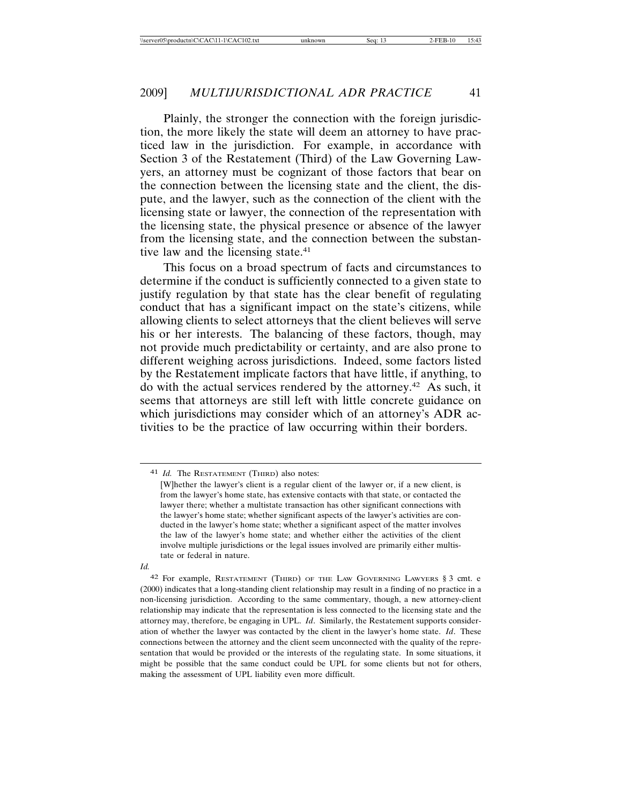Plainly, the stronger the connection with the foreign jurisdiction, the more likely the state will deem an attorney to have practiced law in the jurisdiction. For example, in accordance with Section 3 of the Restatement (Third) of the Law Governing Lawyers, an attorney must be cognizant of those factors that bear on the connection between the licensing state and the client, the dispute, and the lawyer, such as the connection of the client with the licensing state or lawyer, the connection of the representation with the licensing state, the physical presence or absence of the lawyer from the licensing state, and the connection between the substantive law and the licensing state. $41$ 

This focus on a broad spectrum of facts and circumstances to determine if the conduct is sufficiently connected to a given state to justify regulation by that state has the clear benefit of regulating conduct that has a significant impact on the state's citizens, while allowing clients to select attorneys that the client believes will serve his or her interests. The balancing of these factors, though, may not provide much predictability or certainty, and are also prone to different weighing across jurisdictions. Indeed, some factors listed by the Restatement implicate factors that have little, if anything, to do with the actual services rendered by the attorney.42 As such, it seems that attorneys are still left with little concrete guidance on which jurisdictions may consider which of an attorney's ADR activities to be the practice of law occurring within their borders.

*Id.*

<sup>41</sup> *Id.* The RESTATEMENT (THIRD) also notes:

<sup>[</sup>W]hether the lawyer's client is a regular client of the lawyer or, if a new client, is from the lawyer's home state, has extensive contacts with that state, or contacted the lawyer there; whether a multistate transaction has other significant connections with the lawyer's home state; whether significant aspects of the lawyer's activities are conducted in the lawyer's home state; whether a significant aspect of the matter involves the law of the lawyer's home state; and whether either the activities of the client involve multiple jurisdictions or the legal issues involved are primarily either multistate or federal in nature.

<sup>42</sup> For example, RESTATEMENT (THIRD) OF THE LAW GOVERNING LAWYERS § 3 cmt. e (2000) indicates that a long-standing client relationship may result in a finding of no practice in a non-licensing jurisdiction. According to the same commentary, though, a new attorney-client relationship may indicate that the representation is less connected to the licensing state and the attorney may, therefore, be engaging in UPL. *Id*. Similarly, the Restatement supports consideration of whether the lawyer was contacted by the client in the lawyer's home state. *Id*. These connections between the attorney and the client seem unconnected with the quality of the representation that would be provided or the interests of the regulating state. In some situations, it might be possible that the same conduct could be UPL for some clients but not for others, making the assessment of UPL liability even more difficult.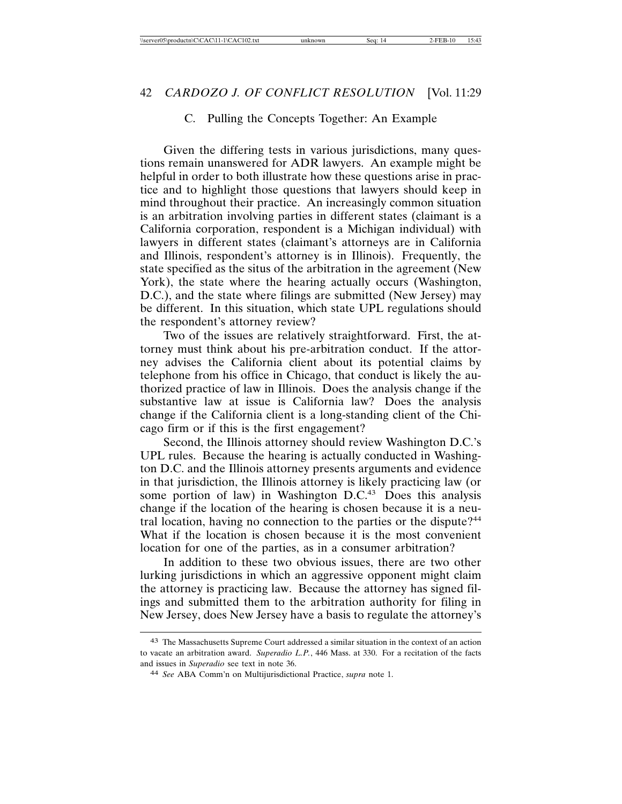#### C. Pulling the Concepts Together: An Example

Given the differing tests in various jurisdictions, many questions remain unanswered for ADR lawyers. An example might be helpful in order to both illustrate how these questions arise in practice and to highlight those questions that lawyers should keep in mind throughout their practice. An increasingly common situation is an arbitration involving parties in different states (claimant is a California corporation, respondent is a Michigan individual) with lawyers in different states (claimant's attorneys are in California and Illinois, respondent's attorney is in Illinois). Frequently, the state specified as the situs of the arbitration in the agreement (New York), the state where the hearing actually occurs (Washington, D.C.), and the state where filings are submitted (New Jersey) may be different. In this situation, which state UPL regulations should the respondent's attorney review?

Two of the issues are relatively straightforward. First, the attorney must think about his pre-arbitration conduct. If the attorney advises the California client about its potential claims by telephone from his office in Chicago, that conduct is likely the authorized practice of law in Illinois. Does the analysis change if the substantive law at issue is California law? Does the analysis change if the California client is a long-standing client of the Chicago firm or if this is the first engagement?

Second, the Illinois attorney should review Washington D.C.'s UPL rules. Because the hearing is actually conducted in Washington D.C. and the Illinois attorney presents arguments and evidence in that jurisdiction, the Illinois attorney is likely practicing law (or some portion of law) in Washington  $D.C.<sup>43</sup>$  Does this analysis change if the location of the hearing is chosen because it is a neutral location, having no connection to the parties or the dispute?<sup>44</sup> What if the location is chosen because it is the most convenient location for one of the parties, as in a consumer arbitration?

In addition to these two obvious issues, there are two other lurking jurisdictions in which an aggressive opponent might claim the attorney is practicing law. Because the attorney has signed filings and submitted them to the arbitration authority for filing in New Jersey, does New Jersey have a basis to regulate the attorney's

<sup>43</sup> The Massachusetts Supreme Court addressed a similar situation in the context of an action to vacate an arbitration award. *Superadio L.P.*, 446 Mass. at 330. For a recitation of the facts and issues in *Superadio* see text in note 36.

<sup>44</sup> *See* ABA Comm'n on Multijurisdictional Practice, *supra* note 1.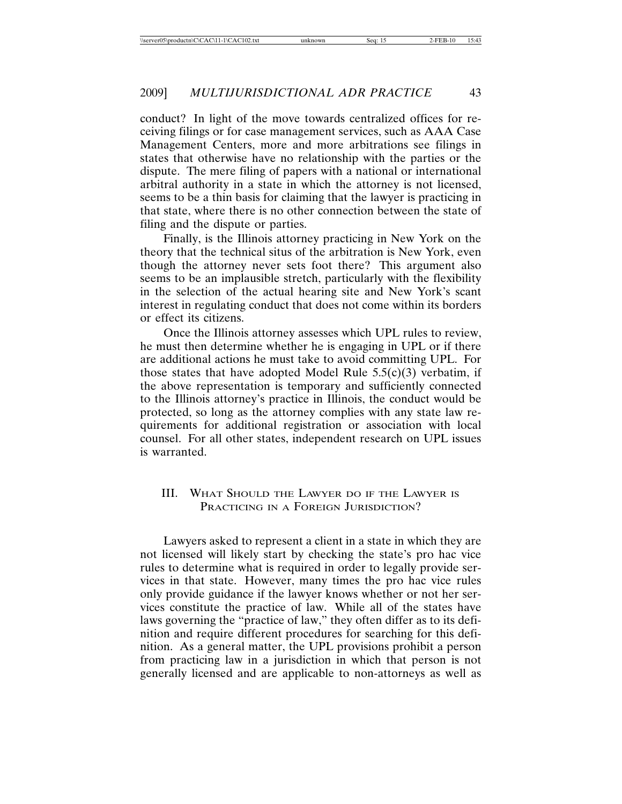conduct? In light of the move towards centralized offices for receiving filings or for case management services, such as AAA Case Management Centers, more and more arbitrations see filings in states that otherwise have no relationship with the parties or the dispute. The mere filing of papers with a national or international arbitral authority in a state in which the attorney is not licensed, seems to be a thin basis for claiming that the lawyer is practicing in that state, where there is no other connection between the state of filing and the dispute or parties.

Finally, is the Illinois attorney practicing in New York on the theory that the technical situs of the arbitration is New York, even though the attorney never sets foot there? This argument also seems to be an implausible stretch, particularly with the flexibility in the selection of the actual hearing site and New York's scant interest in regulating conduct that does not come within its borders or effect its citizens.

Once the Illinois attorney assesses which UPL rules to review, he must then determine whether he is engaging in UPL or if there are additional actions he must take to avoid committing UPL. For those states that have adopted Model Rule  $5.5(c)(3)$  verbatim, if the above representation is temporary and sufficiently connected to the Illinois attorney's practice in Illinois, the conduct would be protected, so long as the attorney complies with any state law requirements for additional registration or association with local counsel. For all other states, independent research on UPL issues is warranted.

#### III. WHAT SHOULD THE LAWYER DO IF THE LAWYER IS PRACTICING IN A FOREIGN JURISDICTION?

Lawyers asked to represent a client in a state in which they are not licensed will likely start by checking the state's pro hac vice rules to determine what is required in order to legally provide services in that state. However, many times the pro hac vice rules only provide guidance if the lawyer knows whether or not her services constitute the practice of law. While all of the states have laws governing the "practice of law," they often differ as to its definition and require different procedures for searching for this definition. As a general matter, the UPL provisions prohibit a person from practicing law in a jurisdiction in which that person is not generally licensed and are applicable to non-attorneys as well as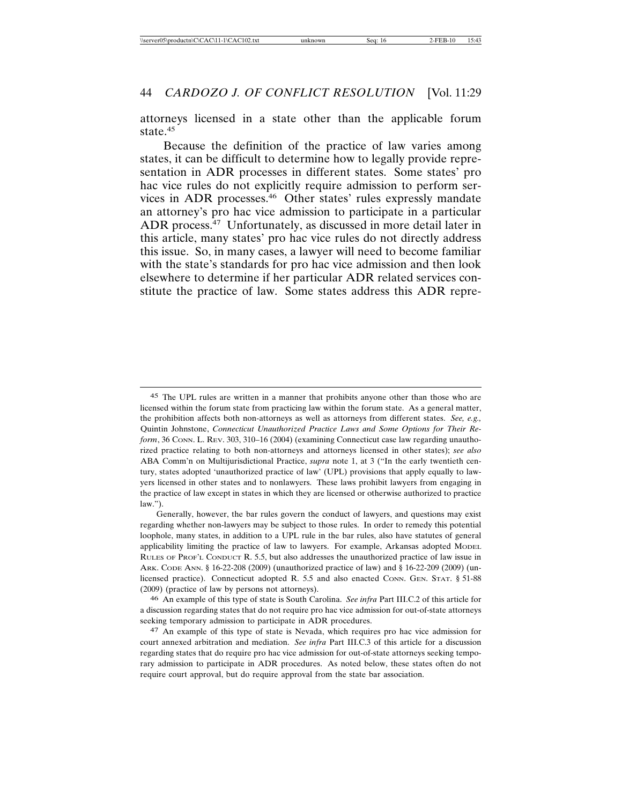attorneys licensed in a state other than the applicable forum state.<sup>45</sup>

Because the definition of the practice of law varies among states, it can be difficult to determine how to legally provide representation in ADR processes in different states. Some states' pro hac vice rules do not explicitly require admission to perform services in ADR processes.46 Other states' rules expressly mandate an attorney's pro hac vice admission to participate in a particular ADR process.<sup>47</sup> Unfortunately, as discussed in more detail later in this article, many states' pro hac vice rules do not directly address this issue. So, in many cases, a lawyer will need to become familiar with the state's standards for pro hac vice admission and then look elsewhere to determine if her particular ADR related services constitute the practice of law. Some states address this ADR repre-

<sup>45</sup> The UPL rules are written in a manner that prohibits anyone other than those who are licensed within the forum state from practicing law within the forum state. As a general matter, the prohibition affects both non-attorneys as well as attorneys from different states. *See, e.g.,* Quintin Johnstone, *Connecticut Unauthorized Practice Laws and Some Options for Their Reform*, 36 CONN. L. REV. 303, 310–16 (2004) (examining Connecticut case law regarding unauthorized practice relating to both non-attorneys and attorneys licensed in other states); *see also* ABA Comm'n on Multijurisdictional Practice, *supra* note 1, at 3 ("In the early twentieth century, states adopted 'unauthorized practice of law' (UPL) provisions that apply equally to lawyers licensed in other states and to nonlawyers. These laws prohibit lawyers from engaging in the practice of law except in states in which they are licensed or otherwise authorized to practice  $law.'$ ).

Generally, however, the bar rules govern the conduct of lawyers, and questions may exist regarding whether non-lawyers may be subject to those rules. In order to remedy this potential loophole, many states, in addition to a UPL rule in the bar rules, also have statutes of general applicability limiting the practice of law to lawyers. For example, Arkansas adopted MODEL RULES OF PROF'L CONDUCT R. 5.5, but also addresses the unauthorized practice of law issue in ARK. CODE ANN. § 16-22-208 (2009) (unauthorized practice of law) and § 16-22-209 (2009) (unlicensed practice). Connecticut adopted R. 5.5 and also enacted CONN. GEN. STAT. § 51-88 (2009) (practice of law by persons not attorneys).

<sup>46</sup> An example of this type of state is South Carolina. *See infra* Part III.C.2 of this article for a discussion regarding states that do not require pro hac vice admission for out-of-state attorneys seeking temporary admission to participate in ADR procedures.

<sup>47</sup> An example of this type of state is Nevada, which requires pro hac vice admission for court annexed arbitration and mediation. *See infra* Part III.C.3 of this article for a discussion regarding states that do require pro hac vice admission for out-of-state attorneys seeking temporary admission to participate in ADR procedures. As noted below, these states often do not require court approval, but do require approval from the state bar association.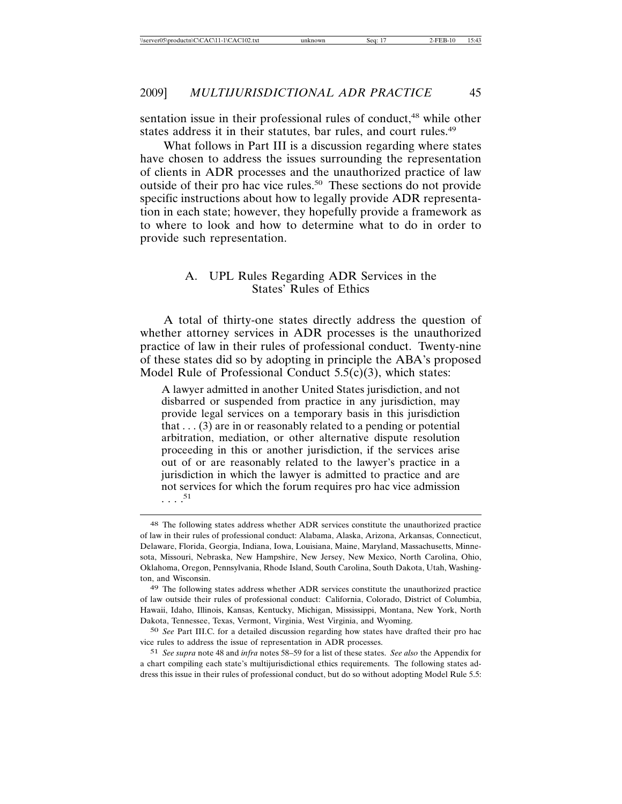sentation issue in their professional rules of conduct,<sup>48</sup> while other states address it in their statutes, bar rules, and court rules.<sup>49</sup>

What follows in Part III is a discussion regarding where states have chosen to address the issues surrounding the representation of clients in ADR processes and the unauthorized practice of law outside of their pro hac vice rules.50 These sections do not provide specific instructions about how to legally provide ADR representation in each state; however, they hopefully provide a framework as to where to look and how to determine what to do in order to provide such representation.

#### A. UPL Rules Regarding ADR Services in the States' Rules of Ethics

A total of thirty-one states directly address the question of whether attorney services in ADR processes is the unauthorized practice of law in their rules of professional conduct. Twenty-nine of these states did so by adopting in principle the ABA's proposed Model Rule of Professional Conduct 5.5(c)(3), which states:

A lawyer admitted in another United States jurisdiction, and not disbarred or suspended from practice in any jurisdiction, may provide legal services on a temporary basis in this jurisdiction that  $\dots$  (3) are in or reasonably related to a pending or potential arbitration, mediation, or other alternative dispute resolution proceeding in this or another jurisdiction, if the services arise out of or are reasonably related to the lawyer's practice in a jurisdiction in which the lawyer is admitted to practice and are not services for which the forum requires pro hac vice admission  $\ldots$ <sup>51</sup>

<sup>48</sup> The following states address whether ADR services constitute the unauthorized practice of law in their rules of professional conduct: Alabama, Alaska, Arizona, Arkansas, Connecticut, Delaware, Florida, Georgia, Indiana, Iowa, Louisiana, Maine, Maryland, Massachusetts, Minnesota, Missouri, Nebraska, New Hampshire, New Jersey, New Mexico, North Carolina, Ohio, Oklahoma, Oregon, Pennsylvania, Rhode Island, South Carolina, South Dakota, Utah, Washington, and Wisconsin.

<sup>49</sup> The following states address whether ADR services constitute the unauthorized practice of law outside their rules of professional conduct: California, Colorado, District of Columbia, Hawaii, Idaho, Illinois, Kansas, Kentucky, Michigan, Mississippi, Montana, New York, North Dakota, Tennessee, Texas, Vermont, Virginia, West Virginia, and Wyoming.

<sup>50</sup> *See* Part III.C. for a detailed discussion regarding how states have drafted their pro hac vice rules to address the issue of representation in ADR processes.

<sup>51</sup> *See supra* note 48 and *infra* notes 58–59 for a list of these states. *See also* the Appendix for a chart compiling each state's multijurisdictional ethics requirements. The following states address this issue in their rules of professional conduct, but do so without adopting Model Rule 5.5: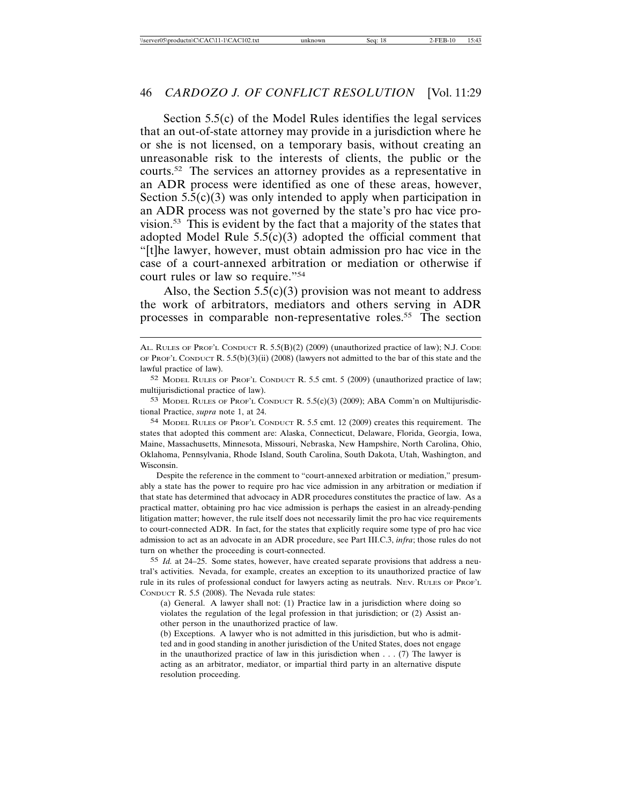Section 5.5(c) of the Model Rules identifies the legal services that an out-of-state attorney may provide in a jurisdiction where he or she is not licensed, on a temporary basis, without creating an unreasonable risk to the interests of clients, the public or the courts.52 The services an attorney provides as a representative in an ADR process were identified as one of these areas, however, Section  $5.5(c)(3)$  was only intended to apply when participation in an ADR process was not governed by the state's pro hac vice provision.<sup>53</sup> This is evident by the fact that a majority of the states that adopted Model Rule  $5.5(c)(3)$  adopted the official comment that "[t]he lawyer, however, must obtain admission pro hac vice in the case of a court-annexed arbitration or mediation or otherwise if court rules or law so require."54

Also, the Section  $5.5(c)(3)$  provision was not meant to address the work of arbitrators, mediators and others serving in ADR processes in comparable non-representative roles.<sup>55</sup> The section

Despite the reference in the comment to "court-annexed arbitration or mediation," presumably a state has the power to require pro hac vice admission in any arbitration or mediation if that state has determined that advocacy in ADR procedures constitutes the practice of law. As a practical matter, obtaining pro hac vice admission is perhaps the easiest in an already-pending litigation matter; however, the rule itself does not necessarily limit the pro hac vice requirements to court-connected ADR. In fact, for the states that explicitly require some type of pro hac vice admission to act as an advocate in an ADR procedure, see Part III.C.3, *infra*; those rules do not turn on whether the proceeding is court-connected.

55 *Id.* at 24–25. Some states, however, have created separate provisions that address a neutral's activities. Nevada, for example, creates an exception to its unauthorized practice of law rule in its rules of professional conduct for lawyers acting as neutrals. NEV. RULES OF PROF'L CONDUCT R. 5.5 (2008). The Nevada rule states:

AL. RULES OF PROF'L CONDUCT R. 5.5(B)(2) (2009) (unauthorized practice of law); N.J. CODE OF PROF'L CONDUCT R. 5.5(b)(3)(ii) (2008) (lawyers not admitted to the bar of this state and the lawful practice of law).

<sup>52</sup> MODEL RULES OF PROF'L CONDUCT R. 5.5 cmt. 5 (2009) (unauthorized practice of law; multijurisdictional practice of law).

<sup>53</sup> MODEL RULES OF PROF'L CONDUCT R.  $5.5(c)(3)$  (2009); ABA Comm'n on Multijurisdictional Practice, *supra* note 1, at 24.

<sup>54</sup> MODEL RULES OF PROF'L CONDUCT R. 5.5 cmt. 12 (2009) creates this requirement. The states that adopted this comment are: Alaska, Connecticut, Delaware, Florida, Georgia, Iowa, Maine, Massachusetts, Minnesota, Missouri, Nebraska, New Hampshire, North Carolina, Ohio, Oklahoma, Pennsylvania, Rhode Island, South Carolina, South Dakota, Utah, Washington, and Wisconsin.

<sup>(</sup>a) General. A lawyer shall not: (1) Practice law in a jurisdiction where doing so violates the regulation of the legal profession in that jurisdiction; or (2) Assist another person in the unauthorized practice of law.

<sup>(</sup>b) Exceptions. A lawyer who is not admitted in this jurisdiction, but who is admitted and in good standing in another jurisdiction of the United States, does not engage in the unauthorized practice of law in this jurisdiction when  $\dots$  (7) The lawyer is acting as an arbitrator, mediator, or impartial third party in an alternative dispute resolution proceeding.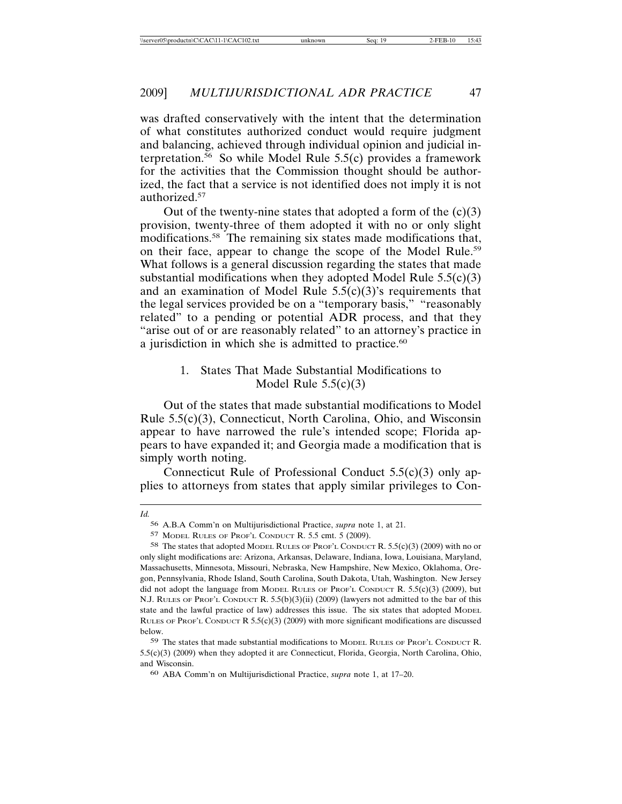was drafted conservatively with the intent that the determination of what constitutes authorized conduct would require judgment and balancing, achieved through individual opinion and judicial interpretation.<sup>56</sup> So while Model Rule  $5.5(c)$  provides a framework for the activities that the Commission thought should be authorized, the fact that a service is not identified does not imply it is not authorized.<sup>57</sup>

Out of the twenty-nine states that adopted a form of the  $(c)(3)$ provision, twenty-three of them adopted it with no or only slight modifications.<sup>58</sup> The remaining six states made modifications that, on their face, appear to change the scope of the Model Rule.<sup>59</sup> What follows is a general discussion regarding the states that made substantial modifications when they adopted Model Rule  $5.5(c)(3)$ and an examination of Model Rule  $5.5(c)(3)$ 's requirements that the legal services provided be on a "temporary basis," "reasonably related" to a pending or potential ADR process, and that they "arise out of or are reasonably related" to an attorney's practice in a jurisdiction in which she is admitted to practice.<sup>60</sup>

#### 1. States That Made Substantial Modifications to Model Rule  $5.5(c)(3)$

Out of the states that made substantial modifications to Model Rule 5.5(c)(3), Connecticut, North Carolina, Ohio, and Wisconsin appear to have narrowed the rule's intended scope; Florida appears to have expanded it; and Georgia made a modification that is simply worth noting.

Connecticut Rule of Professional Conduct 5.5(c)(3) only applies to attorneys from states that apply similar privileges to Con-

*Id.*

<sup>56</sup> A.B.A Comm'n on Multijurisdictional Practice, *supra* note 1, at 21.

<sup>57</sup> MODEL RULES OF PROF'L CONDUCT R. 5.5 cmt. 5 (2009).

<sup>58</sup> The states that adopted MODEL RULES OF PROF'L CONDUCT R. 5.5(c)(3) (2009) with no or only slight modifications are: Arizona, Arkansas, Delaware, Indiana, Iowa, Louisiana, Maryland, Massachusetts, Minnesota, Missouri, Nebraska, New Hampshire, New Mexico, Oklahoma, Oregon, Pennsylvania, Rhode Island, South Carolina, South Dakota, Utah, Washington. New Jersey did not adopt the language from MODEL RULES OF PROF'L CONDUCT R.  $5.5(c)(3)$  (2009), but N.J. RULES OF PROF'L CONDUCT R. 5.5(b)(3)(ii) (2009) (lawyers not admitted to the bar of this state and the lawful practice of law) addresses this issue. The six states that adopted MODEL RULES OF PROF'L CONDUCT R  $5.5(c)(3)$  (2009) with more significant modifications are discussed below.

<sup>59</sup> The states that made substantial modifications to MODEL RULES OF PROF'L CONDUCT R. 5.5(c)(3) (2009) when they adopted it are Connecticut, Florida, Georgia, North Carolina, Ohio, and Wisconsin.

<sup>60</sup> ABA Comm'n on Multijurisdictional Practice, *supra* note 1, at 17–20.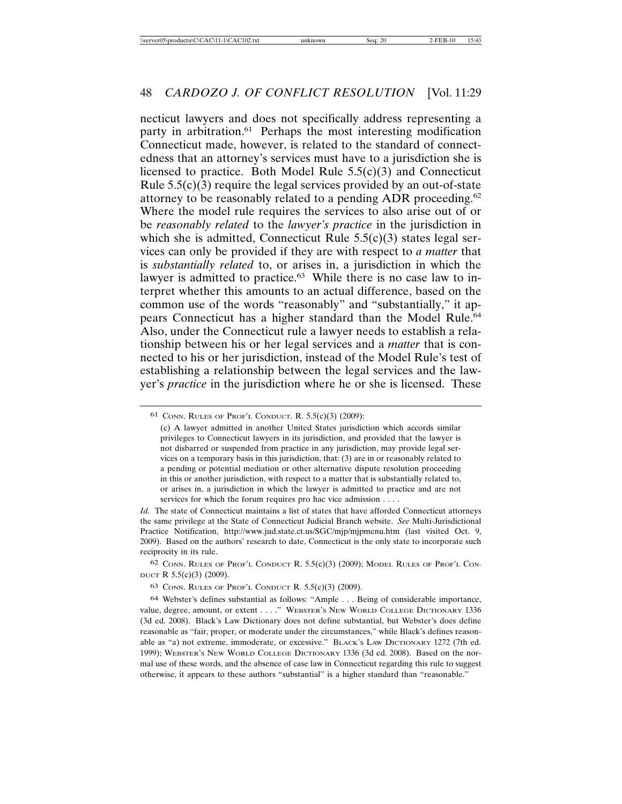necticut lawyers and does not specifically address representing a party in arbitration.<sup>61</sup> Perhaps the most interesting modification Connecticut made, however, is related to the standard of connectedness that an attorney's services must have to a jurisdiction she is licensed to practice. Both Model Rule  $5.5(c)(3)$  and Connecticut Rule  $5.5(c)(3)$  require the legal services provided by an out-of-state attorney to be reasonably related to a pending ADR proceeding.<sup>62</sup> Where the model rule requires the services to also arise out of or be *reasonably related* to the *lawyer's practice* in the jurisdiction in which she is admitted, Connecticut Rule  $5.5(c)(3)$  states legal services can only be provided if they are with respect to *a matter* that is *substantially related* to, or arises in, a jurisdiction in which the lawyer is admitted to practice.<sup>63</sup> While there is no case law to interpret whether this amounts to an actual difference, based on the common use of the words "reasonably" and "substantially," it appears Connecticut has a higher standard than the Model Rule.<sup>64</sup> Also, under the Connecticut rule a lawyer needs to establish a relationship between his or her legal services and a *matter* that is connected to his or her jurisdiction, instead of the Model Rule's test of establishing a relationship between the legal services and the lawyer's *practice* in the jurisdiction where he or she is licensed. These

*Id.* The state of Connecticut maintains a list of states that have afforded Connecticut attorneys the same privilege at the State of Connecticut Judicial Branch website. *See* Multi-Jurisdictional Practice Notification, http://www.jud.state.ct.us/SGC/mjp/mjpmenu.htm (last visited Oct. 9, 2009). Based on the authors' research to date, Connecticut is the only state to incorporate such reciprocity in its rule.

62 CONN. RULES OF PROF'L CONDUCT R. 5.5(c)(3) (2009); MODEL RULES OF PROF'L CON-DUCT R  $5.5(c)(3)$  (2009).

<sup>61</sup> CONN. RULES OF PROF'L CONDUCT. R. 5.5(c)(3) (2009):

<sup>(</sup>c) A lawyer admitted in another United States jurisdiction which accords similar privileges to Connecticut lawyers in its jurisdiction, and provided that the lawyer is not disbarred or suspended from practice in any jurisdiction, may provide legal services on a temporary basis in this jurisdiction, that: (3) are in or reasonably related to a pending or potential mediation or other alternative dispute resolution proceeding in this or another jurisdiction, with respect to a matter that is substantially related to, or arises in, a jurisdiction in which the lawyer is admitted to practice and are not services for which the forum requires pro hac vice admission . . . .

<sup>63</sup> CONN. RULES OF PROF'L CONDUCT R. 5.5(c)(3) (2009).

<sup>64</sup> Webster's defines substantial as follows: "Ample . . . Being of considerable importance, value, degree, amount, or extent . . . ." WEBSTER'S NEW WORLD COLLEGE DICTIONARY 1336 (3d ed. 2008). Black's Law Dictionary does not define substantial, but Webster's does define reasonable as "fair, proper, or moderate under the circumstances," while Black's defines reasonable as "a) not extreme, immoderate, or excessive." BLACK'S LAW DICTIONARY 1272 (7th ed. 1999); WEBSTER'S NEW WORLD COLLEGE DICTIONARY 1336 (3d ed. 2008). Based on the normal use of these words, and the absence of case law in Connecticut regarding this rule to suggest otherwise, it appears to these authors "substantial" is a higher standard than "reasonable."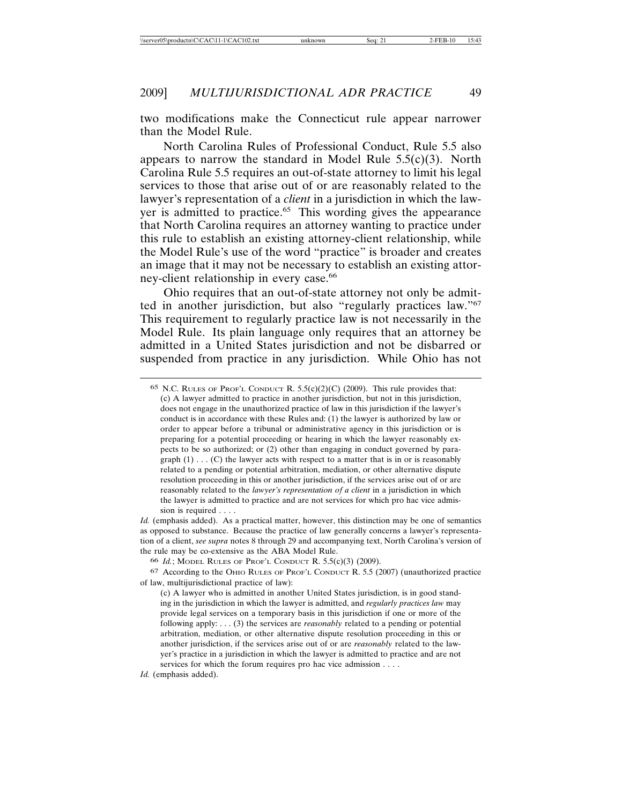two modifications make the Connecticut rule appear narrower than the Model Rule.

North Carolina Rules of Professional Conduct, Rule 5.5 also appears to narrow the standard in Model Rule  $5.5(c)(3)$ . North Carolina Rule 5.5 requires an out-of-state attorney to limit his legal services to those that arise out of or are reasonably related to the lawyer's representation of a *client* in a jurisdiction in which the lawyer is admitted to practice.<sup>65</sup> This wording gives the appearance that North Carolina requires an attorney wanting to practice under this rule to establish an existing attorney-client relationship, while the Model Rule's use of the word "practice" is broader and creates an image that it may not be necessary to establish an existing attorney-client relationship in every case.<sup>66</sup>

Ohio requires that an out-of-state attorney not only be admitted in another jurisdiction, but also "regularly practices law."67 This requirement to regularly practice law is not necessarily in the Model Rule. Its plain language only requires that an attorney be admitted in a United States jurisdiction and not be disbarred or suspended from practice in any jurisdiction. While Ohio has not

*Id.* (emphasis added). As a practical matter, however, this distinction may be one of semantics as opposed to substance. Because the practice of law generally concerns a lawyer's representation of a client, *see supra* notes 8 through 29 and accompanying text, North Carolina's version of the rule may be co-extensive as the ABA Model Rule.

<sup>65</sup> N.C. RULES OF PROF'L CONDUCT R.  $5.5(c)(2)(C)$  (2009). This rule provides that: (c) A lawyer admitted to practice in another jurisdiction, but not in this jurisdiction, does not engage in the unauthorized practice of law in this jurisdiction if the lawyer's conduct is in accordance with these Rules and: (1) the lawyer is authorized by law or order to appear before a tribunal or administrative agency in this jurisdiction or is preparing for a potential proceeding or hearing in which the lawyer reasonably expects to be so authorized; or (2) other than engaging in conduct governed by paragraph  $(1)$ ... $(C)$  the lawyer acts with respect to a matter that is in or is reasonably related to a pending or potential arbitration, mediation, or other alternative dispute resolution proceeding in this or another jurisdiction, if the services arise out of or are reasonably related to the *lawyer's representation of a client* in a jurisdiction in which the lawyer is admitted to practice and are not services for which pro hac vice admission is required . . . .

<sup>66</sup> *Id.*; MODEL RULES OF PROF'L CONDUCT R. 5.5(c)(3) (2009).

<sup>67</sup> According to the OHIO RULES OF PROF'L CONDUCT R. 5.5 (2007) (unauthorized practice of law, multijurisdictional practice of law):

<sup>(</sup>c) A lawyer who is admitted in another United States jurisdiction, is in good standing in the jurisdiction in which the lawyer is admitted, and *regularly practices law* may provide legal services on a temporary basis in this jurisdiction if one or more of the following apply: . . . (3) the services are *reasonably* related to a pending or potential arbitration, mediation, or other alternative dispute resolution proceeding in this or another jurisdiction, if the services arise out of or are *reasonably* related to the lawyer's practice in a jurisdiction in which the lawyer is admitted to practice and are not services for which the forum requires pro hac vice admission . . . .

*Id.* (emphasis added).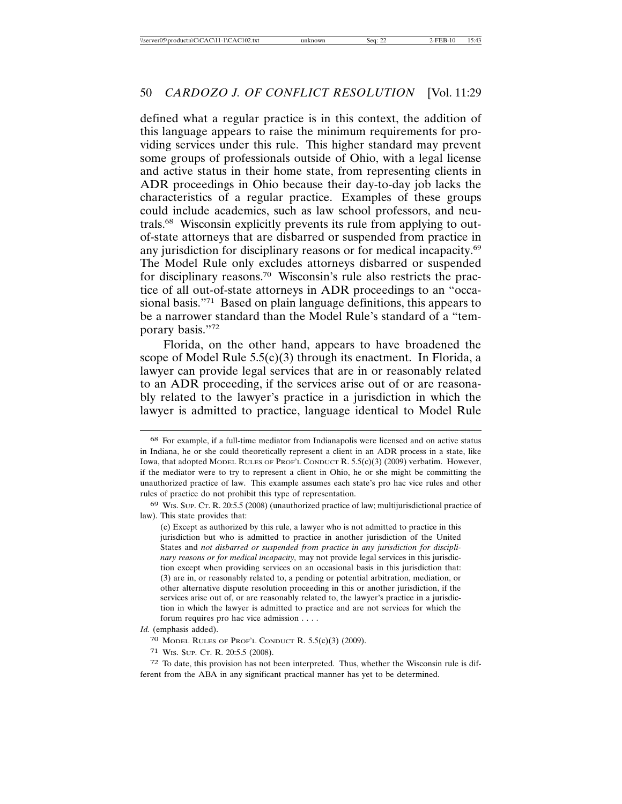defined what a regular practice is in this context, the addition of this language appears to raise the minimum requirements for providing services under this rule. This higher standard may prevent some groups of professionals outside of Ohio, with a legal license and active status in their home state, from representing clients in ADR proceedings in Ohio because their day-to-day job lacks the characteristics of a regular practice. Examples of these groups could include academics, such as law school professors, and neutrals.68 Wisconsin explicitly prevents its rule from applying to outof-state attorneys that are disbarred or suspended from practice in any jurisdiction for disciplinary reasons or for medical incapacity.<sup>69</sup> The Model Rule only excludes attorneys disbarred or suspended for disciplinary reasons.70 Wisconsin's rule also restricts the practice of all out-of-state attorneys in ADR proceedings to an "occasional basis."71 Based on plain language definitions, this appears to be a narrower standard than the Model Rule's standard of a "temporary basis."72

Florida, on the other hand, appears to have broadened the scope of Model Rule  $5.5(c)(3)$  through its enactment. In Florida, a lawyer can provide legal services that are in or reasonably related to an ADR proceeding, if the services arise out of or are reasonably related to the lawyer's practice in a jurisdiction in which the lawyer is admitted to practice, language identical to Model Rule

71 WIS. SUP. CT. R. 20:5.5 (2008).

72 To date, this provision has not been interpreted. Thus, whether the Wisconsin rule is different from the ABA in any significant practical manner has yet to be determined.

<sup>68</sup> For example, if a full-time mediator from Indianapolis were licensed and on active status in Indiana, he or she could theoretically represent a client in an ADR process in a state, like Iowa, that adopted MODEL RULES OF PROF'L CONDUCT R. 5.5(c)(3) (2009) verbatim. However, if the mediator were to try to represent a client in Ohio, he or she might be committing the unauthorized practice of law. This example assumes each state's pro hac vice rules and other rules of practice do not prohibit this type of representation.

<sup>69</sup> WIS. SUP. CT. R. 20:5.5 (2008) (unauthorized practice of law; multijurisdictional practice of law). This state provides that:

<sup>(</sup>c) Except as authorized by this rule, a lawyer who is not admitted to practice in this jurisdiction but who is admitted to practice in another jurisdiction of the United States and *not disbarred or suspended from practice in any jurisdiction for disciplinary reasons or for medical incapacity,* may not provide legal services in this jurisdiction except when providing services on an occasional basis in this jurisdiction that: (3) are in, or reasonably related to, a pending or potential arbitration, mediation, or other alternative dispute resolution proceeding in this or another jurisdiction, if the services arise out of, or are reasonably related to, the lawyer's practice in a jurisdiction in which the lawyer is admitted to practice and are not services for which the forum requires pro hac vice admission . . . .

*Id.* (emphasis added).

<sup>70</sup> MODEL RULES OF PROF'L CONDUCT R. 5.5(c)(3) (2009).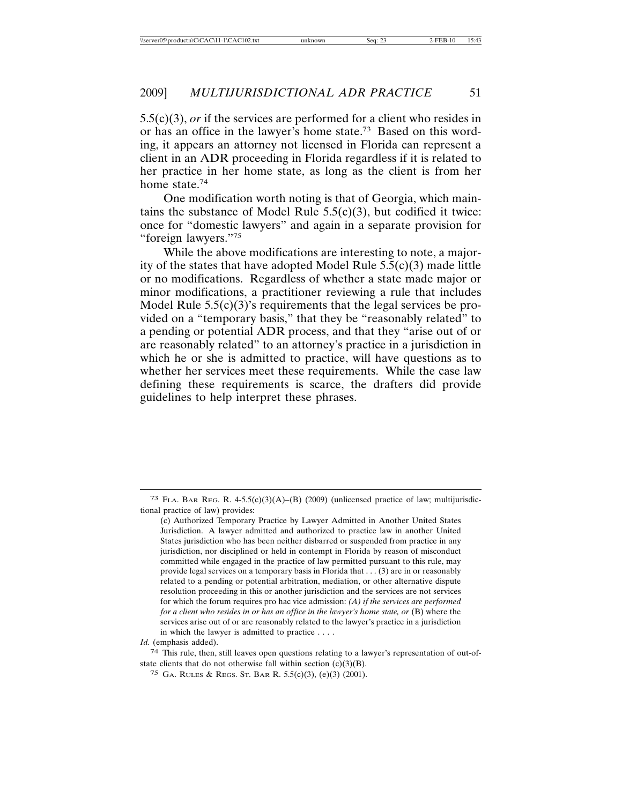5.5(c)(3), *or* if the services are performed for a client who resides in or has an office in the lawyer's home state.73 Based on this wording, it appears an attorney not licensed in Florida can represent a client in an ADR proceeding in Florida regardless if it is related to her practice in her home state, as long as the client is from her home state.<sup>74</sup>

One modification worth noting is that of Georgia, which maintains the substance of Model Rule  $5.5(c)(3)$ , but codified it twice: once for "domestic lawyers" and again in a separate provision for "foreign lawyers."75

While the above modifications are interesting to note, a majority of the states that have adopted Model Rule  $5.5(c)(3)$  made little or no modifications. Regardless of whether a state made major or minor modifications, a practitioner reviewing a rule that includes Model Rule 5.5(c)(3)'s requirements that the legal services be provided on a "temporary basis," that they be "reasonably related" to a pending or potential ADR process, and that they "arise out of or are reasonably related" to an attorney's practice in a jurisdiction in which he or she is admitted to practice, will have questions as to whether her services meet these requirements. While the case law defining these requirements is scarce, the drafters did provide guidelines to help interpret these phrases.

74 This rule, then, still leaves open questions relating to a lawyer's representation of out-ofstate clients that do not otherwise fall within section  $(c)(3)(B)$ .

<sup>&</sup>lt;sup>73</sup> FLA. BAR REG. R. 4-5.5(c)(3)(A)–(B) (2009) (unlicensed practice of law; multijurisdictional practice of law) provides:

<sup>(</sup>c) Authorized Temporary Practice by Lawyer Admitted in Another United States Jurisdiction. A lawyer admitted and authorized to practice law in another United States jurisdiction who has been neither disbarred or suspended from practice in any jurisdiction, nor disciplined or held in contempt in Florida by reason of misconduct committed while engaged in the practice of law permitted pursuant to this rule, may provide legal services on a temporary basis in Florida that . . . (3) are in or reasonably related to a pending or potential arbitration, mediation, or other alternative dispute resolution proceeding in this or another jurisdiction and the services are not services for which the forum requires pro hac vice admission: *(A) if the services are performed for a client who resides in or has an office in the lawyer's home state, or* (B) where the services arise out of or are reasonably related to the lawyer's practice in a jurisdiction in which the lawyer is admitted to practice . . . .

*Id.* (emphasis added).

<sup>75</sup> GA. RULES & REGS. ST. BAR R. 5.5(c)(3), (e)(3) (2001).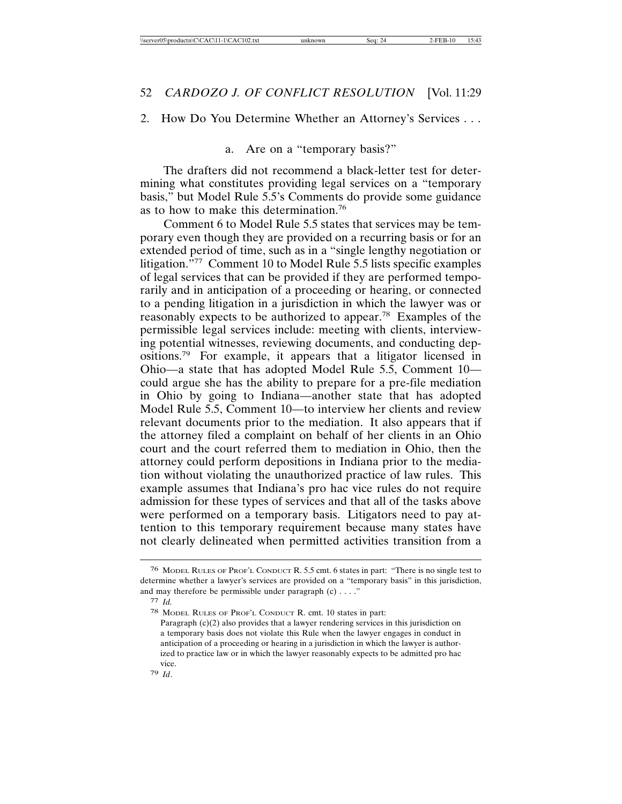#### 2. How Do You Determine Whether an Attorney's Services . . .

a. Are on a "temporary basis?"

The drafters did not recommend a black-letter test for determining what constitutes providing legal services on a "temporary basis," but Model Rule 5.5's Comments do provide some guidance as to how to make this determination.76

Comment 6 to Model Rule 5.5 states that services may be temporary even though they are provided on a recurring basis or for an extended period of time, such as in a "single lengthy negotiation or litigation."77 Comment 10 to Model Rule 5.5 lists specific examples of legal services that can be provided if they are performed temporarily and in anticipation of a proceeding or hearing, or connected to a pending litigation in a jurisdiction in which the lawyer was or reasonably expects to be authorized to appear.<sup>78</sup> Examples of the permissible legal services include: meeting with clients, interviewing potential witnesses, reviewing documents, and conducting depositions.79 For example, it appears that a litigator licensed in Ohio—a state that has adopted Model Rule 5.5, Comment 10 could argue she has the ability to prepare for a pre-file mediation in Ohio by going to Indiana—another state that has adopted Model Rule 5.5, Comment 10—to interview her clients and review relevant documents prior to the mediation. It also appears that if the attorney filed a complaint on behalf of her clients in an Ohio court and the court referred them to mediation in Ohio, then the attorney could perform depositions in Indiana prior to the mediation without violating the unauthorized practice of law rules. This example assumes that Indiana's pro hac vice rules do not require admission for these types of services and that all of the tasks above were performed on a temporary basis. Litigators need to pay attention to this temporary requirement because many states have not clearly delineated when permitted activities transition from a

<sup>76</sup> MODEL RULES OF PROF'L CONDUCT R. 5.5 cmt. 6 states in part: "There is no single test to determine whether a lawyer's services are provided on a "temporary basis" in this jurisdiction, and may therefore be permissible under paragraph  $(c)$ ...."

<sup>77</sup> *Id.*

<sup>78</sup> MODEL RULES OF PROF'L CONDUCT R. cmt. 10 states in part:

Paragraph (c)(2) also provides that a lawyer rendering services in this jurisdiction on a temporary basis does not violate this Rule when the lawyer engages in conduct in anticipation of a proceeding or hearing in a jurisdiction in which the lawyer is authorized to practice law or in which the lawyer reasonably expects to be admitted pro hac vice.

<sup>79</sup> *Id*.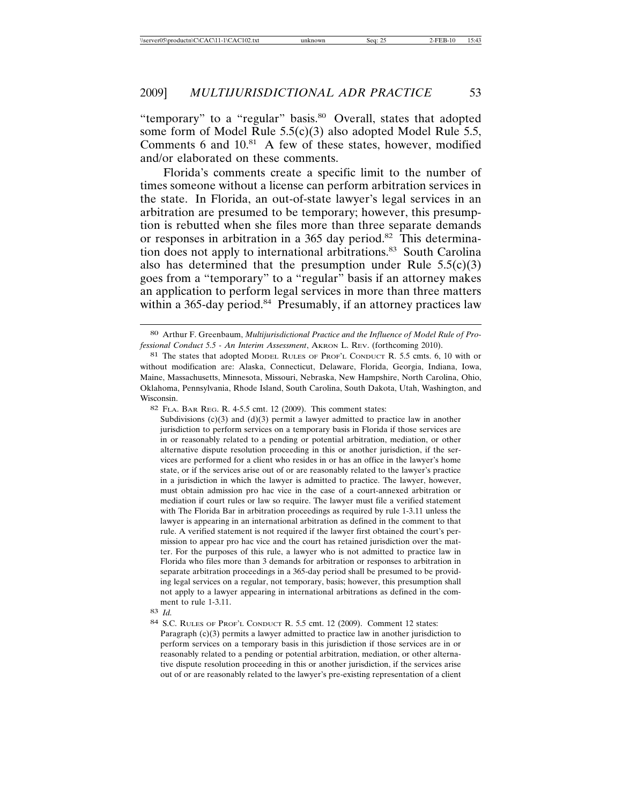"temporary" to a "regular" basis.<sup>80</sup> Overall, states that adopted some form of Model Rule 5.5(c)(3) also adopted Model Rule 5.5, Comments 6 and  $10^{81}$  A few of these states, however, modified and/or elaborated on these comments.

Florida's comments create a specific limit to the number of times someone without a license can perform arbitration services in the state. In Florida, an out-of-state lawyer's legal services in an arbitration are presumed to be temporary; however, this presumption is rebutted when she files more than three separate demands or responses in arbitration in a 365 day period.<sup>82</sup> This determination does not apply to international arbitrations.<sup>83</sup> South Carolina also has determined that the presumption under Rule  $5.5(c)(3)$ goes from a "temporary" to a "regular" basis if an attorney makes an application to perform legal services in more than three matters within a 365-day period.<sup>84</sup> Presumably, if an attorney practices law

82 FLA. BAR REG. R. 4-5.5 cmt. 12 (2009). This comment states:

Subdivisions  $(c)(3)$  and  $(d)(3)$  permit a lawyer admitted to practice law in another jurisdiction to perform services on a temporary basis in Florida if those services are in or reasonably related to a pending or potential arbitration, mediation, or other alternative dispute resolution proceeding in this or another jurisdiction, if the services are performed for a client who resides in or has an office in the lawyer's home state, or if the services arise out of or are reasonably related to the lawyer's practice in a jurisdiction in which the lawyer is admitted to practice. The lawyer, however, must obtain admission pro hac vice in the case of a court-annexed arbitration or mediation if court rules or law so require. The lawyer must file a verified statement with The Florida Bar in arbitration proceedings as required by rule 1-3.11 unless the lawyer is appearing in an international arbitration as defined in the comment to that rule. A verified statement is not required if the lawyer first obtained the court's permission to appear pro hac vice and the court has retained jurisdiction over the matter. For the purposes of this rule, a lawyer who is not admitted to practice law in Florida who files more than 3 demands for arbitration or responses to arbitration in separate arbitration proceedings in a 365-day period shall be presumed to be providing legal services on a regular, not temporary, basis; however, this presumption shall not apply to a lawyer appearing in international arbitrations as defined in the comment to rule 1-3.11.

83 *Id.*

84 S.C. RULES OF PROF'L CONDUCT R. 5.5 cmt. 12 (2009). Comment 12 states:

Paragraph (c)(3) permits a lawyer admitted to practice law in another jurisdiction to perform services on a temporary basis in this jurisdiction if those services are in or reasonably related to a pending or potential arbitration, mediation, or other alternative dispute resolution proceeding in this or another jurisdiction, if the services arise out of or are reasonably related to the lawyer's pre-existing representation of a client

<sup>80</sup> Arthur F. Greenbaum, *Multijurisdictional Practice and the Influence of Model Rule of Professional Conduct 5.5 - An Interim Assessment*, AKRON L. REV. (forthcoming 2010).

<sup>81</sup> The states that adopted MODEL RULES OF PROF'L CONDUCT R. 5.5 cmts. 6, 10 with or without modification are: Alaska, Connecticut, Delaware, Florida, Georgia, Indiana, Iowa, Maine, Massachusetts, Minnesota, Missouri, Nebraska, New Hampshire, North Carolina, Ohio, Oklahoma, Pennsylvania, Rhode Island, South Carolina, South Dakota, Utah, Washington, and Wisconsin.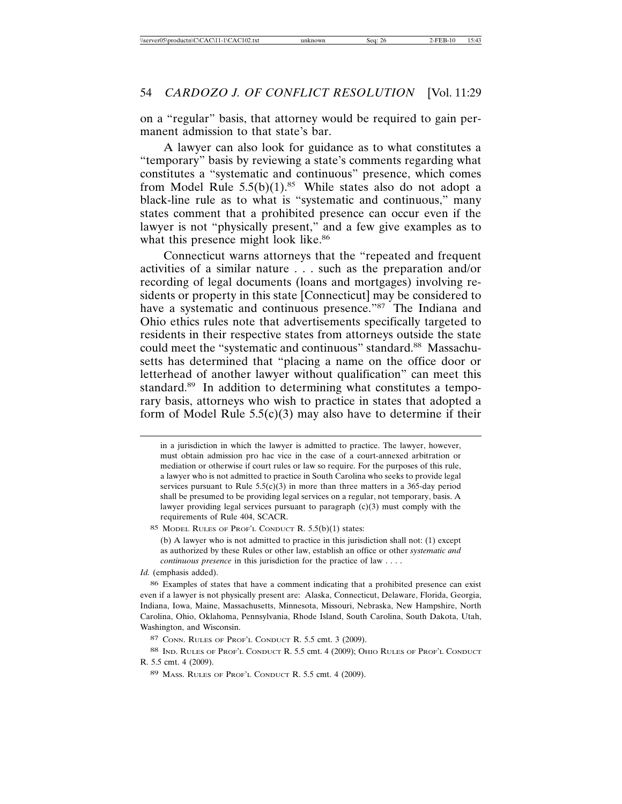on a "regular" basis, that attorney would be required to gain permanent admission to that state's bar.

A lawyer can also look for guidance as to what constitutes a "temporary" basis by reviewing a state's comments regarding what constitutes a "systematic and continuous" presence, which comes from Model Rule  $5.5(b)(1).85$  While states also do not adopt a black-line rule as to what is "systematic and continuous," many states comment that a prohibited presence can occur even if the lawyer is not "physically present," and a few give examples as to what this presence might look like.<sup>86</sup>

Connecticut warns attorneys that the "repeated and frequent activities of a similar nature . . . such as the preparation and/or recording of legal documents (loans and mortgages) involving residents or property in this state [Connecticut] may be considered to have a systematic and continuous presence."<sup>87</sup> The Indiana and Ohio ethics rules note that advertisements specifically targeted to residents in their respective states from attorneys outside the state could meet the "systematic and continuous" standard.<sup>88</sup> Massachusetts has determined that "placing a name on the office door or letterhead of another lawyer without qualification" can meet this standard.<sup>89</sup> In addition to determining what constitutes a temporary basis, attorneys who wish to practice in states that adopted a form of Model Rule  $5.5(c)(3)$  may also have to determine if their

85 MODEL RULES OF PROF'L CONDUCT R. 5.5(b)(1) states:

(b) A lawyer who is not admitted to practice in this jurisdiction shall not: (1) except as authorized by these Rules or other law, establish an office or other *systematic and continuous presence* in this jurisdiction for the practice of law . . . .

*Id.* (emphasis added).

86 Examples of states that have a comment indicating that a prohibited presence can exist even if a lawyer is not physically present are: Alaska, Connecticut, Delaware, Florida, Georgia, Indiana, Iowa, Maine, Massachusetts, Minnesota, Missouri, Nebraska, New Hampshire, North Carolina, Ohio, Oklahoma, Pennsylvania, Rhode Island, South Carolina, South Dakota, Utah, Washington, and Wisconsin.

88 IND. RULES OF PROF'L CONDUCT R. 5.5 cmt. 4 (2009); OHIO RULES OF PROF'L CONDUCT R. 5.5 cmt. 4 (2009).

in a jurisdiction in which the lawyer is admitted to practice. The lawyer, however, must obtain admission pro hac vice in the case of a court-annexed arbitration or mediation or otherwise if court rules or law so require. For the purposes of this rule, a lawyer who is not admitted to practice in South Carolina who seeks to provide legal services pursuant to Rule  $5.5(c)(3)$  in more than three matters in a 365-day period shall be presumed to be providing legal services on a regular, not temporary, basis. A lawyer providing legal services pursuant to paragraph (c)(3) must comply with the requirements of Rule 404, SCACR.

<sup>87</sup> CONN. RULES OF PROF'L CONDUCT R. 5.5 cmt. 3 (2009).

<sup>89</sup> MASS. RULES OF PROF'L CONDUCT R. 5.5 cmt. 4 (2009).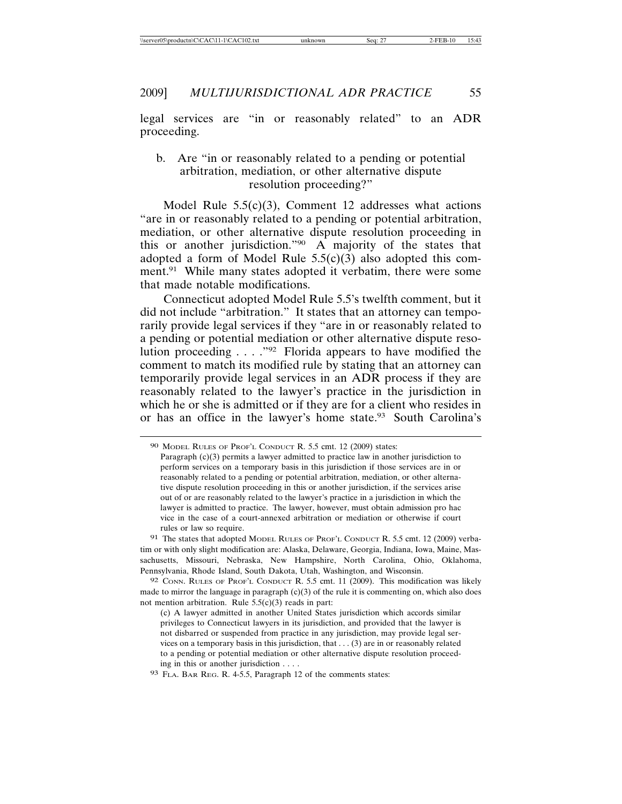legal services are "in or reasonably related" to an ADR proceeding.

#### b. Are "in or reasonably related to a pending or potential arbitration, mediation, or other alternative dispute resolution proceeding?"

Model Rule 5.5(c)(3), Comment 12 addresses what actions "are in or reasonably related to a pending or potential arbitration, mediation, or other alternative dispute resolution proceeding in this or another jurisdiction."90 A majority of the states that adopted a form of Model Rule  $5.5(c)(3)$  also adopted this comment.<sup>91</sup> While many states adopted it verbatim, there were some that made notable modifications.

Connecticut adopted Model Rule 5.5's twelfth comment, but it did not include "arbitration." It states that an attorney can temporarily provide legal services if they "are in or reasonably related to a pending or potential mediation or other alternative dispute resolution proceeding . . . ."92 Florida appears to have modified the comment to match its modified rule by stating that an attorney can temporarily provide legal services in an ADR process if they are reasonably related to the lawyer's practice in the jurisdiction in which he or she is admitted or if they are for a client who resides in or has an office in the lawyer's home state.<sup>93</sup> South Carolina's

91 The states that adopted MODEL RULES OF PROF'L CONDUCT R. 5.5 cmt. 12 (2009) verbatim or with only slight modification are: Alaska, Delaware, Georgia, Indiana, Iowa, Maine, Massachusetts, Missouri, Nebraska, New Hampshire, North Carolina, Ohio, Oklahoma, Pennsylvania, Rhode Island, South Dakota, Utah, Washington, and Wisconsin.

92 CONN. RULES OF PROF'L CONDUCT R. 5.5 cmt. 11 (2009). This modification was likely made to mirror the language in paragraph  $(c)(3)$  of the rule it is commenting on, which also does not mention arbitration. Rule  $5.5(c)(3)$  reads in part:

(c) A lawyer admitted in another United States jurisdiction which accords similar privileges to Connecticut lawyers in its jurisdiction, and provided that the lawyer is not disbarred or suspended from practice in any jurisdiction, may provide legal services on a temporary basis in this jurisdiction, that . . . (3) are in or reasonably related to a pending or potential mediation or other alternative dispute resolution proceeding in this or another jurisdiction . . . .

93 FLA. BAR REG. R. 4-5.5, Paragraph 12 of the comments states:

<sup>90</sup> MODEL RULES OF PROF'L CONDUCT R. 5.5 cmt. 12 (2009) states:

Paragraph (c)(3) permits a lawyer admitted to practice law in another jurisdiction to perform services on a temporary basis in this jurisdiction if those services are in or reasonably related to a pending or potential arbitration, mediation, or other alternative dispute resolution proceeding in this or another jurisdiction, if the services arise out of or are reasonably related to the lawyer's practice in a jurisdiction in which the lawyer is admitted to practice. The lawyer, however, must obtain admission pro hac vice in the case of a court-annexed arbitration or mediation or otherwise if court rules or law so require.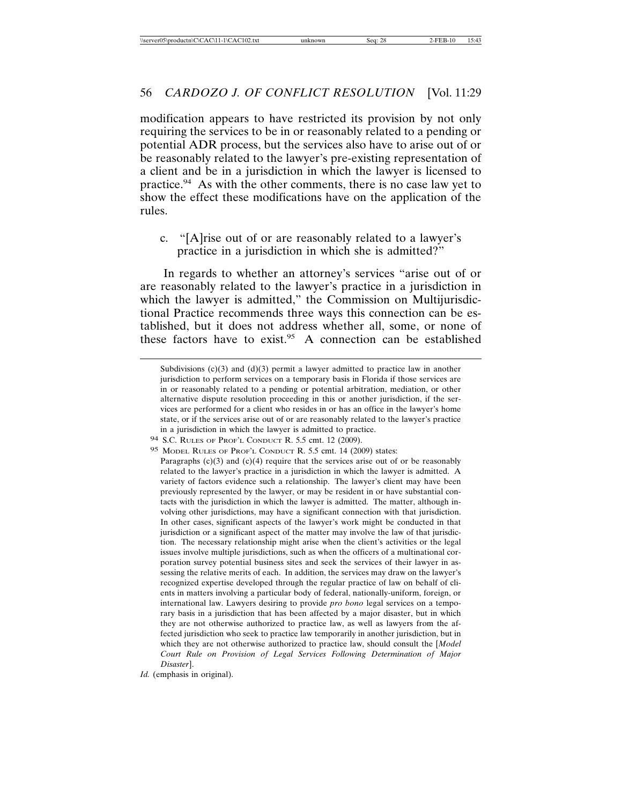modification appears to have restricted its provision by not only requiring the services to be in or reasonably related to a pending or potential ADR process, but the services also have to arise out of or be reasonably related to the lawyer's pre-existing representation of a client and be in a jurisdiction in which the lawyer is licensed to practice.94 As with the other comments, there is no case law yet to show the effect these modifications have on the application of the rules.

c. "[A]rise out of or are reasonably related to a lawyer's practice in a jurisdiction in which she is admitted?"

In regards to whether an attorney's services "arise out of or are reasonably related to the lawyer's practice in a jurisdiction in which the lawyer is admitted," the Commission on Multijurisdictional Practice recommends three ways this connection can be established, but it does not address whether all, some, or none of these factors have to exist.<sup>95</sup> A connection can be established

Subdivisions  $(c)(3)$  and  $(d)(3)$  permit a lawyer admitted to practice law in another jurisdiction to perform services on a temporary basis in Florida if those services are in or reasonably related to a pending or potential arbitration, mediation, or other alternative dispute resolution proceeding in this or another jurisdiction, if the services are performed for a client who resides in or has an office in the lawyer's home state, or if the services arise out of or are reasonably related to the lawyer's practice in a jurisdiction in which the lawyer is admitted to practice.

<sup>94</sup> S.C. RULES OF PROF'L CONDUCT R. 5.5 cmt. 12 (2009).

<sup>95</sup> MODEL RULES OF PROF'L CONDUCT R. 5.5 cmt. 14 (2009) states:

Paragraphs  $(c)(3)$  and  $(c)(4)$  require that the services arise out of or be reasonably related to the lawyer's practice in a jurisdiction in which the lawyer is admitted. A variety of factors evidence such a relationship. The lawyer's client may have been previously represented by the lawyer, or may be resident in or have substantial contacts with the jurisdiction in which the lawyer is admitted. The matter, although involving other jurisdictions, may have a significant connection with that jurisdiction. In other cases, significant aspects of the lawyer's work might be conducted in that jurisdiction or a significant aspect of the matter may involve the law of that jurisdiction. The necessary relationship might arise when the client's activities or the legal issues involve multiple jurisdictions, such as when the officers of a multinational corporation survey potential business sites and seek the services of their lawyer in assessing the relative merits of each. In addition, the services may draw on the lawyer's recognized expertise developed through the regular practice of law on behalf of clients in matters involving a particular body of federal, nationally-uniform, foreign, or international law. Lawyers desiring to provide *pro bono* legal services on a temporary basis in a jurisdiction that has been affected by a major disaster, but in which they are not otherwise authorized to practice law, as well as lawyers from the affected jurisdiction who seek to practice law temporarily in another jurisdiction, but in which they are not otherwise authorized to practice law, should consult the [*Model Court Rule on Provision of Legal Services Following Determination of Major Disaster*].

*Id.* (emphasis in original).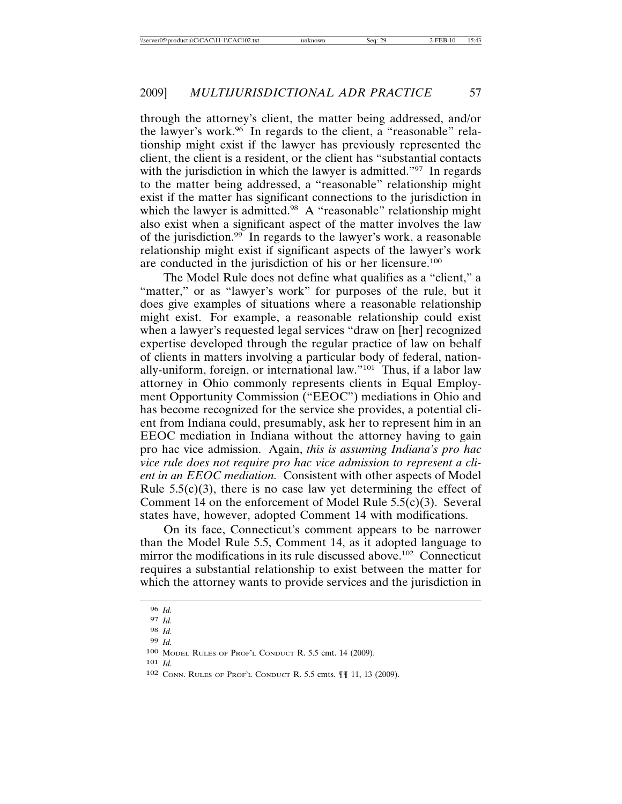through the attorney's client, the matter being addressed, and/or the lawyer's work.<sup>96</sup> In regards to the client, a "reasonable" relationship might exist if the lawyer has previously represented the client, the client is a resident, or the client has "substantial contacts with the jurisdiction in which the lawyer is admitted."<sup>97</sup> In regards to the matter being addressed, a "reasonable" relationship might exist if the matter has significant connections to the jurisdiction in which the lawyer is admitted.<sup>98</sup> A "reasonable" relationship might also exist when a significant aspect of the matter involves the law of the jurisdiction.<sup>99</sup> In regards to the lawyer's work, a reasonable relationship might exist if significant aspects of the lawyer's work are conducted in the jurisdiction of his or her licensure.100

The Model Rule does not define what qualifies as a "client," a "matter," or as "lawyer's work" for purposes of the rule, but it does give examples of situations where a reasonable relationship might exist. For example, a reasonable relationship could exist when a lawyer's requested legal services "draw on [her] recognized expertise developed through the regular practice of law on behalf of clients in matters involving a particular body of federal, nationally-uniform, foreign, or international law."101 Thus, if a labor law attorney in Ohio commonly represents clients in Equal Employment Opportunity Commission ("EEOC") mediations in Ohio and has become recognized for the service she provides, a potential client from Indiana could, presumably, ask her to represent him in an EEOC mediation in Indiana without the attorney having to gain pro hac vice admission. Again, *this is assuming Indiana's pro hac vice rule does not require pro hac vice admission to represent a client in an EEOC mediation.* Consistent with other aspects of Model Rule  $5.5(c)(3)$ , there is no case law yet determining the effect of Comment 14 on the enforcement of Model Rule 5.5(c)(3). Several states have, however, adopted Comment 14 with modifications.

On its face, Connecticut's comment appears to be narrower than the Model Rule 5.5, Comment 14, as it adopted language to mirror the modifications in its rule discussed above.<sup>102</sup> Connecticut requires a substantial relationship to exist between the matter for which the attorney wants to provide services and the jurisdiction in

101 *Id.*

<sup>96</sup> *Id.*

<sup>97</sup> *Id.*

<sup>98</sup> *Id.*

<sup>99</sup> *Id.*

<sup>100</sup> MODEL RULES OF PROF'L CONDUCT R. 5.5 cmt. 14 (2009).

<sup>102</sup> CONN. RULES OF PROF'L CONDUCT R. 5.5 cmts. ¶¶ 11, 13 (2009).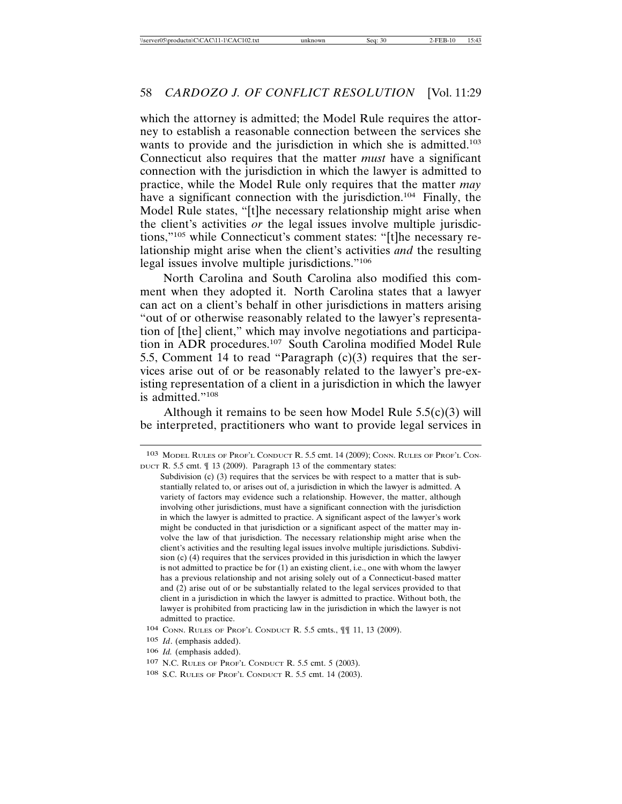which the attorney is admitted; the Model Rule requires the attorney to establish a reasonable connection between the services she wants to provide and the jurisdiction in which she is admitted.<sup>103</sup> Connecticut also requires that the matter *must* have a significant connection with the jurisdiction in which the lawyer is admitted to practice, while the Model Rule only requires that the matter *may* have a significant connection with the jurisdiction.<sup>104</sup> Finally, the Model Rule states, "[t]he necessary relationship might arise when the client's activities *or* the legal issues involve multiple jurisdictions,"105 while Connecticut's comment states: "[t]he necessary relationship might arise when the client's activities *and* the resulting legal issues involve multiple jurisdictions."106

North Carolina and South Carolina also modified this comment when they adopted it. North Carolina states that a lawyer can act on a client's behalf in other jurisdictions in matters arising "out of or otherwise reasonably related to the lawyer's representation of [the] client," which may involve negotiations and participation in ADR procedures.107 South Carolina modified Model Rule 5.5, Comment 14 to read "Paragraph (c)(3) requires that the services arise out of or be reasonably related to the lawyer's pre-existing representation of a client in a jurisdiction in which the lawyer is admitted."108

Although it remains to be seen how Model Rule  $5.5(c)(3)$  will be interpreted, practitioners who want to provide legal services in

<sup>103</sup> MODEL RULES OF PROF'L CONDUCT R. 5.5 cmt. 14 (2009); CONN. RULES OF PROF'L CON-DUCT R. 5.5 cmt. ¶ 13 (2009). Paragraph 13 of the commentary states:

Subdivision (c) (3) requires that the services be with respect to a matter that is substantially related to, or arises out of, a jurisdiction in which the lawyer is admitted. A variety of factors may evidence such a relationship. However, the matter, although involving other jurisdictions, must have a significant connection with the jurisdiction in which the lawyer is admitted to practice. A significant aspect of the lawyer's work might be conducted in that jurisdiction or a significant aspect of the matter may involve the law of that jurisdiction. The necessary relationship might arise when the client's activities and the resulting legal issues involve multiple jurisdictions. Subdivision (c) (4) requires that the services provided in this jurisdiction in which the lawyer is not admitted to practice be for (1) an existing client, i.e., one with whom the lawyer has a previous relationship and not arising solely out of a Connecticut-based matter and (2) arise out of or be substantially related to the legal services provided to that client in a jurisdiction in which the lawyer is admitted to practice. Without both, the lawyer is prohibited from practicing law in the jurisdiction in which the lawyer is not admitted to practice.

<sup>104</sup> CONN. RULES OF PROF'L CONDUCT R. 5.5 cmts., ¶¶ 11, 13 (2009).

<sup>105</sup> *Id*. (emphasis added).

<sup>106</sup> *Id.* (emphasis added).

<sup>107</sup> N.C. RULES OF PROF'L CONDUCT R. 5.5 cmt. 5 (2003).

<sup>108</sup> S.C. RULES OF PROF'L CONDUCT R. 5.5 cmt. 14 (2003).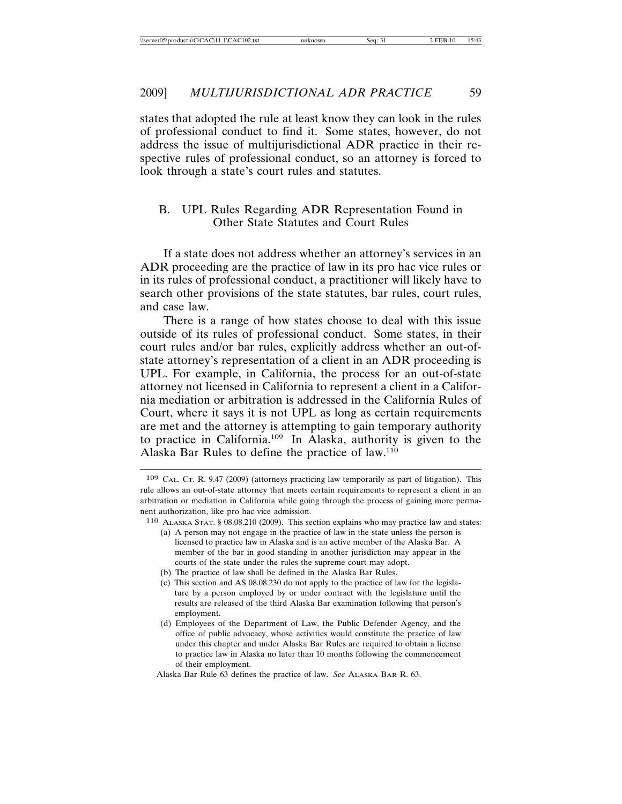states that adopted the rule at least know they can look in the rules of professional conduct to find it. Some states, however, do not address the issue of multijurisdictional ADR practice in their respective rules of professional conduct, so an attorney is forced to look through a state's court rules and statutes.

#### B. UPL Rules Regarding ADR Representation Found in Other State Statutes and Court Rules

If a state does not address whether an attorney's services in an ADR proceeding are the practice of law in its pro hac vice rules or in its rules of professional conduct, a practitioner will likely have to search other provisions of the state statutes, bar rules, court rules, and case law.

There is a range of how states choose to deal with this issue outside of its rules of professional conduct. Some states, in their court rules and/or bar rules, explicitly address whether an out-ofstate attorney's representation of a client in an ADR proceeding is UPL. For example, in California, the process for an out-of-state attorney not licensed in California to represent a client in a California mediation or arbitration is addressed in the California Rules of Court, where it says it is not UPL as long as certain requirements are met and the attorney is attempting to gain temporary authority to practice in California.109 In Alaska, authority is given to the Alaska Bar Rules to define the practice of law.110

- licensed to practice law in Alaska and is an active member of the Alaska Bar. A member of the bar in good standing in another jurisdiction may appear in the courts of the state under the rules the supreme court may adopt.
- (b) The practice of law shall be defined in the Alaska Bar Rules.
- (c) This section and AS 08.08.230 do not apply to the practice of law for the legislature by a person employed by or under contract with the legislature until the results are released of the third Alaska Bar examination following that person's employment.
- (d) Employees of the Department of Law, the Public Defender Agency, and the office of public advocacy, whose activities would constitute the practice of law under this chapter and under Alaska Bar Rules are required to obtain a license to practice law in Alaska no later than 10 months following the commencement of their employment.

<sup>109</sup> CAL. CT. R. 9.47 (2009) (attorneys practicing law temporarily as part of litigation). This rule allows an out-of-state attorney that meets certain requirements to represent a client in an arbitration or mediation in California while going through the process of gaining more permanent authorization, like pro hac vice admission.

<sup>110</sup> ALASKA STAT. § 08.08.210 (2009). This section explains who may practice law and states: (a) A person may not engage in the practice of law in the state unless the person is

Alaska Bar Rule 63 defines the practice of law. *See* ALASKA BAR R. 63.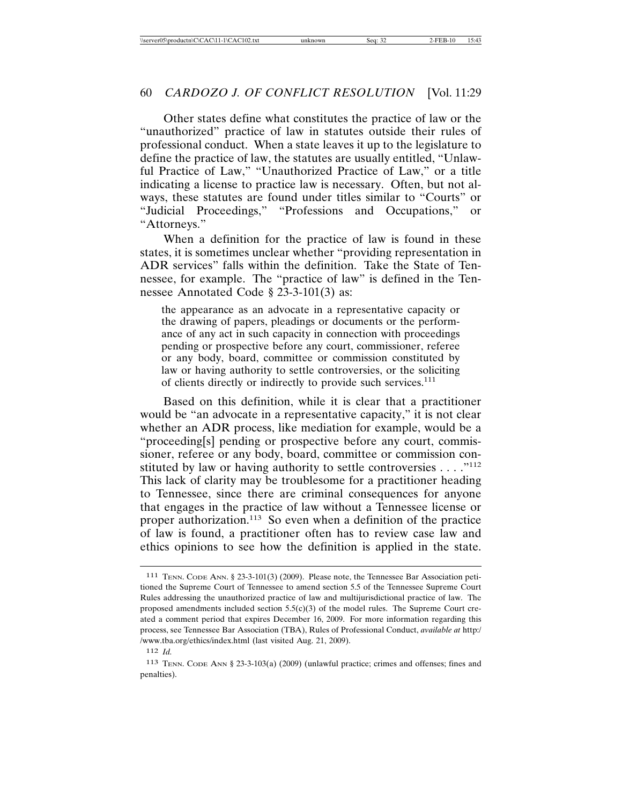Other states define what constitutes the practice of law or the "unauthorized" practice of law in statutes outside their rules of professional conduct. When a state leaves it up to the legislature to define the practice of law, the statutes are usually entitled, "Unlawful Practice of Law," "Unauthorized Practice of Law," or a title indicating a license to practice law is necessary. Often, but not always, these statutes are found under titles similar to "Courts" or "Judicial Proceedings," "Professions and Occupations," or "Attorneys."

When a definition for the practice of law is found in these states, it is sometimes unclear whether "providing representation in ADR services" falls within the definition. Take the State of Tennessee, for example. The "practice of law" is defined in the Tennessee Annotated Code § 23-3-101(3) as:

the appearance as an advocate in a representative capacity or the drawing of papers, pleadings or documents or the performance of any act in such capacity in connection with proceedings pending or prospective before any court, commissioner, referee or any body, board, committee or commission constituted by law or having authority to settle controversies, or the soliciting of clients directly or indirectly to provide such services.<sup>111</sup>

Based on this definition, while it is clear that a practitioner would be "an advocate in a representative capacity," it is not clear whether an ADR process, like mediation for example, would be a "proceeding[s] pending or prospective before any court, commissioner, referee or any body, board, committee or commission constituted by law or having authority to settle controversies . . . ."<sup>112</sup> This lack of clarity may be troublesome for a practitioner heading to Tennessee, since there are criminal consequences for anyone that engages in the practice of law without a Tennessee license or proper authorization.<sup>113</sup> So even when a definition of the practice of law is found, a practitioner often has to review case law and ethics opinions to see how the definition is applied in the state.

<sup>111</sup> TENN. CODE ANN. § 23-3-101(3) (2009). Please note, the Tennessee Bar Association petitioned the Supreme Court of Tennessee to amend section 5.5 of the Tennessee Supreme Court Rules addressing the unauthorized practice of law and multijurisdictional practice of law. The proposed amendments included section  $5.5(c)(3)$  of the model rules. The Supreme Court created a comment period that expires December 16, 2009. For more information regarding this process, see Tennessee Bar Association (TBA), Rules of Professional Conduct, *available at* http:/ /www.tba.org/ethics/index.html (last visited Aug. 21, 2009).

<sup>112</sup> *Id.*

<sup>113</sup> TENN. CODE ANN § 23-3-103(a) (2009) (unlawful practice; crimes and offenses; fines and penalties).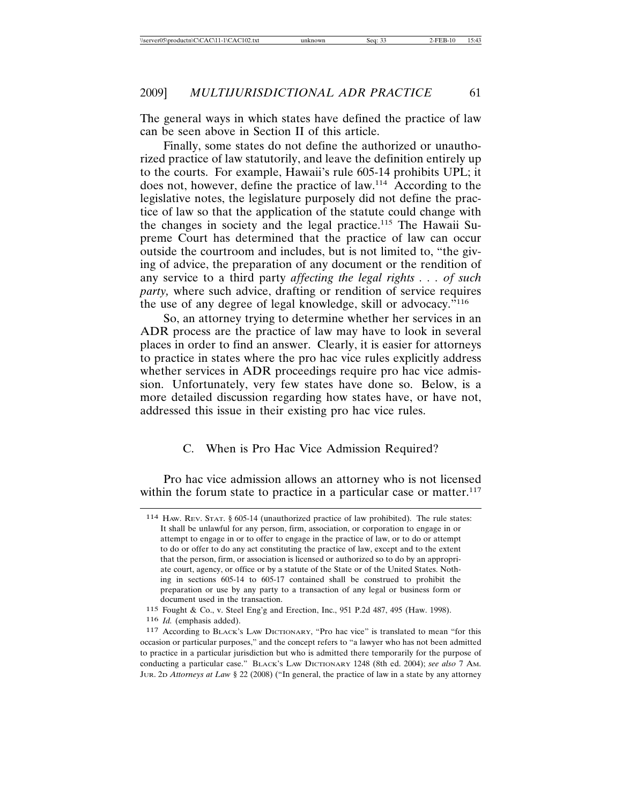The general ways in which states have defined the practice of law can be seen above in Section II of this article.

Finally, some states do not define the authorized or unauthorized practice of law statutorily, and leave the definition entirely up to the courts. For example, Hawaii's rule 605-14 prohibits UPL; it does not, however, define the practice of law.114 According to the legislative notes, the legislature purposely did not define the practice of law so that the application of the statute could change with the changes in society and the legal practice.<sup>115</sup> The Hawaii Supreme Court has determined that the practice of law can occur outside the courtroom and includes, but is not limited to, "the giving of advice, the preparation of any document or the rendition of any service to a third party *affecting the legal rights . . . of such party,* where such advice, drafting or rendition of service requires the use of any degree of legal knowledge, skill or advocacy."116

So, an attorney trying to determine whether her services in an ADR process are the practice of law may have to look in several places in order to find an answer. Clearly, it is easier for attorneys to practice in states where the pro hac vice rules explicitly address whether services in ADR proceedings require pro hac vice admission. Unfortunately, very few states have done so. Below, is a more detailed discussion regarding how states have, or have not, addressed this issue in their existing pro hac vice rules.

#### C. When is Pro Hac Vice Admission Required?

Pro hac vice admission allows an attorney who is not licensed within the forum state to practice in a particular case or matter.<sup>117</sup>

115 Fought & Co., v. Steel Eng'g and Erection, Inc., 951 P.2d 487, 495 (Haw. 1998).

116 *Id.* (emphasis added).

<sup>114</sup> HAW. REV. STAT. § 605-14 (unauthorized practice of law prohibited). The rule states: It shall be unlawful for any person, firm, association, or corporation to engage in or attempt to engage in or to offer to engage in the practice of law, or to do or attempt to do or offer to do any act constituting the practice of law, except and to the extent that the person, firm, or association is licensed or authorized so to do by an appropriate court, agency, or office or by a statute of the State or of the United States. Nothing in sections 605-14 to 605-17 contained shall be construed to prohibit the preparation or use by any party to a transaction of any legal or business form or document used in the transaction.

<sup>117</sup> According to BLACK'S LAW DICTIONARY, "Pro hac vice" is translated to mean "for this occasion or particular purposes," and the concept refers to "a lawyer who has not been admitted to practice in a particular jurisdiction but who is admitted there temporarily for the purpose of conducting a particular case." BLACK'S LAW DICTIONARY 1248 (8th ed. 2004); *see also* 7 AM. JUR. 2D *Attorneys at Law* § 22 (2008) ("In general, the practice of law in a state by any attorney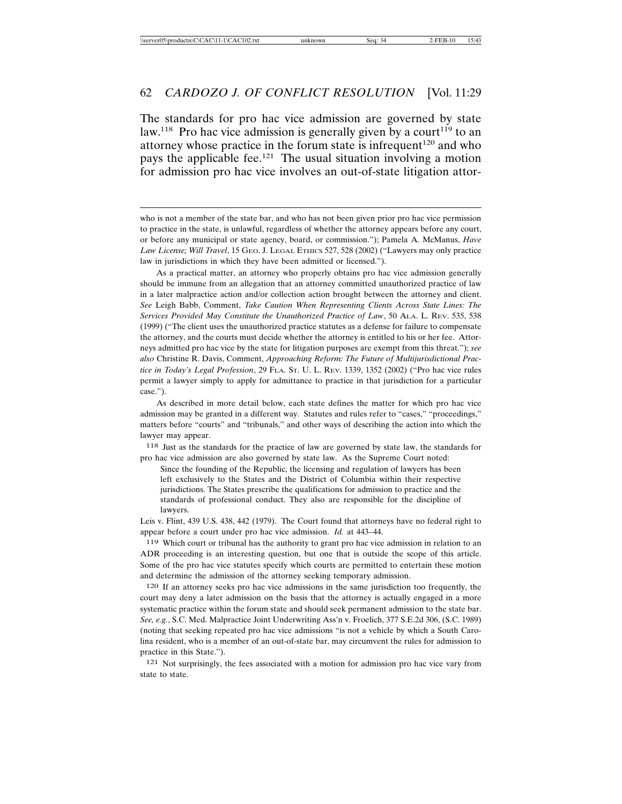The standards for pro hac vice admission are governed by state law.<sup>118</sup> Pro hac vice admission is generally given by a court<sup>119</sup> to an attorney whose practice in the forum state is infrequent<sup>120</sup> and who pays the applicable fee.<sup>121</sup> The usual situation involving a motion for admission pro hac vice involves an out-of-state litigation attor-

As a practical matter, an attorney who properly obtains pro hac vice admission generally should be immune from an allegation that an attorney committed unauthorized practice of law in a later malpractice action and/or collection action brought between the attorney and client. *See* Leigh Babb, Comment, *Take Caution When Representing Clients Across State Lines: The Services Provided May Constitute the Unauthorized Practice of Law*, 50 ALA. L. REV. 535, 538 (1999) ("The client uses the unauthorized practice statutes as a defense for failure to compensate the attorney, and the courts must decide whether the attorney is entitled to his or her fee. Attorneys admitted pro hac vice by the state for litigation purposes are exempt from this threat."); *see also* Christine R. Davis, Comment, *Approaching Reform: The Future of Multijurisdictional Practice in Today's Legal Profession*, 29 FLA. ST. U. L. REV. 1339, 1352 (2002) ("Pro hac vice rules permit a lawyer simply to apply for admittance to practice in that jurisdiction for a particular case.").

As described in more detail below, each state defines the matter for which pro hac vice admission may be granted in a different way. Statutes and rules refer to "cases," "proceedings," matters before "courts" and "tribunals," and other ways of describing the action into which the lawyer may appear.

118 Just as the standards for the practice of law are governed by state law, the standards for pro hac vice admission are also governed by state law. As the Supreme Court noted:

Since the founding of the Republic, the licensing and regulation of lawyers has been left exclusively to the States and the District of Columbia within their respective jurisdictions. The States prescribe the qualifications for admission to practice and the standards of professional conduct. They also are responsible for the discipline of lawyers.

Leis v. Flint, 439 U.S. 438, 442 (1979). The Court found that attorneys have no federal right to appear before a court under pro hac vice admission. *Id.* at 443–44.

119 Which court or tribunal has the authority to grant pro hac vice admission in relation to an ADR proceeding is an interesting question, but one that is outside the scope of this article. Some of the pro hac vice statutes specify which courts are permitted to entertain these motion and determine the admission of the attorney seeking temporary admission.

120 If an attorney seeks pro hac vice admissions in the same jurisdiction too frequently, the court may deny a later admission on the basis that the attorney is actually engaged in a more systematic practice within the forum state and should seek permanent admission to the state bar. *See, e.g.*, S.C. Med. Malpractice Joint Underwriting Ass'n v. Froelich, 377 S.E.2d 306, (S.C. 1989) (noting that seeking repeated pro hac vice admissions "is not a vehicle by which a South Carolina resident, who is a member of an out-of-state bar, may circumvent the rules for admission to practice in this State.").

121 Not surprisingly, the fees associated with a motion for admission pro hac vice vary from state to state.

who is not a member of the state bar, and who has not been given prior pro hac vice permission to practice in the state, is unlawful, regardless of whether the attorney appears before any court, or before any municipal or state agency, board, or commission."); Pamela A. McManus, *Have Law License; Will Travel*, 15 GEO. J. LEGAL ETHICS 527, 528 (2002) ("Lawyers may only practice law in jurisdictions in which they have been admitted or licensed.").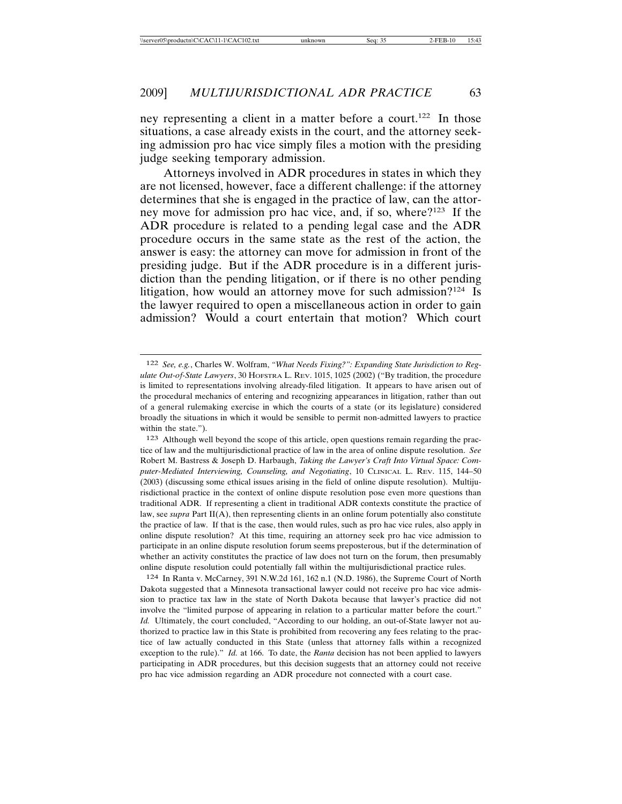ney representing a client in a matter before a court.<sup>122</sup> In those situations, a case already exists in the court, and the attorney seeking admission pro hac vice simply files a motion with the presiding judge seeking temporary admission.

Attorneys involved in ADR procedures in states in which they are not licensed, however, face a different challenge: if the attorney determines that she is engaged in the practice of law, can the attorney move for admission pro hac vice, and, if so, where?123 If the ADR procedure is related to a pending legal case and the ADR procedure occurs in the same state as the rest of the action, the answer is easy: the attorney can move for admission in front of the presiding judge. But if the ADR procedure is in a different jurisdiction than the pending litigation, or if there is no other pending litigation, how would an attorney move for such admission?<sup>124</sup> Is the lawyer required to open a miscellaneous action in order to gain admission? Would a court entertain that motion? Which court

124 In Ranta v. McCarney, 391 N.W.2d 161, 162 n.1 (N.D. 1986), the Supreme Court of North Dakota suggested that a Minnesota transactional lawyer could not receive pro hac vice admission to practice tax law in the state of North Dakota because that lawyer's practice did not involve the "limited purpose of appearing in relation to a particular matter before the court." *Id.* Ultimately, the court concluded, "According to our holding, an out-of-State lawyer not authorized to practice law in this State is prohibited from recovering any fees relating to the practice of law actually conducted in this State (unless that attorney falls within a recognized exception to the rule)." *Id.* at 166. To date, the *Ranta* decision has not been applied to lawyers participating in ADR procedures, but this decision suggests that an attorney could not receive pro hac vice admission regarding an ADR procedure not connected with a court case.

<sup>122</sup> *See, e.g.*, Charles W. Wolfram, *"What Needs Fixing?": Expanding State Jurisdiction to Regulate Out-of-State Lawyers*, 30 HOFSTRA L. REV. 1015, 1025 (2002) ("By tradition, the procedure is limited to representations involving already-filed litigation. It appears to have arisen out of the procedural mechanics of entering and recognizing appearances in litigation, rather than out of a general rulemaking exercise in which the courts of a state (or its legislature) considered broadly the situations in which it would be sensible to permit non-admitted lawyers to practice within the state.").

<sup>123</sup> Although well beyond the scope of this article, open questions remain regarding the practice of law and the multijurisdictional practice of law in the area of online dispute resolution. *See* Robert M. Bastress & Joseph D. Harbaugh, *Taking the Lawyer's Craft Into Virtual Space: Computer-Mediated Interviewing, Counseling, and Negotiating*, 10 CLINICAL L. REV. 115, 144–50 (2003) (discussing some ethical issues arising in the field of online dispute resolution). Multijurisdictional practice in the context of online dispute resolution pose even more questions than traditional ADR. If representing a client in traditional ADR contexts constitute the practice of law, see *supra* Part II(A), then representing clients in an online forum potentially also constitute the practice of law. If that is the case, then would rules, such as pro hac vice rules, also apply in online dispute resolution? At this time, requiring an attorney seek pro hac vice admission to participate in an online dispute resolution forum seems preposterous, but if the determination of whether an activity constitutes the practice of law does not turn on the forum, then presumably online dispute resolution could potentially fall within the multijurisdictional practice rules.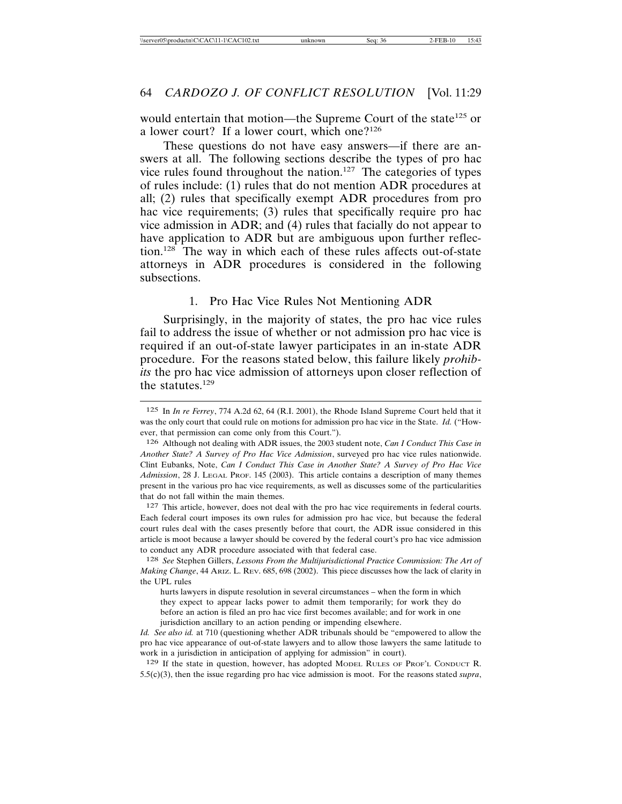would entertain that motion—the Supreme Court of the state<sup>125</sup> or a lower court? If a lower court, which one?<sup>126</sup>

These questions do not have easy answers—if there are answers at all. The following sections describe the types of pro hac vice rules found throughout the nation.127 The categories of types of rules include: (1) rules that do not mention ADR procedures at all; (2) rules that specifically exempt ADR procedures from pro hac vice requirements; (3) rules that specifically require pro hac vice admission in ADR; and (4) rules that facially do not appear to have application to ADR but are ambiguous upon further reflection.128 The way in which each of these rules affects out-of-state attorneys in ADR procedures is considered in the following subsections.

#### 1. Pro Hac Vice Rules Not Mentioning ADR

Surprisingly, in the majority of states, the pro hac vice rules fail to address the issue of whether or not admission pro hac vice is required if an out-of-state lawyer participates in an in-state ADR procedure. For the reasons stated below, this failure likely *prohibits* the pro hac vice admission of attorneys upon closer reflection of the statutes. $129$ 

127 This article, however, does not deal with the pro hac vice requirements in federal courts. Each federal court imposes its own rules for admission pro hac vice, but because the federal court rules deal with the cases presently before that court, the ADR issue considered in this article is moot because a lawyer should be covered by the federal court's pro hac vice admission to conduct any ADR procedure associated with that federal case.

*Id. See also id.* at 710 (questioning whether ADR tribunals should be "empowered to allow the pro hac vice appearance of out-of-state lawyers and to allow those lawyers the same latitude to work in a jurisdiction in anticipation of applying for admission" in court).

129 If the state in question, however, has adopted MODEL RULES OF PROF'L CONDUCT R. 5.5(c)(3), then the issue regarding pro hac vice admission is moot. For the reasons stated *supra*,

<sup>125</sup> In *In re Ferrey*, 774 A.2d 62, 64 (R.I. 2001), the Rhode Island Supreme Court held that it was the only court that could rule on motions for admission pro hac vic*e* in the State. *Id.* ("However, that permission can come only from this Court.").

<sup>126</sup> Although not dealing with ADR issues, the 2003 student note, *Can I Conduct This Case in Another State? A Survey of Pro Hac Vice Admission*, surveyed pro hac vice rules nationwide. Clint Eubanks, Note, *Can I Conduct This Case in Another State? A Survey of Pro Hac Vice Admission*, 28 J. LEGAL PROF. 145 (2003). This article contains a description of many themes present in the various pro hac vice requirements, as well as discusses some of the particularities that do not fall within the main themes.

<sup>128</sup> *See* Stephen Gillers, *Lessons From the Multijurisdictional Practice Commission: The Art of Making Change*, 44 ARIZ. L. REV. 685, 698 (2002). This piece discusses how the lack of clarity in the UPL rules

hurts lawyers in dispute resolution in several circumstances – when the form in which they expect to appear lacks power to admit them temporarily; for work they do before an action is filed an pro hac vice first becomes available; and for work in one jurisdiction ancillary to an action pending or impending elsewhere.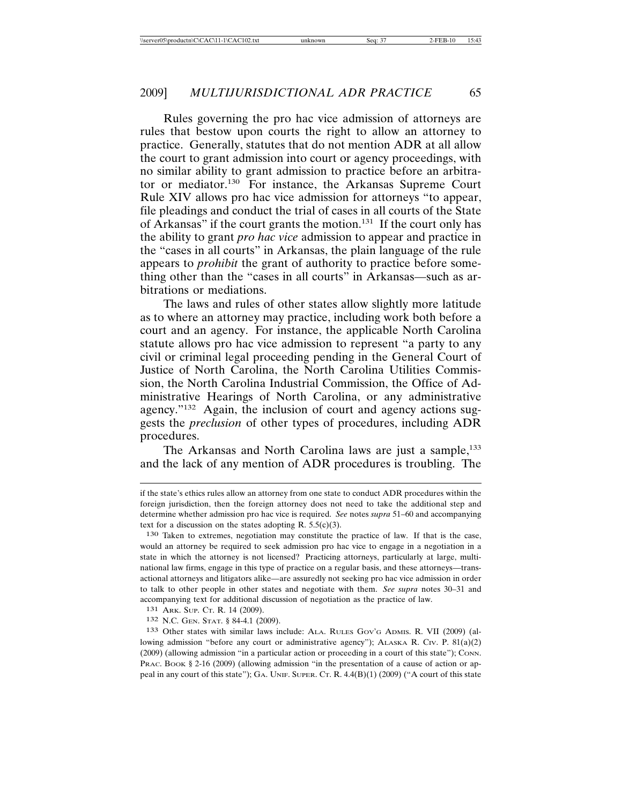Rules governing the pro hac vice admission of attorneys are rules that bestow upon courts the right to allow an attorney to practice. Generally, statutes that do not mention ADR at all allow the court to grant admission into court or agency proceedings, with no similar ability to grant admission to practice before an arbitrator or mediator.130 For instance, the Arkansas Supreme Court Rule XIV allows pro hac vice admission for attorneys "to appear, file pleadings and conduct the trial of cases in all courts of the State of Arkansas" if the court grants the motion.<sup>131</sup> If the court only has the ability to grant *pro hac vice* admission to appear and practice in the "cases in all courts" in Arkansas, the plain language of the rule appears to *prohibit* the grant of authority to practice before something other than the "cases in all courts" in Arkansas—such as arbitrations or mediations.

The laws and rules of other states allow slightly more latitude as to where an attorney may practice, including work both before a court and an agency. For instance, the applicable North Carolina statute allows pro hac vice admission to represent "a party to any civil or criminal legal proceeding pending in the General Court of Justice of North Carolina, the North Carolina Utilities Commission, the North Carolina Industrial Commission, the Office of Administrative Hearings of North Carolina, or any administrative agency."132 Again, the inclusion of court and agency actions suggests the *preclusion* of other types of procedures, including ADR procedures.

The Arkansas and North Carolina laws are just a sample,<sup>133</sup> and the lack of any mention of ADR procedures is troubling. The

if the state's ethics rules allow an attorney from one state to conduct ADR procedures within the foreign jurisdiction, then the foreign attorney does not need to take the additional step and determine whether admission pro hac vice is required. *See* notes *supra* 51–60 and accompanying text for a discussion on the states adopting R.  $5.5(c)(3)$ .

<sup>130</sup> Taken to extremes, negotiation may constitute the practice of law. If that is the case, would an attorney be required to seek admission pro hac vice to engage in a negotiation in a state in which the attorney is not licensed? Practicing attorneys, particularly at large, multinational law firms, engage in this type of practice on a regular basis, and these attorneys—transactional attorneys and litigators alike—are assuredly not seeking pro hac vice admission in order to talk to other people in other states and negotiate with them. *See supra* notes 30–31 and accompanying text for additional discussion of negotiation as the practice of law.

<sup>131</sup> ARK. SUP. CT. R. 14 (2009).

<sup>132</sup> N.C. GEN. STAT. § 84-4.1 (2009).

<sup>133</sup> Other states with similar laws include: ALA. RULES GOV'G ADMIS. R. VII (2009) (allowing admission "before any court or administrative agency"); ALASKA R. CIV. P. 81(a)(2) (2009) (allowing admission "in a particular action or proceeding in a court of this state"); CONN. PRAC. BOOK § 2-16 (2009) (allowing admission "in the presentation of a cause of action or appeal in any court of this state"); GA. UNIF. SUPER. CT. R. 4.4(B)(1) (2009) ("A court of this state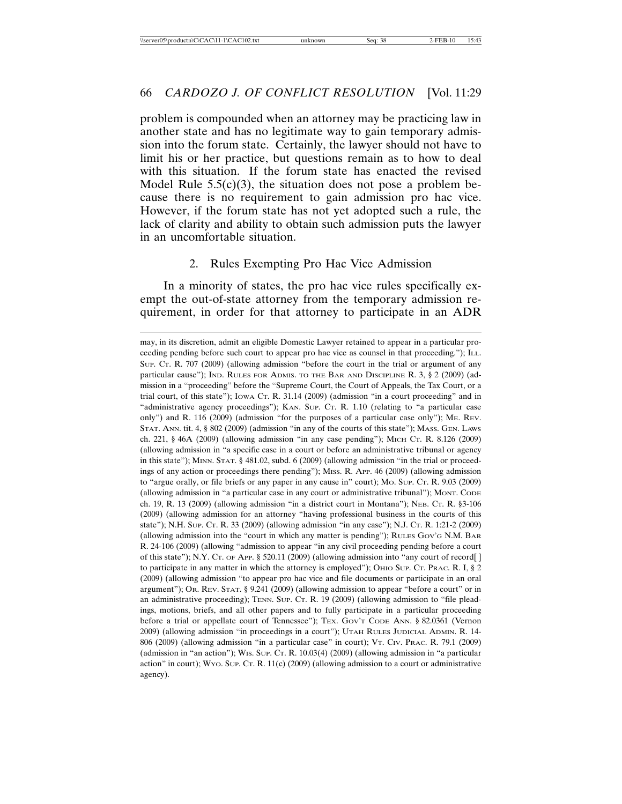problem is compounded when an attorney may be practicing law in another state and has no legitimate way to gain temporary admission into the forum state. Certainly, the lawyer should not have to limit his or her practice, but questions remain as to how to deal with this situation. If the forum state has enacted the revised Model Rule  $5.5(c)(3)$ , the situation does not pose a problem because there is no requirement to gain admission pro hac vice. However, if the forum state has not yet adopted such a rule, the lack of clarity and ability to obtain such admission puts the lawyer in an uncomfortable situation.

#### 2. Rules Exempting Pro Hac Vice Admission

In a minority of states, the pro hac vice rules specifically exempt the out-of-state attorney from the temporary admission requirement, in order for that attorney to participate in an ADR

may, in its discretion, admit an eligible Domestic Lawyer retained to appear in a particular proceeding pending before such court to appear pro hac vice as counsel in that proceeding."); ILL. SUP. CT. R. 707 (2009) (allowing admission "before the court in the trial or argument of any particular cause"); IND. RULES FOR ADMIS. TO THE BAR AND DISCIPLINE R. 3, § 2 (2009) (admission in a "proceeding" before the "Supreme Court, the Court of Appeals, the Tax Court, or a trial court, of this state"); IOWA CT. R. 31.14 (2009) (admission "in a court proceeding" and in "administrative agency proceedings"); KAN. SUP. CT. R. 1.10 (relating to "a particular case only") and R. 116 (2009) (admission "for the purposes of a particular case only"); ME. REV. STAT. ANN. tit. 4, § 802 (2009) (admission "in any of the courts of this state"); MASS. GEN. LAWS ch. 221, § 46A (2009) (allowing admission "in any case pending"); MICH CT. R. 8.126 (2009) (allowing admission in "a specific case in a court or before an administrative tribunal or agency in this state"); MINN. STAT. § 481.02, subd. 6 (2009) (allowing admission "in the trial or proceedings of any action or proceedings there pending"); MISS. R. APP. 46 (2009) (allowing admission to "argue orally, or file briefs or any paper in any cause in" court); MO. SUP. CT. R. 9.03 (2009) (allowing admission in "a particular case in any court or administrative tribunal"); MONT. CODE ch. 19, R. 13 (2009) (allowing admission "in a district court in Montana"); NEB. CT. R. §3-106 (2009) (allowing admission for an attorney "having professional business in the courts of this state"); N.H. SUP. CT. R. 33 (2009) (allowing admission "in any case"); N.J. CT. R. 1:21-2 (2009) (allowing admission into the "court in which any matter is pending"); RULES GOV'G N.M. BAR R. 24-106 (2009) (allowing "admission to appear "in any civil proceeding pending before a court of this state"); N.Y. Cr. or App. § 520.11 (2009) (allowing admission into "any court of record[] to participate in any matter in which the attorney is employed"); OHIO SUP. CT. PRAC. R. I,  $\S 2$ (2009) (allowing admission "to appear pro hac vice and file documents or participate in an oral argument"); OR. REV. STAT. § 9.241 (2009) (allowing admission to appear "before a court" or in an administrative proceeding); TENN. SUP. CT. R. 19 (2009) (allowing admission to "file pleadings, motions, briefs, and all other papers and to fully participate in a particular proceeding before a trial or appellate court of Tennessee"); TEX. GOV'T CODE ANN. § 82.0361 (Vernon 2009) (allowing admission "in proceedings in a court"); UTAH RULES JUDICIAL ADMIN. R. 14- 806 (2009) (allowing admission "in a particular case" in court); VT. CIV. PRAC. R. 79.1 (2009) (admission in "an action"); WIS. SUP. CT. R. 10.03(4) (2009) (allowing admission in "a particular action" in court); WYO. SUP. CT. R. 11(c) (2009) (allowing admission to a court or administrative agency).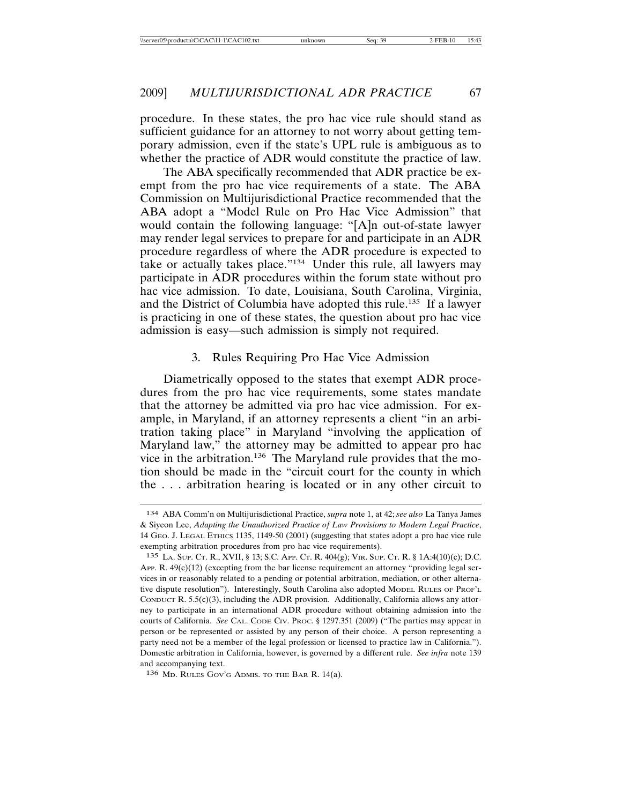procedure. In these states, the pro hac vice rule should stand as sufficient guidance for an attorney to not worry about getting temporary admission, even if the state's UPL rule is ambiguous as to whether the practice of ADR would constitute the practice of law.

The ABA specifically recommended that ADR practice be exempt from the pro hac vice requirements of a state. The ABA Commission on Multijurisdictional Practice recommended that the ABA adopt a "Model Rule on Pro Hac Vice Admission" that would contain the following language: "[A]n out-of-state lawyer may render legal services to prepare for and participate in an ADR procedure regardless of where the ADR procedure is expected to take or actually takes place."134 Under this rule, all lawyers may participate in ADR procedures within the forum state without pro hac vice admission. To date, Louisiana, South Carolina, Virginia, and the District of Columbia have adopted this rule.135 If a lawyer is practicing in one of these states, the question about pro hac vice admission is easy—such admission is simply not required.

#### 3. Rules Requiring Pro Hac Vice Admission

Diametrically opposed to the states that exempt ADR procedures from the pro hac vice requirements, some states mandate that the attorney be admitted via pro hac vice admission. For example, in Maryland, if an attorney represents a client "in an arbitration taking place" in Maryland "involving the application of Maryland law," the attorney may be admitted to appear pro hac vice in the arbitration.<sup>136</sup> The Maryland rule provides that the motion should be made in the "circuit court for the county in which the . . . arbitration hearing is located or in any other circuit to

<sup>134</sup> ABA Comm'n on Multijurisdictional Practice, *supra* note 1, at 42; *see also* La Tanya James & Siyeon Lee, *Adapting the Unauthorized Practice of Law Provisions to Modern Legal Practice*, 14 GEO. J. LEGAL ETHICS 1135, 1149-50 (2001) (suggesting that states adopt a pro hac vice rule exempting arbitration procedures from pro hac vice requirements).

<sup>135</sup> LA. SUP. CT. R., XVII, § 13; S.C. APP. CT. R. 404(g); VIR. SUP. CT. R. § 1A:4(10)(c); D.C. APP. R.  $49(c)(12)$  (excepting from the bar license requirement an attorney "providing legal services in or reasonably related to a pending or potential arbitration, mediation, or other alternative dispute resolution"). Interestingly, South Carolina also adopted MODEL RULES OF PROF'L CONDUCT R.  $5.5(c)(3)$ , including the ADR provision. Additionally, California allows any attorney to participate in an international ADR procedure without obtaining admission into the courts of California. *See* CAL. CODE CIV. PROC. § 1297.351 (2009) ("The parties may appear in person or be represented or assisted by any person of their choice. A person representing a party need not be a member of the legal profession or licensed to practice law in California."). Domestic arbitration in California, however, is governed by a different rule. *See infra* note 139 and accompanying text.

<sup>136</sup> MD. RULES GOV'G ADMIS. TO THE BAR R. 14(a).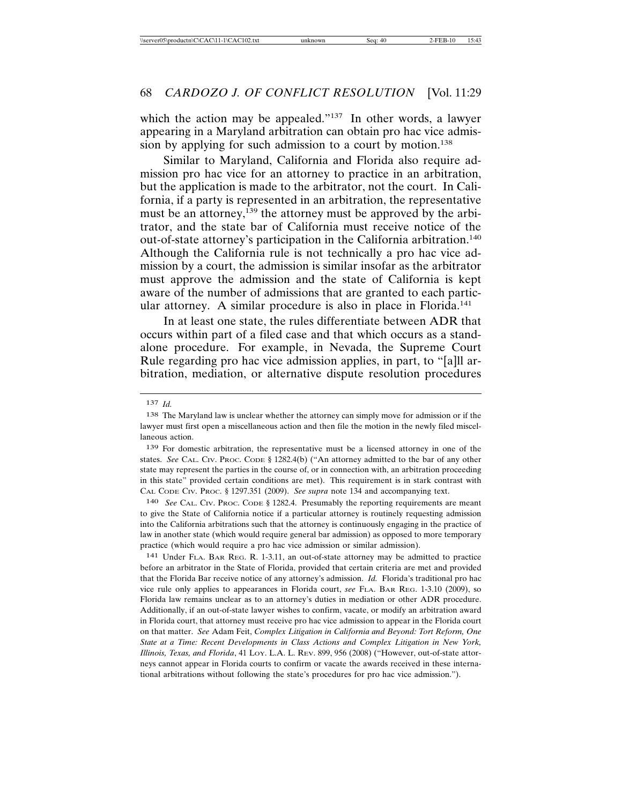which the action may be appealed."<sup>137</sup> In other words, a lawyer appearing in a Maryland arbitration can obtain pro hac vice admission by applying for such admission to a court by motion.<sup>138</sup>

Similar to Maryland, California and Florida also require admission pro hac vice for an attorney to practice in an arbitration, but the application is made to the arbitrator, not the court. In California, if a party is represented in an arbitration, the representative must be an attorney,<sup>139</sup> the attorney must be approved by the arbitrator, and the state bar of California must receive notice of the out-of-state attorney's participation in the California arbitration.<sup>140</sup> Although the California rule is not technically a pro hac vice admission by a court, the admission is similar insofar as the arbitrator must approve the admission and the state of California is kept aware of the number of admissions that are granted to each particular attorney. A similar procedure is also in place in Florida.<sup>141</sup>

In at least one state, the rules differentiate between ADR that occurs within part of a filed case and that which occurs as a standalone procedure. For example, in Nevada, the Supreme Court Rule regarding pro hac vice admission applies, in part, to "[a]ll arbitration, mediation, or alternative dispute resolution procedures

139 For domestic arbitration, the representative must be a licensed attorney in one of the states. *See* CAL. CIV. PROC. CODE § 1282.4(b) ("An attorney admitted to the bar of any other state may represent the parties in the course of, or in connection with, an arbitration proceeding in this state" provided certain conditions are met). This requirement is in stark contrast with CAL CODE CIV. PROC. § 1297.351 (2009). *See supra* note 134 and accompanying text.

140 *See* CAL. CIV. PROC. CODE § 1282.4. Presumably the reporting requirements are meant to give the State of California notice if a particular attorney is routinely requesting admission into the California arbitrations such that the attorney is continuously engaging in the practice of law in another state (which would require general bar admission) as opposed to more temporary practice (which would require a pro hac vice admission or similar admission).

141 Under FLA. BAR REG. R. 1-3.11, an out-of-state attorney may be admitted to practice before an arbitrator in the State of Florida, provided that certain criteria are met and provided that the Florida Bar receive notice of any attorney's admission. *Id.* Florida's traditional pro hac vice rule only applies to appearances in Florida court, *see* FLA. BAR REG. 1-3.10 (2009), so Florida law remains unclear as to an attorney's duties in mediation or other ADR procedure. Additionally, if an out-of-state lawyer wishes to confirm, vacate, or modify an arbitration award in Florida court, that attorney must receive pro hac vice admission to appear in the Florida court on that matter. *See* Adam Feit, *Complex Litigation in California and Beyond: Tort Reform, One State at a Time: Recent Developments in Class Actions and Complex Litigation in New York, Illinois, Texas, and Florida*, 41 LOY. L.A. L. REV. 899, 956 (2008) ("However, out-of-state attorneys cannot appear in Florida courts to confirm or vacate the awards received in these international arbitrations without following the state's procedures for pro hac vice admission.").

<sup>137</sup> *Id.*

<sup>138</sup> The Maryland law is unclear whether the attorney can simply move for admission or if the lawyer must first open a miscellaneous action and then file the motion in the newly filed miscellaneous action.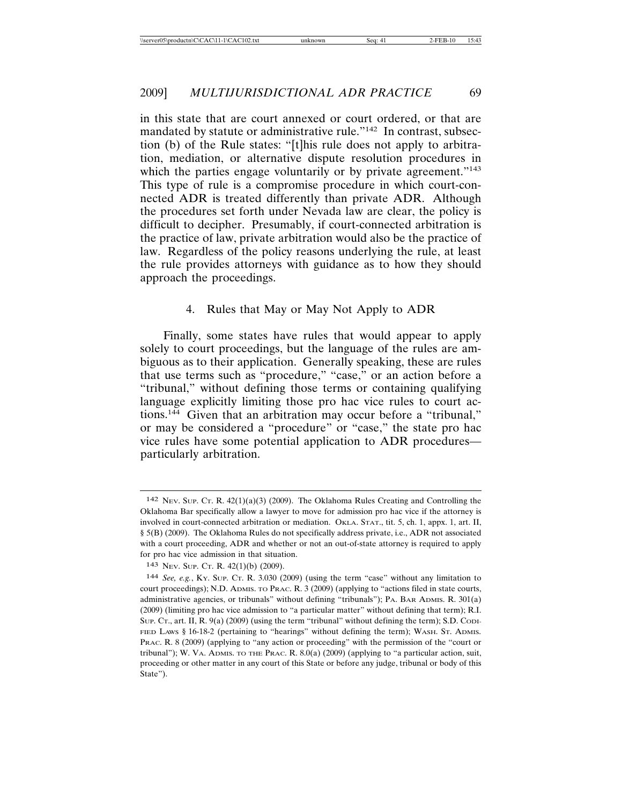in this state that are court annexed or court ordered, or that are mandated by statute or administrative rule."142 In contrast, subsection (b) of the Rule states: "[t]his rule does not apply to arbitration, mediation, or alternative dispute resolution procedures in which the parties engage voluntarily or by private agreement."<sup>143</sup> This type of rule is a compromise procedure in which court-connected ADR is treated differently than private ADR. Although the procedures set forth under Nevada law are clear, the policy is difficult to decipher. Presumably, if court-connected arbitration is the practice of law, private arbitration would also be the practice of law. Regardless of the policy reasons underlying the rule, at least the rule provides attorneys with guidance as to how they should approach the proceedings.

#### 4. Rules that May or May Not Apply to ADR

Finally, some states have rules that would appear to apply solely to court proceedings, but the language of the rules are ambiguous as to their application. Generally speaking, these are rules that use terms such as "procedure," "case," or an action before a "tribunal," without defining those terms or containing qualifying language explicitly limiting those pro hac vice rules to court actions.144 Given that an arbitration may occur before a "tribunal," or may be considered a "procedure" or "case," the state pro hac vice rules have some potential application to ADR procedures particularly arbitration.

<sup>142</sup> NEV. SUP. CT. R. 42(1)(a)(3) (2009). The Oklahoma Rules Creating and Controlling the Oklahoma Bar specifically allow a lawyer to move for admission pro hac vice if the attorney is involved in court-connected arbitration or mediation. OKLA. STAT., tit. 5, ch. 1, appx. 1, art. II, § 5(B) (2009). The Oklahoma Rules do not specifically address private, i.e., ADR not associated with a court proceeding, ADR and whether or not an out-of-state attorney is required to apply for pro hac vice admission in that situation.

<sup>143</sup> NEV. SUP. CT. R. 42(1)(b) (2009).

<sup>144</sup> *See, e.g.*, KY. SUP. CT. R. 3.030 (2009) (using the term "case" without any limitation to court proceedings); N.D. ADMIS. TO PRAC. R. 3 (2009) (applying to "actions filed in state courts, administrative agencies, or tribunals" without defining "tribunals"); PA. BAR ADMIS. R. 301(a) (2009) (limiting pro hac vice admission to "a particular matter" without defining that term); R.I. Sup. Cr., art. II, R. 9(a) (2009) (using the term "tribunal" without defining the term); S.D. Cool-FIED LAWS § 16-18-2 (pertaining to "hearings" without defining the term); WASH. ST. ADMIS. PRAC. R. 8 (2009) (applying to "any action or proceeding" with the permission of the "court or tribunal"); W. VA. ADMIS. TO THE PRAC. R. 8.0(a) (2009) (applying to "a particular action, suit, proceeding or other matter in any court of this State or before any judge, tribunal or body of this State").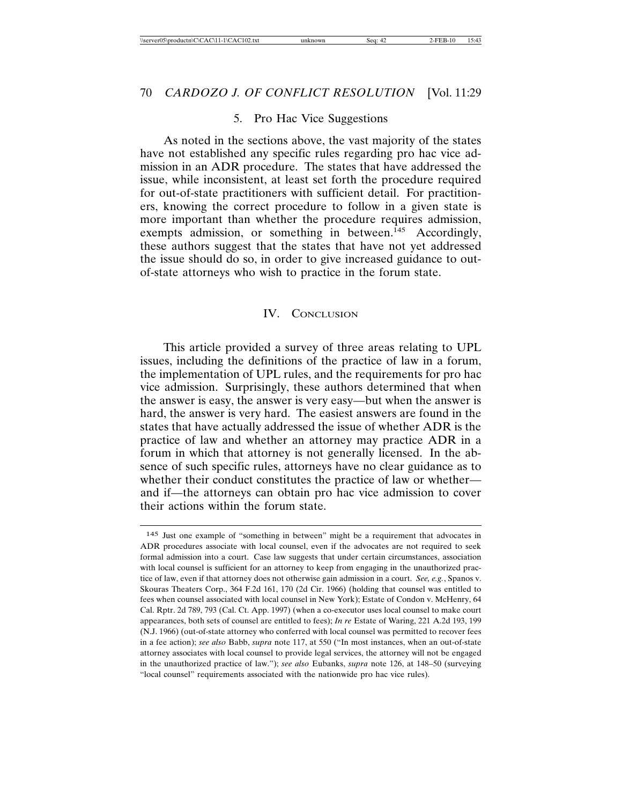#### 5. Pro Hac Vice Suggestions

As noted in the sections above, the vast majority of the states have not established any specific rules regarding pro hac vice admission in an ADR procedure. The states that have addressed the issue, while inconsistent, at least set forth the procedure required for out-of-state practitioners with sufficient detail. For practitioners, knowing the correct procedure to follow in a given state is more important than whether the procedure requires admission, exempts admission, or something in between.<sup>145</sup> Accordingly, these authors suggest that the states that have not yet addressed the issue should do so, in order to give increased guidance to outof-state attorneys who wish to practice in the forum state.

#### IV. CONCLUSION

This article provided a survey of three areas relating to UPL issues, including the definitions of the practice of law in a forum, the implementation of UPL rules, and the requirements for pro hac vice admission. Surprisingly, these authors determined that when the answer is easy, the answer is very easy—but when the answer is hard, the answer is very hard. The easiest answers are found in the states that have actually addressed the issue of whether ADR is the practice of law and whether an attorney may practice ADR in a forum in which that attorney is not generally licensed. In the absence of such specific rules, attorneys have no clear guidance as to whether their conduct constitutes the practice of law or whether and if—the attorneys can obtain pro hac vice admission to cover their actions within the forum state.

<sup>145</sup> Just one example of "something in between" might be a requirement that advocates in ADR procedures associate with local counsel, even if the advocates are not required to seek formal admission into a court. Case law suggests that under certain circumstances, association with local counsel is sufficient for an attorney to keep from engaging in the unauthorized practice of law, even if that attorney does not otherwise gain admission in a court. *See, e.g.*, Spanos v. Skouras Theaters Corp., 364 F.2d 161, 170 (2d Cir. 1966) (holding that counsel was entitled to fees when counsel associated with local counsel in New York); Estate of Condon v. McHenry, 64 Cal. Rptr. 2d 789, 793 (Cal. Ct. App. 1997) (when a co-executor uses local counsel to make court appearances, both sets of counsel are entitled to fees); *In re* Estate of Waring, 221 A.2d 193, 199 (N.J. 1966) (out-of-state attorney who conferred with local counsel was permitted to recover fees in a fee action); *see also* Babb, *supra* note 117, at 550 ("In most instances, when an out-of-state attorney associates with local counsel to provide legal services, the attorney will not be engaged in the unauthorized practice of law."); *see also* Eubanks, *supra* note 126, at 148–50 (surveying "local counsel" requirements associated with the nationwide pro hac vice rules).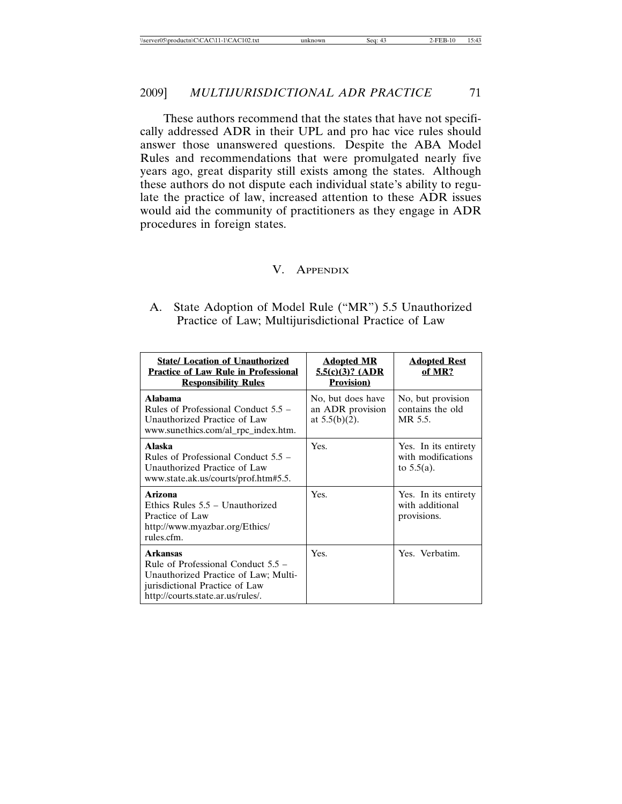These authors recommend that the states that have not specifically addressed ADR in their UPL and pro hac vice rules should answer those unanswered questions. Despite the ABA Model Rules and recommendations that were promulgated nearly five years ago, great disparity still exists among the states. Although these authors do not dispute each individual state's ability to regulate the practice of law, increased attention to these ADR issues would aid the community of practitioners as they engage in ADR procedures in foreign states.

#### V. APPENDIX

A. State Adoption of Model Rule ("MR") 5.5 Unauthorized Practice of Law; Multijurisdictional Practice of Law

| <b>State/ Location of Unauthorized</b><br><b>Practice of Law Rule in Professional</b><br><b>Responsibility Rules</b>                                                   | <b>Adopted MR</b><br>$5.5(c)(3)?$ (ADR<br><b>Provision</b> ) | <b>Adopted Rest</b><br>of MR?                               |
|------------------------------------------------------------------------------------------------------------------------------------------------------------------------|--------------------------------------------------------------|-------------------------------------------------------------|
| Alahama<br>Rules of Professional Conduct $5.5 -$<br>Unauthorized Practice of Law<br>www.sunethics.com/al_rpc_index.htm.                                                | No, but does have<br>an ADR provision<br>at $5.5(b)(2)$ .    | No, but provision<br>contains the old<br>MR 5.5.            |
| Alaska<br>Rules of Professional Conduct $5.5$ –<br>Unauthorized Practice of Law<br>www.state.ak.us/courts/prof.htm#5.5.                                                | Yes.                                                         | Yes. In its entirety<br>with modifications<br>to $5.5(a)$ . |
| Arizona<br>Ethics Rules 5.5 – Unauthorized<br>Practice of Law<br>http://www.myazbar.org/Ethics/<br>rules.cfm.                                                          | Yes.                                                         | Yes. In its entirety<br>with additional<br>provisions.      |
| <b>Arkansas</b><br>Rule of Professional Conduct $5.5 -$<br>Unauthorized Practice of Law; Multi-<br>jurisdictional Practice of Law<br>http://courts.state.ar.us/rules/. | Yes.                                                         | Yes. Verbatim.                                              |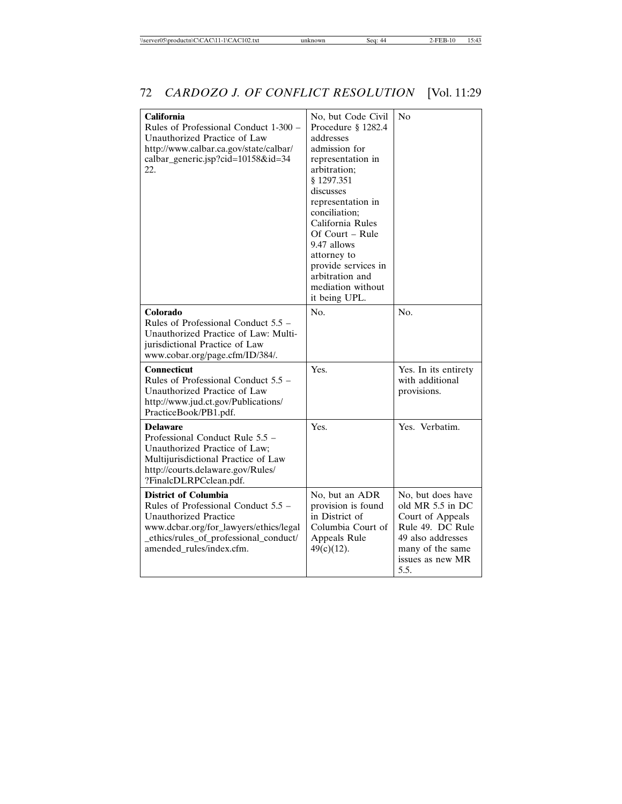| <b>California</b><br>Rules of Professional Conduct 1-300 -<br>Unauthorized Practice of Law<br>http://www.calbar.ca.gov/state/calbar/<br>calbar_generic.jsp?cid=10158&id=34<br>22.                                  | No, but Code Civil<br>Procedure § 1282.4<br>addresses<br>admission for<br>representation in<br>arbitration:<br>\$1297.351<br>discusses<br>representation in<br>conciliation:<br>California Rules<br>Of Court – Rule<br>9.47 allows<br>attorney to<br>provide services in<br>arbitration and<br>mediation without<br>it being UPL. | No                                                                                                                                                 |
|--------------------------------------------------------------------------------------------------------------------------------------------------------------------------------------------------------------------|-----------------------------------------------------------------------------------------------------------------------------------------------------------------------------------------------------------------------------------------------------------------------------------------------------------------------------------|----------------------------------------------------------------------------------------------------------------------------------------------------|
| Colorado<br>Rules of Professional Conduct $5.5 -$<br>Unauthorized Practice of Law: Multi-<br>jurisdictional Practice of Law<br>www.cobar.org/page.cfm/ID/384/.                                                     | No.                                                                                                                                                                                                                                                                                                                               | N <sub>O</sub>                                                                                                                                     |
| <b>Connecticut</b><br>Rules of Professional Conduct 5.5 –<br>Unauthorized Practice of Law<br>http://www.jud.ct.gov/Publications/<br>PracticeBook/PB1.pdf.                                                          | Yes.                                                                                                                                                                                                                                                                                                                              | Yes. In its entirety<br>with additional<br>provisions.                                                                                             |
| <b>Delaware</b><br>Professional Conduct Rule 5.5 -<br>Unauthorized Practice of Law;<br>Multijurisdictional Practice of Law<br>http://courts.delaware.gov/Rules/<br>?FinalcDLRPCclean.pdf.                          | Yes.                                                                                                                                                                                                                                                                                                                              | Yes. Verbatim.                                                                                                                                     |
| <b>District of Columbia</b><br>Rules of Professional Conduct 5.5 –<br><b>Unauthorized Practice</b><br>www.dcbar.org/for_lawyers/ethics/legal<br>_ethics/rules_of_professional_conduct/<br>amended_rules/index.cfm. | No, but an ADR<br>provision is found<br>in District of<br>Columbia Court of<br>Appeals Rule<br>$49(c)(12)$ .                                                                                                                                                                                                                      | No, but does have<br>old MR 5.5 in DC<br>Court of Appeals<br>Rule 49. DC Rule<br>49 also addresses<br>many of the same<br>issues as new MR<br>5.5. |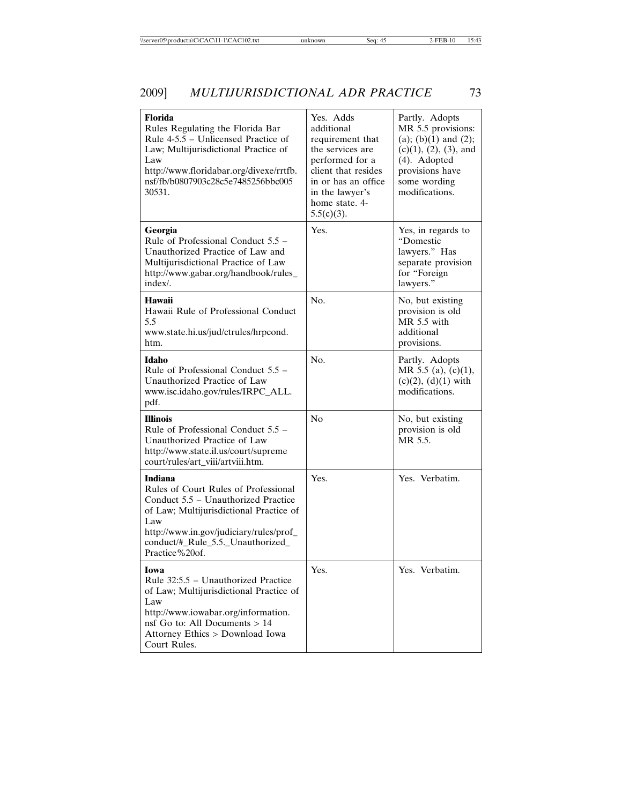# 2009] *MULTIJURISDICTIONAL ADR PRACTICE* 73

| <b>Florida</b><br>Rules Regulating the Florida Bar<br>Rule 4-5.5 – Unlicensed Practice of<br>Law; Multijurisdictional Practice of<br>Law<br>http://www.floridabar.org/divexe/rrtfb.<br>nsf/fb/b0807903c28c5e7485256bbc005<br>30531.        | Yes. Adds<br>additional<br>requirement that<br>the services are<br>performed for a<br>client that resides<br>in or has an office<br>in the lawyer's<br>home state. 4-<br>$5.5(c)(3)$ . | Partly. Adopts<br>MR 5.5 provisions:<br>(a); (b) $(1)$ and $(2)$ ;<br>$(c)(1), (2), (3),$ and<br>(4). Adopted<br>provisions have<br>some wording<br>modifications. |
|--------------------------------------------------------------------------------------------------------------------------------------------------------------------------------------------------------------------------------------------|----------------------------------------------------------------------------------------------------------------------------------------------------------------------------------------|--------------------------------------------------------------------------------------------------------------------------------------------------------------------|
| Georgia<br>Rule of Professional Conduct $5.5 -$<br>Unauthorized Practice of Law and<br>Multijurisdictional Practice of Law<br>http://www.gabar.org/handbook/rules_<br>index/.                                                              | Yes.                                                                                                                                                                                   | Yes, in regards to<br>"Domestic<br>lawyers." Has<br>separate provision<br>for "Foreign<br>lawyers."                                                                |
| <b>Hawaii</b><br>Hawaii Rule of Professional Conduct<br>5.5<br>www.state.hi.us/jud/ctrules/hrpcond.<br>htm.                                                                                                                                | No.                                                                                                                                                                                    | No, but existing<br>provision is old<br>$MR$ 5.5 with<br>additional<br>provisions.                                                                                 |
| <b>Idaho</b><br>Rule of Professional Conduct 5.5 -<br>Unauthorized Practice of Law<br>www.isc.idaho.gov/rules/IRPC_ALL.<br>pdf.                                                                                                            | No.                                                                                                                                                                                    | Partly. Adopts<br>MR 5.5 (a), (c)(1),<br>$(c)(2)$ , $(d)(1)$ with<br>modifications.                                                                                |
| <b>Illinois</b><br>Rule of Professional Conduct $5.5$ –<br>Unauthorized Practice of Law<br>http://www.state.il.us/court/supreme<br>court/rules/art_viii/artviii.htm.                                                                       | No                                                                                                                                                                                     | No, but existing<br>provision is old<br>MR 5.5.                                                                                                                    |
| Indiana<br>Rules of Court Rules of Professional<br>Conduct 5.5 - Unauthorized Practice<br>of Law; Multijurisdictional Practice of<br>Law<br>http://www.in.gov/judiciary/rules/prof_<br>conduct/#_Rule_5.5._Unauthorized_<br>Practice%20of. | Yes.                                                                                                                                                                                   | Yes. Verbatim.                                                                                                                                                     |
| Iowa<br>Rule 32:5.5 – Unauthorized Practice<br>of Law; Multijurisdictional Practice of<br>Law<br>http://www.iowabar.org/information.<br>nsf Go to: All Documents $> 14$<br>Attorney Ethics > Download Iowa<br>Court Rules.                 | Yes.                                                                                                                                                                                   | Yes. Verbatim.                                                                                                                                                     |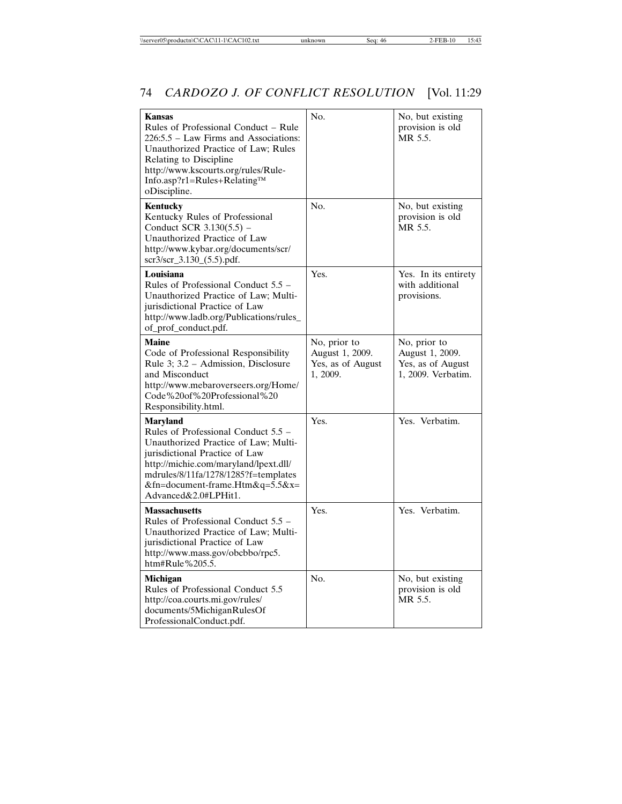| <b>Kansas</b><br>Rules of Professional Conduct - Rule<br>226:5.5 - Law Firms and Associations:<br>Unauthorized Practice of Law; Rules<br>Relating to Discipline<br>http://www.kscourts.org/rules/Rule-<br>Info.asp?r1=Rules+Relating™<br>oDiscipline.                        | N <sub>O</sub>                                                   | No, but existing<br>provision is old<br>MR 5.5.                            |
|------------------------------------------------------------------------------------------------------------------------------------------------------------------------------------------------------------------------------------------------------------------------------|------------------------------------------------------------------|----------------------------------------------------------------------------|
| Kentucky<br>Kentucky Rules of Professional<br>Conduct SCR 3.130(5.5) –<br>Unauthorized Practice of Law<br>http://www.kybar.org/documents/scr/<br>scr3/scr_3.130_(5.5).pdf.                                                                                                   | No.                                                              | No, but existing<br>provision is old<br>MR 5.5.                            |
| Louisiana<br>Rules of Professional Conduct 5.5 –<br>Unauthorized Practice of Law; Multi-<br>jurisdictional Practice of Law<br>http://www.ladb.org/Publications/rules_<br>of_prof_conduct.pdf.                                                                                | Yes.                                                             | Yes. In its entirety<br>with additional<br>provisions.                     |
| <b>Maine</b><br>Code of Professional Responsibility<br>Rule 3: 3.2 – Admission, Disclosure<br>and Misconduct<br>http://www.mebaroverseers.org/Home/<br>Code%20of%20Professional%20<br>Responsibility.html.                                                                   | No, prior to<br>August 1, 2009.<br>Yes, as of August<br>1, 2009. | No, prior to<br>August 1, 2009.<br>Yes, as of August<br>1, 2009. Verbatim. |
| <b>Maryland</b><br>Rules of Professional Conduct 5.5 –<br>Unauthorized Practice of Law; Multi-<br>jurisdictional Practice of Law<br>http://michie.com/maryland/lpext.dll/<br>mdrules/8/11fa/1278/1285?f=templates<br>&fn=document-frame.Htm&q=5.5&x=<br>Advanced&2.0#LPHit1. | Yes.                                                             | Yes. Verbatim.                                                             |
| <b>Massachusetts</b><br>Rules of Professional Conduct 5.5 –<br>Unauthorized Practice of Law; Multi-<br>jurisdictional Practice of Law<br>http://www.mass.gov/obcbbo/rpc5.<br>htm#Rule%205.5.                                                                                 | Yes.                                                             | Yes. Verbatim.                                                             |
| Michigan<br>Rules of Professional Conduct 5.5<br>http://coa.courts.mi.gov/rules/<br>documents/5MichiganRulesOf<br>ProfessionalConduct.pdf.                                                                                                                                   | N <sub>O</sub>                                                   | No, but existing<br>provision is old<br>MR 5.5.                            |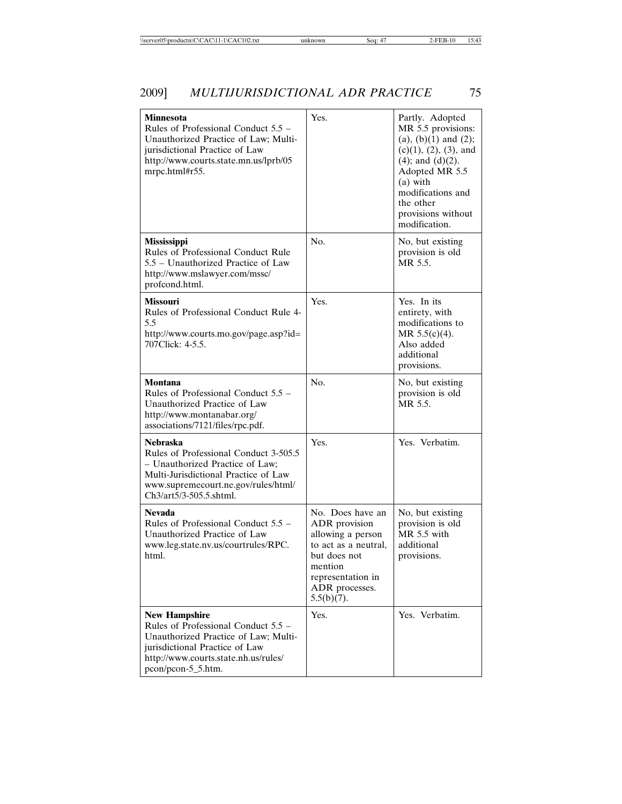| Minnesota<br>Rules of Professional Conduct 5.5 –<br>Unauthorized Practice of Law; Multi-<br>jurisdictional Practice of Law<br>http://www.courts.state.mn.us/lprb/05<br>mrpc.html#r55.                 | Yes.                                                                                                                                                              | Partly. Adopted<br>MR 5.5 provisions:<br>$(a), (b)(1)$ and $(2)$ ;<br>$(c)(1), (2), (3),$ and<br>$(4)$ ; and $(d)(2)$ .<br>Adopted MR 5.5<br>$(a)$ with<br>modifications and<br>the other<br>provisions without<br>modification. |
|-------------------------------------------------------------------------------------------------------------------------------------------------------------------------------------------------------|-------------------------------------------------------------------------------------------------------------------------------------------------------------------|----------------------------------------------------------------------------------------------------------------------------------------------------------------------------------------------------------------------------------|
| <b>Mississippi</b><br>Rules of Professional Conduct Rule<br>5.5 – Unauthorized Practice of Law<br>http://www.mslawyer.com/mssc/<br>profcond.html.                                                     | No.                                                                                                                                                               | No, but existing<br>provision is old<br>MR 5.5.                                                                                                                                                                                  |
| <b>Missouri</b><br>Rules of Professional Conduct Rule 4-<br>5.5<br>http://www.courts.mo.gov/page.asp?id=<br>707Click: 4-5.5.                                                                          | Yes.                                                                                                                                                              | Yes. In its<br>entirety, with<br>modifications to<br>MR $5.5(c)(4)$ .<br>Also added<br>additional<br>provisions.                                                                                                                 |
| Montana<br>Rules of Professional Conduct $5.5 -$<br>Unauthorized Practice of Law<br>http://www.montanabar.org/<br>associations/7121/files/rpc.pdf.                                                    | No.                                                                                                                                                               | No, but existing<br>provision is old<br>MR 5.5.                                                                                                                                                                                  |
| <b>Nebraska</b><br>Rules of Professional Conduct 3-505.5<br>- Unauthorized Practice of Law;<br>Multi-Jurisdictional Practice of Law<br>www.supremecourt.ne.gov/rules/html/<br>Ch3/art5/3-505.5.shtml. | Yes.                                                                                                                                                              | Yes. Verbatim.                                                                                                                                                                                                                   |
| <b>Nevada</b><br>Rules of Professional Conduct 5.5 -<br>Unauthorized Practice of Law<br>www.leg.state.nv.us/courtrules/RPC.<br>html.                                                                  | No. Does have an<br>ADR provision<br>allowing a person<br>to act as a neutral,<br>but does not<br>mention<br>representation in<br>ADR processes.<br>$5.5(b)(7)$ . | No, but existing<br>provision is old<br>$MR$ 5.5 with<br>additional<br>provisions.                                                                                                                                               |
| <b>New Hampshire</b><br>Rules of Professional Conduct 5.5 –<br>Unauthorized Practice of Law; Multi-<br>jurisdictional Practice of Law<br>http://www.courts.state.nh.us/rules/<br>pcon/pcon-5_5.htm.   | Yes.                                                                                                                                                              | Yes. Verbatim.                                                                                                                                                                                                                   |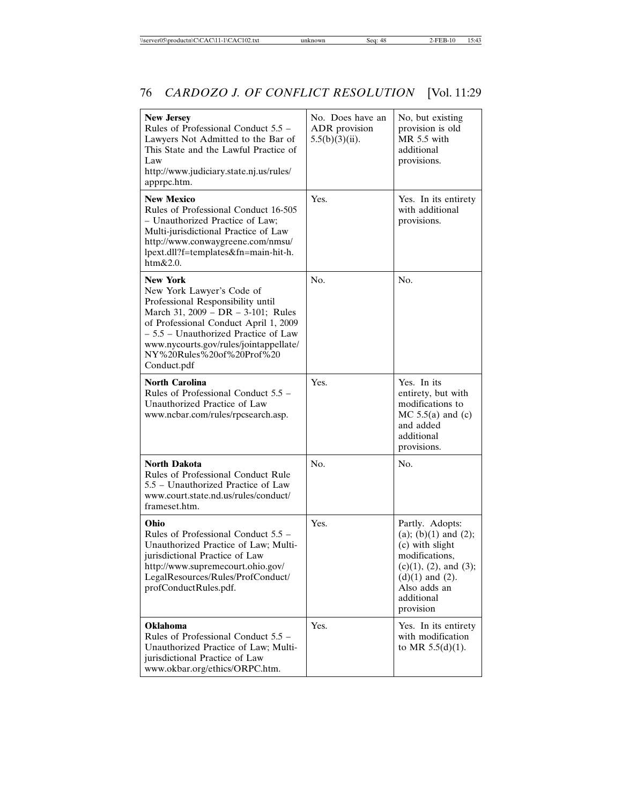| <b>New Jersey</b><br>Rules of Professional Conduct 5.5 –<br>Lawyers Not Admitted to the Bar of<br>This State and the Lawful Practice of<br>Law<br>http://www.judiciary.state.nj.us/rules/<br>apprpc.htm.                                                                                        | No. Does have an<br>ADR provision<br>$5.5(b)(3)(ii)$ . | No, but existing<br>provision is old<br>$MR$ 5.5 with<br>additional<br>provisions.                                                                                             |
|-------------------------------------------------------------------------------------------------------------------------------------------------------------------------------------------------------------------------------------------------------------------------------------------------|--------------------------------------------------------|--------------------------------------------------------------------------------------------------------------------------------------------------------------------------------|
| <b>New Mexico</b><br>Rules of Professional Conduct 16-505<br>- Unauthorized Practice of Law;<br>Multi-jurisdictional Practice of Law<br>http://www.conwaygreene.com/nmsu/<br>lpext.dll?f=templates&fn=main-hit-h.<br>htm&2.0.                                                                   | Yes.                                                   | Yes. In its entirety<br>with additional<br>provisions.                                                                                                                         |
| <b>New York</b><br>New York Lawyer's Code of<br>Professional Responsibility until<br>March 31, 2009 - DR - 3-101; Rules<br>of Professional Conduct April 1, 2009<br>$-5.5$ – Unauthorized Practice of Law<br>www.nycourts.gov/rules/jointappellate/<br>NY%20Rules%20of%20Prof%20<br>Conduct.pdf | No.                                                    | No.                                                                                                                                                                            |
| <b>North Carolina</b><br>Rules of Professional Conduct 5.5 –<br>Unauthorized Practice of Law<br>www.ncbar.com/rules/rpcsearch.asp.                                                                                                                                                              | Yes.                                                   | Yes. In its<br>entirety, but with<br>modifications to<br>$MC$ 5.5(a) and (c)<br>and added<br>additional<br>provisions.                                                         |
| <b>North Dakota</b><br>Rules of Professional Conduct Rule<br>5.5 – Unauthorized Practice of Law<br>www.court.state.nd.us/rules/conduct/<br>frameset.htm.                                                                                                                                        | No.                                                    | No.                                                                                                                                                                            |
| Ohio<br>Rules of Professional Conduct 5.5 –<br>Unauthorized Practice of Law; Multi-<br>jurisdictional Practice of Law<br>http://www.supremecourt.ohio.gov/<br>LegalResources/Rules/ProfConduct/<br>profConductRules.pdf.                                                                        | Yes.                                                   | Partly. Adopts:<br>(a); (b) $(1)$ and $(2)$ ;<br>(c) with slight<br>modifications.<br>(c)(1), (2), and (3);<br>$(d)(1)$ and $(2)$ .<br>Also adds an<br>additional<br>provision |
| <b>Oklahoma</b><br>Rules of Professional Conduct 5.5 -<br>Unauthorized Practice of Law; Multi-<br>jurisdictional Practice of Law<br>www.okbar.org/ethics/ORPC.htm.                                                                                                                              | Yes.                                                   | Yes. In its entirety<br>with modification<br>to MR $5.5(d)(1)$ .                                                                                                               |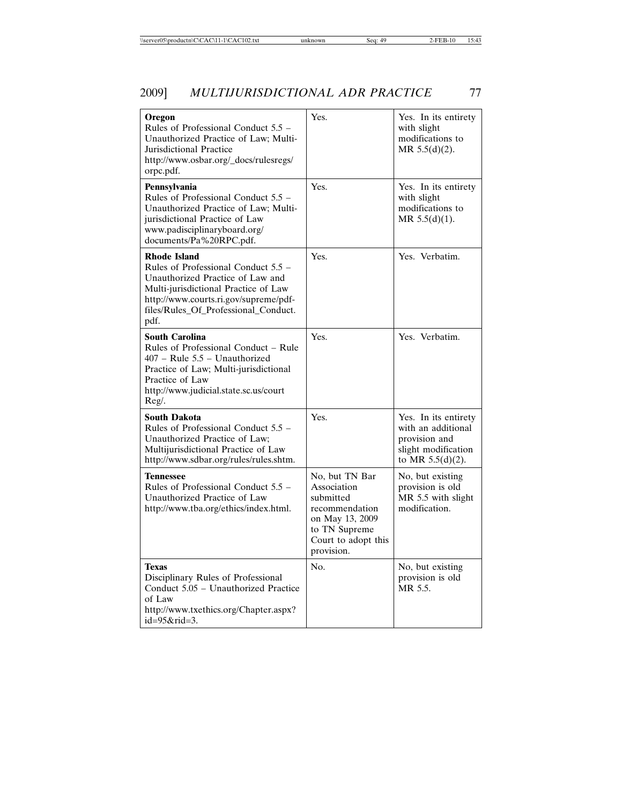| Oregon<br>Rules of Professional Conduct 5.5 –<br>Unauthorized Practice of Law: Multi-<br>Jurisdictional Practice<br>http://www.osbar.org/_docs/rulesregs/<br>orpc.pdf.                                                          | Yes.                                                                                                                                  | Yes. In its entirety<br>with slight<br>modifications to<br>MR 5.5(d)(2).                                  |
|---------------------------------------------------------------------------------------------------------------------------------------------------------------------------------------------------------------------------------|---------------------------------------------------------------------------------------------------------------------------------------|-----------------------------------------------------------------------------------------------------------|
| Pennsylvania<br>Rules of Professional Conduct 5.5 -<br>Unauthorized Practice of Law: Multi-<br>jurisdictional Practice of Law<br>www.padisciplinaryboard.org/<br>documents/Pa%20RPC.pdf.                                        | Yes.                                                                                                                                  | Yes. In its entirety<br>with slight<br>modifications to<br>MR 5.5(d)(1).                                  |
| <b>Rhode Island</b><br>Rules of Professional Conduct 5.5 –<br>Unauthorized Practice of Law and<br>Multi-jurisdictional Practice of Law<br>http://www.courts.ri.gov/supreme/pdf-<br>files/Rules_Of_Professional_Conduct.<br>pdf. | Yes.                                                                                                                                  | Yes. Verbatim.                                                                                            |
| <b>South Carolina</b><br>Rules of Professional Conduct - Rule<br>$407$ – Rule $5.5$ – Unauthorized<br>Practice of Law; Multi-jurisdictional<br>Practice of Law<br>http://www.judicial.state.sc.us/court<br>Reg/.                | Yes.                                                                                                                                  | Yes. Verbatim.                                                                                            |
| <b>South Dakota</b><br>Rules of Professional Conduct $5.5$ –<br>Unauthorized Practice of Law;<br>Multijurisdictional Practice of Law<br>http://www.sdbar.org/rules/rules.shtm.                                                  | Yes.                                                                                                                                  | Yes. In its entirety<br>with an additional<br>provision and<br>slight modification<br>to MR $5.5(d)(2)$ . |
| <b>Tennessee</b><br>Rules of Professional Conduct 5.5 –<br>Unauthorized Practice of Law<br>http://www.tba.org/ethics/index.html.                                                                                                | No, but TN Bar<br>Association<br>submitted<br>recommendation<br>on May 13, 2009<br>to TN Supreme<br>Court to adopt this<br>provision. | No, but existing<br>provision is old<br>MR 5.5 with slight<br>modification.                               |
| <b>Texas</b><br>Disciplinary Rules of Professional<br>Conduct 5.05 – Unauthorized Practice<br>of Law<br>http://www.txethics.org/Chapter.aspx?<br>$id = 95 &$ rid $= 3$ .                                                        | N <sub>O</sub>                                                                                                                        | No, but existing<br>provision is old<br>MR 5.5.                                                           |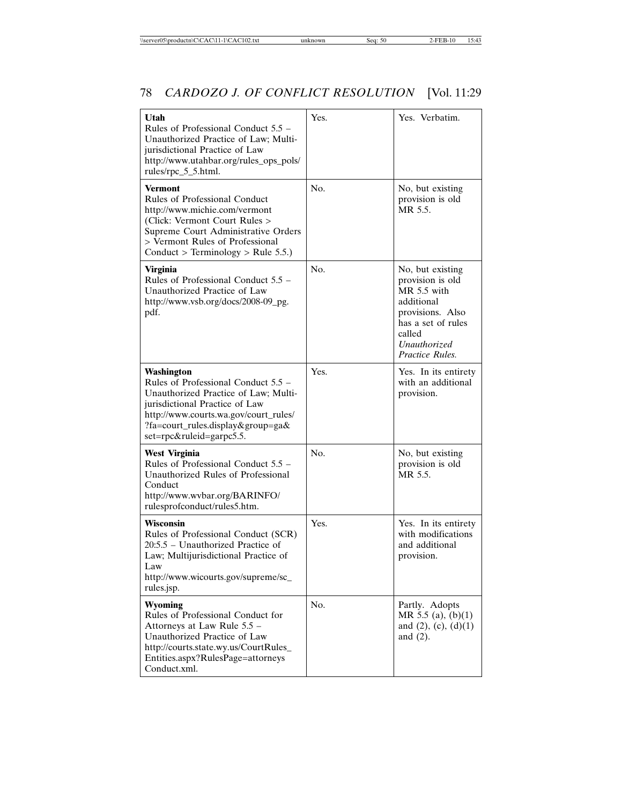| Utah<br>Rules of Professional Conduct 5.5 –<br>Unauthorized Practice of Law: Multi-<br>jurisdictional Practice of Law<br>http://www.utahbar.org/rules_ops_pols/<br>rules/rpc_5_5.html.                                                | Yes. | Yes. Verbatim.                                                                                                                                             |
|---------------------------------------------------------------------------------------------------------------------------------------------------------------------------------------------------------------------------------------|------|------------------------------------------------------------------------------------------------------------------------------------------------------------|
| <b>Vermont</b><br>Rules of Professional Conduct<br>http://www.michie.com/vermont<br>(Click: Vermont Court Rules ><br>Supreme Court Administrative Orders<br>> Vermont Rules of Professional<br>Conduct > Terminology > Rule 5.5.)     | No.  | No, but existing<br>provision is old<br>MR 5.5.                                                                                                            |
| <b>Virginia</b><br>Rules of Professional Conduct 5.5 -<br>Unauthorized Practice of Law<br>http://www.vsb.org/docs/2008-09_pg.<br>pdf.                                                                                                 | No.  | No, but existing<br>provision is old<br>$MR$ 5.5 with<br>additional<br>provisions. Also<br>has a set of rules<br>called<br>Unauthorized<br>Practice Rules. |
| Washington<br>Rules of Professional Conduct 5.5 –<br>Unauthorized Practice of Law; Multi-<br>jurisdictional Practice of Law<br>http://www.courts.wa.gov/court_rules/<br>?fa=court_rules.display&group=ga&<br>set=rpc&ruleid=garpc5.5. | Yes. | Yes. In its entirety<br>with an additional<br>provision.                                                                                                   |
| <b>West Virginia</b><br>Rules of Professional Conduct 5.5 –<br>Unauthorized Rules of Professional<br>Conduct<br>http://www.wvbar.org/BARINFO/<br>rulesprofconduct/rules5.htm.                                                         | No.  | No, but existing<br>provision is old<br>MR 5.5.                                                                                                            |
| Wisconsin<br>Rules of Professional Conduct (SCR)<br>20:5.5 - Unauthorized Practice of<br>Law; Multijurisdictional Practice of<br>Law<br>http://www.wicourts.gov/supreme/sc_<br>rules.jsp.                                             | Yes. | Yes. In its entirety<br>with modifications<br>and additional<br>provision.                                                                                 |
| Wyoming<br>Rules of Professional Conduct for<br>Attorneys at Law Rule 5.5 -<br>Unauthorized Practice of Law<br>http://courts.state.wy.us/CourtRules_<br>Entities.aspx?RulesPage=attorneys<br>Conduct.xml.                             | No.  | Partly. Adopts<br>MR 5.5 (a), (b)(1)<br>and $(2)$ , $(c)$ , $(d)(1)$<br>and $(2)$ .                                                                        |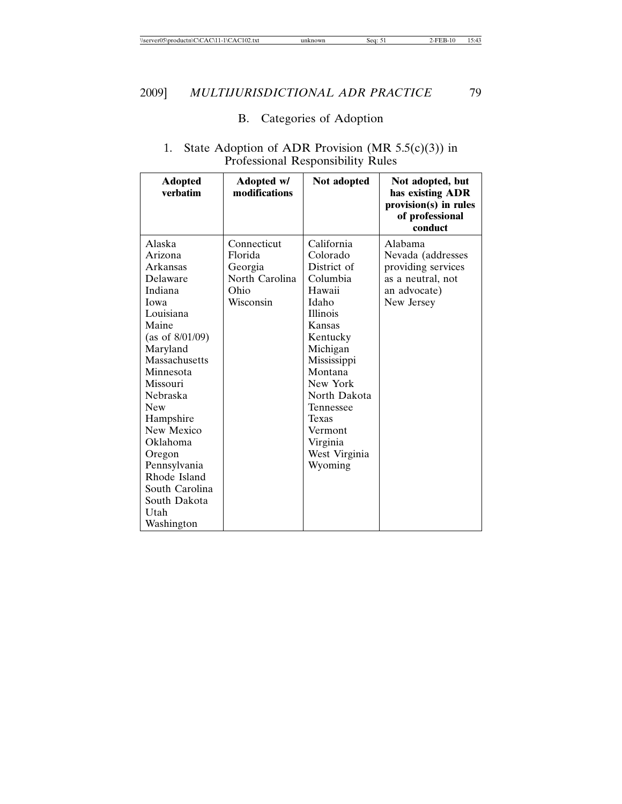## B. Categories of Adoption

| <b>Adopted</b><br>verhatim | Adopted w/<br>modifications | Not adopted     | Not adopted, but<br>has existing ADR<br>provision(s) in rules<br>of professional<br>conduct |
|----------------------------|-----------------------------|-----------------|---------------------------------------------------------------------------------------------|
| Alaska                     | Connecticut                 | California      | Alabama                                                                                     |
| Arizona                    | Florida                     | Colorado        | Nevada (addresses                                                                           |
| Arkansas                   | Georgia                     | District of     | providing services                                                                          |
| Delaware                   | North Carolina              | Columbia        | as a neutral, not                                                                           |
| Indiana                    | Ohio                        | Hawaii          | an advocate)                                                                                |
| Iowa                       | Wisconsin                   | Idaho           | New Jersey                                                                                  |
| Louisiana                  |                             | <b>Illinois</b> |                                                                                             |
| Maine                      |                             | Kansas          |                                                                                             |
| (as of $8/01/09$ )         |                             | Kentucky        |                                                                                             |
| Maryland                   |                             | Michigan        |                                                                                             |
| Massachusetts              |                             | Mississippi     |                                                                                             |
| Minnesota                  |                             | Montana         |                                                                                             |
| Missouri                   |                             | New York        |                                                                                             |
| Nebraska                   |                             | North Dakota    |                                                                                             |
| <b>New</b>                 |                             | Tennessee       |                                                                                             |
| Hampshire                  |                             | <b>Texas</b>    |                                                                                             |
| New Mexico                 |                             | Vermont         |                                                                                             |
| Oklahoma                   |                             | Virginia        |                                                                                             |
| Oregon                     |                             | West Virginia   |                                                                                             |
| Pennsylvania               |                             | Wyoming         |                                                                                             |
| Rhode Island               |                             |                 |                                                                                             |
| South Carolina             |                             |                 |                                                                                             |
| South Dakota               |                             |                 |                                                                                             |
| Utah                       |                             |                 |                                                                                             |
| Washington                 |                             |                 |                                                                                             |

#### 1. State Adoption of ADR Provision (MR 5.5(c)(3)) in Professional Responsibility Rules